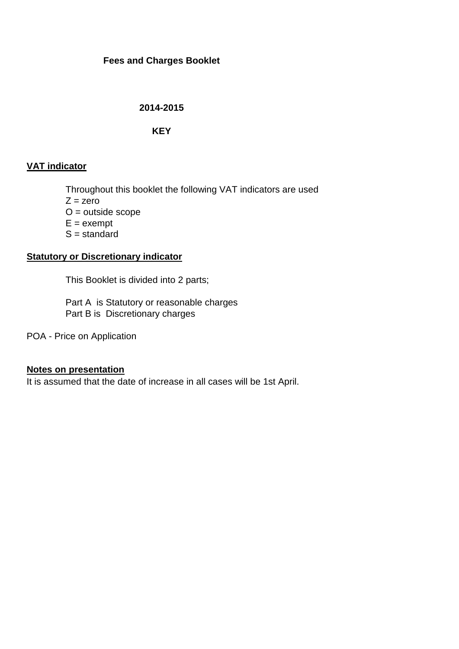# **Fees and Charges Booklet**

## **2014-2015**

# **KEY**

# **VAT indicator**

Throughout this booklet the following VAT indicators are used

 $Z = zero$ 

O = outside scope

 $E =$  exempt

 $S =$  standard

## **Statutory or Discretionary indicator**

This Booklet is divided into 2 parts;

Part A is Statutory or reasonable charges Part B is Discretionary charges

POA - Price on Application

### **Notes on presentation**

It is assumed that the date of increase in all cases will be 1st April.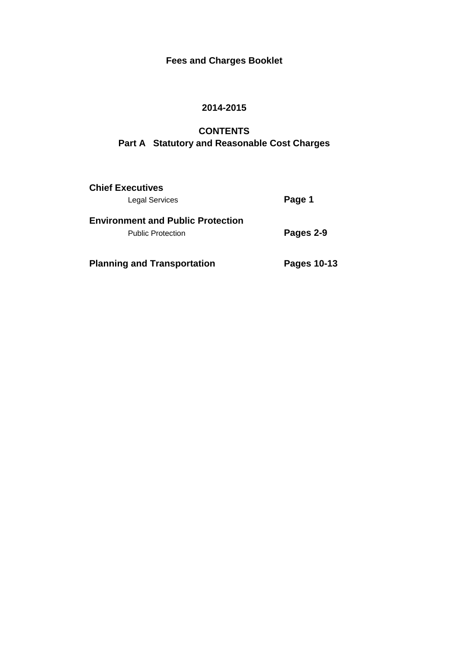# **Fees and Charges Booklet**

# **2014-2015**

# **CONTENTS Part A Statutory and Reasonable Cost Charges**

| <b>Chief Executives</b><br><b>Legal Services</b>                     | Page 1      |  |  |
|----------------------------------------------------------------------|-------------|--|--|
| <b>Environment and Public Protection</b><br><b>Public Protection</b> | Pages 2-9   |  |  |
| <b>Planning and Transportation</b>                                   | Pages 10-13 |  |  |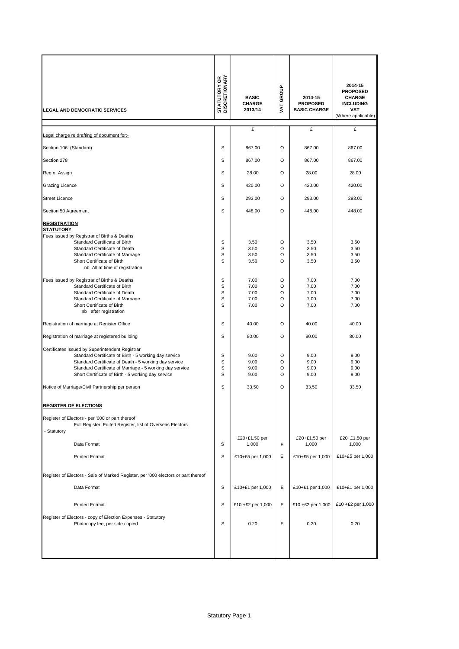| <b>LEGAL AND DEMOCRATIC SERVICES</b>                                                                                                                                                                                                                                                                                                                                                                                                                                                                                                                                                                                                                                                                                                                                                                                                                                                                                 | <b>STATUTORY OR<br/>DISCRETIONARY</b>                                        | <b>BASIC</b><br><b>CHARGE</b><br>2013/14                                                                                        | VAT GROUP                                                                    | 2014-15<br><b>PROPOSED</b><br><b>BASIC CHARGE</b>                                                                               | 2014-15<br><b>PROPOSED</b><br><b>CHARGE</b><br><b>INCLUDING</b><br><b>VAT</b><br>(Where applicable)                             |
|----------------------------------------------------------------------------------------------------------------------------------------------------------------------------------------------------------------------------------------------------------------------------------------------------------------------------------------------------------------------------------------------------------------------------------------------------------------------------------------------------------------------------------------------------------------------------------------------------------------------------------------------------------------------------------------------------------------------------------------------------------------------------------------------------------------------------------------------------------------------------------------------------------------------|------------------------------------------------------------------------------|---------------------------------------------------------------------------------------------------------------------------------|------------------------------------------------------------------------------|---------------------------------------------------------------------------------------------------------------------------------|---------------------------------------------------------------------------------------------------------------------------------|
| Legal charge re drafting of document for:-                                                                                                                                                                                                                                                                                                                                                                                                                                                                                                                                                                                                                                                                                                                                                                                                                                                                           |                                                                              | £                                                                                                                               |                                                                              | £                                                                                                                               | £                                                                                                                               |
| Section 106 (Standard)                                                                                                                                                                                                                                                                                                                                                                                                                                                                                                                                                                                                                                                                                                                                                                                                                                                                                               | S                                                                            | 867.00                                                                                                                          | O                                                                            | 867.00                                                                                                                          | 867.00                                                                                                                          |
| Section 278                                                                                                                                                                                                                                                                                                                                                                                                                                                                                                                                                                                                                                                                                                                                                                                                                                                                                                          | S                                                                            | 867.00                                                                                                                          | O                                                                            | 867.00                                                                                                                          | 867.00                                                                                                                          |
| Reg of Assign                                                                                                                                                                                                                                                                                                                                                                                                                                                                                                                                                                                                                                                                                                                                                                                                                                                                                                        | S                                                                            | 28.00                                                                                                                           | O                                                                            | 28.00                                                                                                                           | 28.00                                                                                                                           |
| Grazing Licence                                                                                                                                                                                                                                                                                                                                                                                                                                                                                                                                                                                                                                                                                                                                                                                                                                                                                                      | S                                                                            | 420.00                                                                                                                          | O                                                                            | 420.00                                                                                                                          | 420.00                                                                                                                          |
| <b>Street Licence</b>                                                                                                                                                                                                                                                                                                                                                                                                                                                                                                                                                                                                                                                                                                                                                                                                                                                                                                | S                                                                            | 293.00                                                                                                                          | O                                                                            | 293.00                                                                                                                          | 293.00                                                                                                                          |
| Section 50 Agreement                                                                                                                                                                                                                                                                                                                                                                                                                                                                                                                                                                                                                                                                                                                                                                                                                                                                                                 | S                                                                            | 448.00                                                                                                                          | O                                                                            | 448.00                                                                                                                          | 448.00                                                                                                                          |
| <b>REGISTRATION</b><br><b>STATUTORY</b><br>Fees issued by Registrar of Births & Deaths<br>Standard Certificate of Birth<br>Standard Certificate of Death<br>Standard Certificate of Marriage<br>Short Certificate of Birth<br>nb All at time of registration<br>Fees issued by Registrar of Births & Deaths<br>Standard Certificate of Birth<br>Standard Certificate of Death<br>Standard Certificate of Marriage<br>Short Certificate of Birth<br>nb after registration<br>Registration of marriage at Register Office<br>Registration of marriage at registered building<br>Certificates issued by Superintendent Registrar<br>Standard Certificate of Birth - 5 working day service<br>Standard Certificate of Death - 5 working day service<br>Standard Certificate of Marriage - 5 working day service<br>Short Certificate of Birth - 5 working day service<br>Notice of Marriage/Civil Partnership per person | S<br>S<br>S<br>S<br>S<br>S<br>S<br>S<br>S<br>S<br>S<br>S<br>S<br>S<br>S<br>S | 3.50<br>3.50<br>3.50<br>3.50<br>7.00<br>7.00<br>7.00<br>7.00<br>7.00<br>40.00<br>80.00<br>9.00<br>9.00<br>9.00<br>9.00<br>33.50 | O<br>O<br>O<br>O<br>O<br>O<br>O<br>O<br>O<br>O<br>O<br>O<br>O<br>O<br>O<br>O | 3.50<br>3.50<br>3.50<br>3.50<br>7.00<br>7.00<br>7.00<br>7.00<br>7.00<br>40.00<br>80.00<br>9.00<br>9.00<br>9.00<br>9.00<br>33.50 | 3.50<br>3.50<br>3.50<br>3.50<br>7.00<br>7.00<br>7.00<br>7.00<br>7.00<br>40.00<br>80.00<br>9.00<br>9.00<br>9.00<br>9.00<br>33.50 |
| <b>REGISTER OF ELECTIONS</b>                                                                                                                                                                                                                                                                                                                                                                                                                                                                                                                                                                                                                                                                                                                                                                                                                                                                                         |                                                                              |                                                                                                                                 |                                                                              |                                                                                                                                 |                                                                                                                                 |
| Register of Electors - per '000 or part thereof<br>Full Register, Edited Register, list of Overseas Electors<br>- Statutory<br>Data Format<br><b>Printed Format</b>                                                                                                                                                                                                                                                                                                                                                                                                                                                                                                                                                                                                                                                                                                                                                  | S<br>S                                                                       | £20+£1.50 per<br>1,000<br>£10+£5 per 1,000                                                                                      | Е<br>Е                                                                       | £20+£1.50 per<br>1,000<br>£10+£5 per 1,000                                                                                      | £20+£1.50 per<br>1,000<br>£10+£5 per 1,000                                                                                      |
| Register of Electors - Sale of Marked Register, per '000 electors or part thereof                                                                                                                                                                                                                                                                                                                                                                                                                                                                                                                                                                                                                                                                                                                                                                                                                                    |                                                                              |                                                                                                                                 |                                                                              |                                                                                                                                 |                                                                                                                                 |
| Data Format                                                                                                                                                                                                                                                                                                                                                                                                                                                                                                                                                                                                                                                                                                                                                                                                                                                                                                          | S                                                                            | £10+£1 per 1,000                                                                                                                | E                                                                            | £10+£1 per 1,000                                                                                                                | £10+£1 per 1,000                                                                                                                |
| <b>Printed Format</b>                                                                                                                                                                                                                                                                                                                                                                                                                                                                                                                                                                                                                                                                                                                                                                                                                                                                                                | S                                                                            | £10 +£2 per 1,000                                                                                                               | Е                                                                            | £10 +£2 per 1,000                                                                                                               | £10 +£2 per 1,000                                                                                                               |
| Register of Electors - copy of Election Expenses - Statutory<br>Photocopy fee, per side copied                                                                                                                                                                                                                                                                                                                                                                                                                                                                                                                                                                                                                                                                                                                                                                                                                       | S                                                                            | 0.20                                                                                                                            | E                                                                            | 0.20                                                                                                                            | 0.20                                                                                                                            |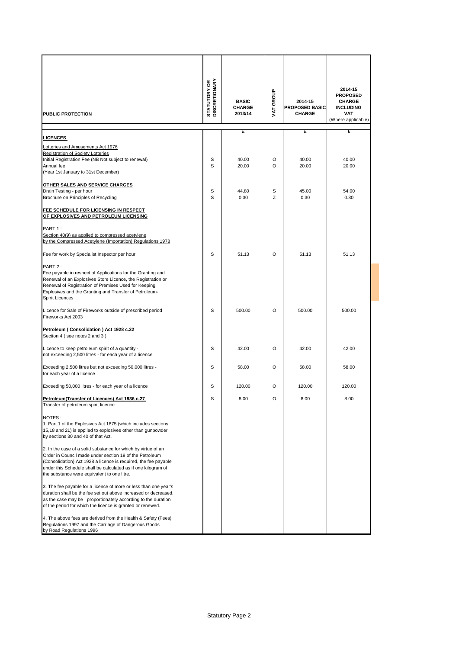| <b>PUBLIC PROTECTION</b>                                                                                                                                                                                                                                                                                    | <b>STATUTORY OR</b><br>DISCRETIONARY | <b>BASIC</b><br><b>CHARGE</b><br>2013/14 | VAT GROUP | 2014-15<br><b>PROPOSED BASIC</b><br><b>CHARGE</b> | 2014-15<br><b>PROPOSED</b><br><b>CHARGE</b><br><b>INCLUDING</b><br><b>VAT</b><br>(Where applicable) |
|-------------------------------------------------------------------------------------------------------------------------------------------------------------------------------------------------------------------------------------------------------------------------------------------------------------|--------------------------------------|------------------------------------------|-----------|---------------------------------------------------|-----------------------------------------------------------------------------------------------------|
|                                                                                                                                                                                                                                                                                                             |                                      | £                                        |           | £                                                 | £                                                                                                   |
| <b>LICENCES</b><br>Lotteries and Amusements Act 1976<br>Registration of Society Lotteries<br>Initial Registration Fee (NB Not subject to renewal)<br>Annual fee<br>(Year 1st January to 31st December)                                                                                                      | S<br>S                               | 40.00<br>20.00                           | O<br>O    | 40.00<br>20.00                                    | 40.00<br>20.00                                                                                      |
| <b>OTHER SALES AND SERVICE CHARGES</b>                                                                                                                                                                                                                                                                      |                                      |                                          |           |                                                   |                                                                                                     |
| Drain Testing - per hour                                                                                                                                                                                                                                                                                    | S                                    | 44.80                                    | S         | 45.00                                             | 54.00                                                                                               |
| Brochure on Principles of Recycling<br>FEE SCHEDULE FOR LICENSING IN RESPECT<br>OF EXPLOSIVES AND PETROLEUM LICENSING                                                                                                                                                                                       | S                                    | 0.30                                     | Z         | 0.30                                              | 0.30                                                                                                |
| PART 1:<br>Section 40(9) as applied to compressed acetylene<br>by the Compressed Acetylene (Importation) Regulations 1978<br>Fee for work by Specialist Inspector per hour                                                                                                                                  | S                                    | 51.13                                    | $\circ$   | 51.13                                             | 51.13                                                                                               |
| PART 2:<br>Fee payable in respect of Applications for the Granting and<br>Renewal of an Explosives Store Licence, the Registration or<br>Renewal of Registration of Premises Used for Keeping<br>Explosives and the Granting and Transfer of Petroleum-<br><b>Spirit Licences</b>                           |                                      |                                          |           |                                                   |                                                                                                     |
| Licence for Sale of Fireworks outside of prescribed period<br>Fireworks Act 2003                                                                                                                                                                                                                            | S                                    | 500.00                                   | O         | 500.00                                            | 500.00                                                                                              |
| Petroleum (Consolidation) Act 1928 c.32<br>Section 4 (see notes 2 and 3)                                                                                                                                                                                                                                    |                                      |                                          |           |                                                   |                                                                                                     |
| Licence to keep petroleum spirit of a quantity -<br>not exceeding 2,500 litres - for each year of a licence                                                                                                                                                                                                 | S                                    | 42.00                                    | O         | 42.00                                             | 42.00                                                                                               |
| Exceeding 2,500 litres but not exceeding 50,000 litres -<br>for each year of a licence                                                                                                                                                                                                                      | S                                    | 58.00                                    | O         | 58.00                                             | 58.00                                                                                               |
| Exceeding 50,000 litres - for each year of a licence                                                                                                                                                                                                                                                        | s                                    | 120.00                                   | O         | 120.00                                            | 120.00                                                                                              |
| Petroleum (Transfer of Licences) Act 1936 c.27<br>Transfer of petroleum spirit licence                                                                                                                                                                                                                      | S                                    | 8.00                                     | O         | 8.00                                              | 8.00                                                                                                |
| NOTES:<br>1. Part 1 of the Explosives Act 1875 (which includes sections<br>15,18 and 21) is applied to explosives other than gunpowder<br>by sections 30 and 40 of that Act.                                                                                                                                |                                      |                                          |           |                                                   |                                                                                                     |
| 2. In the case of a solid substance for which by virtue of an<br>Order in Council made under section 19 of the Petroleum<br>(Consolidation) Act 1928 a licence is required, the fee payable<br>under this Schedule shall be calculated as if one kilogram of<br>the substance were equivalent to one litre. |                                      |                                          |           |                                                   |                                                                                                     |
| 3. The fee payable for a licence of more or less than one year's<br>duration shall be the fee set out above increased or decreased,<br>as the case may be, proportionately according to the duration<br>of the period for which the licence is granted or renewed.                                          |                                      |                                          |           |                                                   |                                                                                                     |
| 4. The above fees are derived from the Health & Safety (Fees)<br>Regulations 1997 and the Carriage of Dangerous Goods<br>by Road Regulations 1996                                                                                                                                                           |                                      |                                          |           |                                                   |                                                                                                     |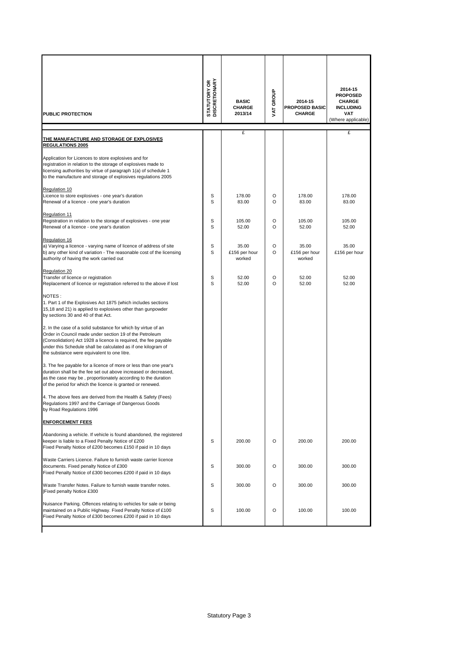| PUBLIC PROTECTION                                                                                                                                                                                                                                                                                           | <b>STATUTORY OR<br/>DISCRETIONARY</b> | <b>BASIC</b><br><b>CHARGE</b><br>2013/14 | VAT GROUP    | 2014-15<br><b>PROPOSED BASIC</b><br><b>CHARGE</b> | 2014-15<br><b>PROPOSED</b><br><b>CHARGE</b><br><b>INCLUDING</b><br><b>VAT</b><br>(Where applicable) |
|-------------------------------------------------------------------------------------------------------------------------------------------------------------------------------------------------------------------------------------------------------------------------------------------------------------|---------------------------------------|------------------------------------------|--------------|---------------------------------------------------|-----------------------------------------------------------------------------------------------------|
| <u>THE MANUFACTURE AND STORAGE OF EXPLOSIVES</u>                                                                                                                                                                                                                                                            |                                       | £                                        |              |                                                   | £                                                                                                   |
| <u>REGULATIONS 2005</u>                                                                                                                                                                                                                                                                                     |                                       |                                          |              |                                                   |                                                                                                     |
| Application for Licences to store explosives and for<br>registration in relation to the storage of explosives made to<br>licensing authorities by virtue of paragraph 1(a) of schedule 1<br>to the manufacture and storage of explosives regulations 2005                                                   |                                       |                                          |              |                                                   |                                                                                                     |
| Regulation 10<br>Licence to store explosives - one year's duration<br>Renewal of a licence - one year's duration                                                                                                                                                                                            | S<br>S                                | 178.00<br>83.00                          | O<br>$\circ$ | 178.00<br>83.00                                   | 178.00<br>83.00                                                                                     |
| Regulation 11<br>Registration in relation to the storage of explosives - one year<br>Renewal of a licence - one year's duration                                                                                                                                                                             | S<br>S                                | 105.00<br>52.00                          | O<br>$\circ$ | 105.00<br>52.00                                   | 105.00<br>52.00                                                                                     |
| Regulation 16<br>a) Varying a licence - varying name of licence of address of site<br>b) any other kind of variation - The reasonable cost of the licensing<br>authority of having the work carried out                                                                                                     | S<br>S                                | 35.00<br>£156 per hour<br>worked         | $\circ$<br>O | 35.00<br>£156 per hour<br>worked                  | 35.00<br>£156 per hour                                                                              |
| Regulation 20<br>Transfer of licence or registration<br>Replacement of licence or registration referred to the above if lost                                                                                                                                                                                | S<br>S                                | 52.00<br>52.00                           | O<br>$\circ$ | 52.00<br>52.00                                    | 52.00<br>52.00                                                                                      |
| NOTES:<br>1. Part 1 of the Explosives Act 1875 (which includes sections<br>15,18 and 21) is applied to explosives other than gunpowder<br>by sections 30 and 40 of that Act.                                                                                                                                |                                       |                                          |              |                                                   |                                                                                                     |
| 2. In the case of a solid substance for which by virtue of an<br>Order in Council made under section 19 of the Petroleum<br>(Consolidation) Act 1928 a licence is required, the fee payable<br>under this Schedule shall be calculated as if one kilogram of<br>the substance were equivalent to one litre. |                                       |                                          |              |                                                   |                                                                                                     |
| 3. The fee payable for a licence of more or less than one year's<br>duration shall be the fee set out above increased or decreased,<br>as the case may be, proportionately according to the duration<br>of the period for which the licence is granted or renewed.                                          |                                       |                                          |              |                                                   |                                                                                                     |
| 4. The above fees are derived from the Health & Safety (Fees)<br>Regulations 1997 and the Carriage of Dangerous Goods<br>by Road Regulations 1996                                                                                                                                                           |                                       |                                          |              |                                                   |                                                                                                     |
| <u>ENFORCEMENT FEES</u>                                                                                                                                                                                                                                                                                     |                                       |                                          |              |                                                   |                                                                                                     |
| Abandoning a vehicle. If vehicle is found abandoned, the registered<br>keeper is liable to a Fixed Penalty Notice of £200<br>Fixed Penalty Notice of £200 becomes £150 if paid in 10 days                                                                                                                   | S                                     | 200.00                                   | O            | 200.00                                            | 200.00                                                                                              |
| Waste Carriers Licence. Failure to furnish waste carrier licence<br>documents. Fixed penalty Notice of £300<br>Fixed Penalty Notice of £300 becomes £200 if paid in 10 days                                                                                                                                 | S                                     | 300.00                                   | O            | 300.00                                            | 300.00                                                                                              |
| Waste Transfer Notes. Failure to furnish waste transfer notes.<br>Fixed penalty Notice £300                                                                                                                                                                                                                 | S                                     | 300.00                                   | $\circ$      | 300.00                                            | 300.00                                                                                              |
| Nuisance Parking. Offences relating to vehicles for sale or being<br>maintained on a Public Highway. Fixed Penalty Notice of £100<br>Fixed Penalty Notice of £300 becomes £200 if paid in 10 days                                                                                                           | S                                     | 100.00                                   | O            | 100.00                                            | 100.00                                                                                              |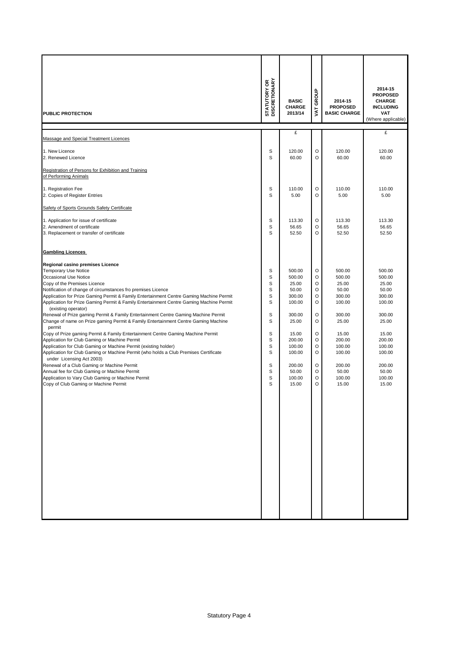| <b>PUBLIC PROTECTION</b>                                                                                                                                                                                                                                                                                                                                                                                                                                                                                                                                                                                                                                                                                                                                                                                                                                                                                                                                                                                                                                                                                            | <b>STATUTORY OR<br/>DISCRETIONARY</b>                                        | <b>BASIC</b><br><b>CHARGE</b><br>2013/14                                                                                                               | GROUP<br><b>TYA</b>                                                                | 2014-15<br><b>PROPOSED</b><br><b>BASIC CHARGE</b>                                                                                                      | 2014-15<br><b>PROPOSED</b><br><b>CHARGE</b><br><b>INCLUDING</b><br><b>VAT</b><br>(Where applicable)                                                    |
|---------------------------------------------------------------------------------------------------------------------------------------------------------------------------------------------------------------------------------------------------------------------------------------------------------------------------------------------------------------------------------------------------------------------------------------------------------------------------------------------------------------------------------------------------------------------------------------------------------------------------------------------------------------------------------------------------------------------------------------------------------------------------------------------------------------------------------------------------------------------------------------------------------------------------------------------------------------------------------------------------------------------------------------------------------------------------------------------------------------------|------------------------------------------------------------------------------|--------------------------------------------------------------------------------------------------------------------------------------------------------|------------------------------------------------------------------------------------|--------------------------------------------------------------------------------------------------------------------------------------------------------|--------------------------------------------------------------------------------------------------------------------------------------------------------|
| Massage and Special Treatment Licences                                                                                                                                                                                                                                                                                                                                                                                                                                                                                                                                                                                                                                                                                                                                                                                                                                                                                                                                                                                                                                                                              |                                                                              | £                                                                                                                                                      |                                                                                    |                                                                                                                                                        | £                                                                                                                                                      |
| 1. New Licence<br>2. Renewed Licence                                                                                                                                                                                                                                                                                                                                                                                                                                                                                                                                                                                                                                                                                                                                                                                                                                                                                                                                                                                                                                                                                | S<br>S                                                                       | 120.00<br>60.00                                                                                                                                        | O<br>O                                                                             | 120.00<br>60.00                                                                                                                                        | 120.00<br>60.00                                                                                                                                        |
| Registration of Persons for Exhibition and Training<br>of Performing Animals                                                                                                                                                                                                                                                                                                                                                                                                                                                                                                                                                                                                                                                                                                                                                                                                                                                                                                                                                                                                                                        |                                                                              |                                                                                                                                                        |                                                                                    |                                                                                                                                                        |                                                                                                                                                        |
| 1. Registration Fee<br>2. Copies of Register Entries                                                                                                                                                                                                                                                                                                                                                                                                                                                                                                                                                                                                                                                                                                                                                                                                                                                                                                                                                                                                                                                                | S<br>S                                                                       | 110.00<br>5.00                                                                                                                                         | O<br>O                                                                             | 110.00<br>5.00                                                                                                                                         | 110.00<br>5.00                                                                                                                                         |
| Safety of Sports Grounds Safety Certificate<br>1. Application for issue of certificate<br>2. Amendment of certificate<br>3. Replacement or transfer of certificate                                                                                                                                                                                                                                                                                                                                                                                                                                                                                                                                                                                                                                                                                                                                                                                                                                                                                                                                                  | S<br>S<br>S                                                                  | 113.30<br>56.65<br>52.50                                                                                                                               | O<br>O<br>O                                                                        | 113.30<br>56.65<br>52.50                                                                                                                               | 113.30<br>56.65<br>52.50                                                                                                                               |
| <b>Gambling Licences</b>                                                                                                                                                                                                                                                                                                                                                                                                                                                                                                                                                                                                                                                                                                                                                                                                                                                                                                                                                                                                                                                                                            |                                                                              |                                                                                                                                                        |                                                                                    |                                                                                                                                                        |                                                                                                                                                        |
| Regional casino premises Licence<br><b>Temporary Use Notice</b><br>Occasional Use Notice<br>Copy of the Premises Licence<br>Notification of change of circumstances fro premises Licence<br>Application for Prize Gaming Permit & Family Entertainment Centre Gaming Machine Permit<br>Application for Prize Gaming Permit & Family Entertainment Centre Gaming Machine Permit<br>(existing operator)<br>Renewal of Prize gaming Permit & Family Entertainment Centre Gaming Machine Permit<br>Change of name on Prize gaming Permit & Family Entertainment Centre Gaming Machine<br>permit<br>Copy of Prize gaming Permit & Family Entertainment Centre Gaming Machine Permit<br>Application for Club Gaming or Machine Permit<br>Application for Club Gaming or Machine Permit (existing holder)<br>Application for Club Gaming or Machine Permit (who holds a Club Premises Certificate<br>under Licensing Act 2003)<br>Renewal of a Club Gaming or Machine Permit<br>Annual fee for Club Gaming or Machine Permit<br>Application to Vary Club Gaming or Machine Permit<br>Copy of Club Gaming or Machine Permit | S<br>S<br>S<br>S<br>S<br>S<br>S<br>S<br>S<br>S<br>S<br>S<br>S<br>S<br>S<br>S | 500.00<br>500.00<br>25.00<br>50.00<br>300.00<br>100.00<br>300.00<br>25.00<br>15.00<br>200.00<br>100.00<br>100.00<br>200.00<br>50.00<br>100.00<br>15.00 | O<br>O<br>O<br>O<br>O<br>O<br>O<br>O<br>O<br>O<br>O<br>O<br>O<br>$\circ$<br>O<br>O | 500.00<br>500.00<br>25.00<br>50.00<br>300.00<br>100.00<br>300.00<br>25.00<br>15.00<br>200.00<br>100.00<br>100.00<br>200.00<br>50.00<br>100.00<br>15.00 | 500.00<br>500.00<br>25.00<br>50.00<br>300.00<br>100.00<br>300.00<br>25.00<br>15.00<br>200.00<br>100.00<br>100.00<br>200.00<br>50.00<br>100.00<br>15.00 |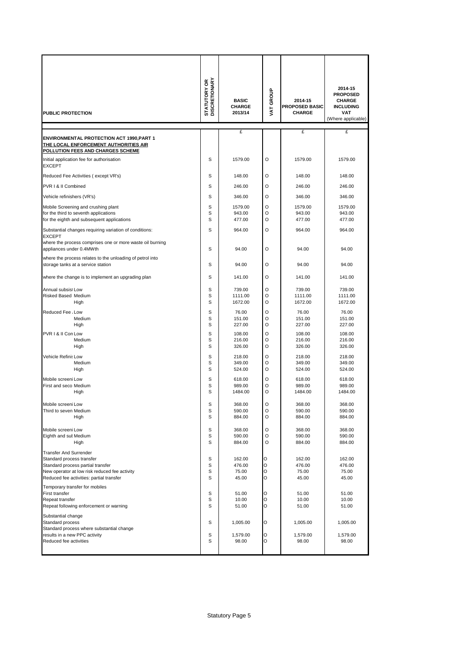| <b>PUBLIC PROTECTION</b>                                                                        | <b>STATUTORY OR</b><br>DISCRETIONARY | <b>BASIC</b><br><b>CHARGE</b><br>2013/14 | VAT GROUP    | 2014-15<br><b>PROPOSED BASIC</b><br><b>CHARGE</b> | 2014-15<br><b>PROPOSED</b><br><b>CHARGE</b><br><b>INCLUDING</b><br><b>VAT</b><br>(Where applicable) |
|-------------------------------------------------------------------------------------------------|--------------------------------------|------------------------------------------|--------------|---------------------------------------------------|-----------------------------------------------------------------------------------------------------|
| <b>ENVIRONMENTAL PROTECTION ACT 1990, PART 1</b>                                                |                                      | £                                        |              | £                                                 | £                                                                                                   |
| <u>THE LOCAL ENFORCEMENT AUTHORITIES AIR</u><br><b>POLLUTION FEES AND CHARGES SCHEME</b>        |                                      |                                          |              |                                                   |                                                                                                     |
| Initial application fee for authorisation<br><b>EXCEPT</b>                                      | S                                    | 1579.00                                  | O            | 1579.00                                           | 1579.00                                                                                             |
| Reduced Fee Activities (except VR's)                                                            | S                                    | 148.00                                   | O            | 148.00                                            | 148.00                                                                                              |
| PVR I & II Combined                                                                             | S                                    | 246.00                                   | $\circ$      | 246.00                                            | 246.00                                                                                              |
| Vehicle refinishers (VR's)                                                                      | S                                    | 346.00                                   | O            | 346.00                                            | 346.00                                                                                              |
| Mobile Screening and crushing plant                                                             | S                                    | 1579.00                                  | O            | 1579.00                                           | 1579.00                                                                                             |
| for the third to seventh applications<br>for the eighth and subsequent applications             | S<br>S                               | 943.00<br>477.00                         | O<br>O       | 943.00<br>477.00                                  | 943.00<br>477.00                                                                                    |
| Substantial changes requiring variation of conditions:                                          | S                                    | 964.00                                   | O            |                                                   |                                                                                                     |
| <b>EXCEPT</b>                                                                                   |                                      |                                          |              | 964.00                                            | 964.00                                                                                              |
| where the process comprises one or more waste oil burning<br>appliances under 0.4MWth           | S                                    | 94.00                                    | $\circ$      | 94.00                                             | 94.00                                                                                               |
| where the process relates to the unloading of petrol into<br>storage tanks at a service station | S                                    | 94.00                                    | O            | 94.00                                             | 94.00                                                                                               |
| where the change is to implement an upgrading plan                                              | S                                    | 141.00                                   | O            | 141.00                                            | 141.00                                                                                              |
| Annual subsist Low                                                                              | S                                    | 739.00                                   | O            | 739.00                                            | 739.00                                                                                              |
| Risked Based Medium<br>High                                                                     | S<br>S                               | 1111.00<br>1672.00                       | O<br>$\circ$ | 1111.00<br>1672.00                                | 1111.00<br>1672.00                                                                                  |
|                                                                                                 | S                                    |                                          |              |                                                   |                                                                                                     |
| Reduced Fee , Low<br>Medium                                                                     | S                                    | 76.00<br>151.00                          | O<br>O       | 76.00<br>151.00                                   | 76.00<br>151.00                                                                                     |
| High                                                                                            | S                                    | 227.00                                   | O            | 227.00                                            | 227.00                                                                                              |
| PVR I & II Con Low                                                                              | S                                    | 108.00                                   | O            | 108.00                                            | 108.00                                                                                              |
| Medium<br>High                                                                                  | S<br>S                               | 216.00<br>326.00                         | O<br>O       | 216.00<br>326.00                                  | 216.00<br>326.00                                                                                    |
| Vehicle Refinis Low                                                                             | S                                    | 218.00                                   | O            | 218.00                                            | 218.00                                                                                              |
| Medium                                                                                          | S                                    | 349.00                                   | O            | 349.00                                            | 349.00                                                                                              |
| High                                                                                            | S                                    | 524.00                                   | O            | 524.00                                            | 524.00                                                                                              |
| Mobile screeni Low<br>First and seco Medium                                                     | S<br>S                               | 618.00<br>989.00                         | O<br>O       | 618.00<br>989.00                                  | 618.00<br>989.00                                                                                    |
| High                                                                                            | S                                    | 1484.00                                  | $\circ$      | 1484.00                                           | 1484.00                                                                                             |
| Mobile screeni Low                                                                              | S                                    | 368.00                                   | O            | 368.00                                            | 368.00                                                                                              |
| Third to seven Medium                                                                           | S                                    | 590.00                                   | O            | 590.00                                            | 590.00                                                                                              |
| High                                                                                            | S                                    | 884.00                                   | O            | 884.00                                            | 884.00                                                                                              |
| Mobile screeni Low                                                                              | S                                    | 368.00                                   | O            | 368.00                                            | 368.00                                                                                              |
| Eighth and sut Medium<br>High                                                                   | S<br>S                               | 590.00<br>884.00                         | O<br>O       | 590.00<br>884.00                                  | 590.00<br>884.00                                                                                    |
| <b>Transfer And Surrender</b>                                                                   |                                      |                                          |              |                                                   |                                                                                                     |
| Standard process transfer                                                                       | S                                    | 162.00                                   | $\circ$      | 162.00                                            | 162.00                                                                                              |
| Standard process partial transfer                                                               | S                                    | 476.00                                   | $\circ$      | 476.00                                            | 476.00                                                                                              |
| New operator at low risk reduced fee activity<br>Reduced fee activities: partial transfer       | S<br>S                               | 75.00<br>45.00                           | O<br>O       | 75.00<br>45.00                                    | 75.00<br>45.00                                                                                      |
| Temporary transfer for mobiles                                                                  |                                      |                                          |              |                                                   |                                                                                                     |
| First transfer                                                                                  | S<br>S                               | 51.00                                    | O<br>$\circ$ | 51.00                                             | 51.00                                                                                               |
| Repeat transfer<br>Repeat following enforcement or warning                                      | S                                    | 10.00<br>51.00                           | O            | 10.00<br>51.00                                    | 10.00<br>51.00                                                                                      |
| Substantial change                                                                              |                                      |                                          |              |                                                   |                                                                                                     |
| Standard process                                                                                | S                                    | 1,005.00                                 | O            | 1,005.00                                          | 1,005.00                                                                                            |
| Standard process where substantial change<br>results in a new PPC activity                      | s                                    | 1,579.00                                 | O            | 1,579.00                                          | 1,579.00                                                                                            |
| Reduced fee activities                                                                          | S                                    | 98.00                                    | O            | 98.00                                             | 98.00                                                                                               |
|                                                                                                 |                                      |                                          |              |                                                   |                                                                                                     |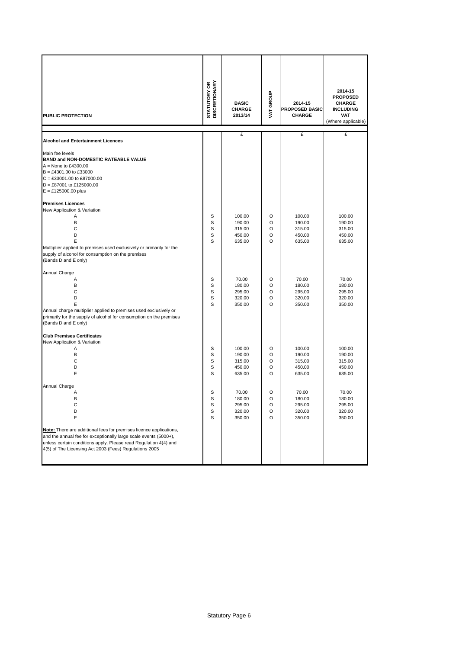| PUBLIC PROTECTION                                                                                                                                                                                                                                                                             | <b>STATUTORY OR<br/>DISCRETIONARY</b> | <b>BASIC</b><br><b>CHARGE</b><br>2013/14       | VAT GROUP             | 2014-15<br><b>PROPOSED BASIC</b><br><b>CHARGE</b> | 2014-15<br><b>PROPOSED</b><br><b>CHARGE</b><br><b>INCLUDING</b><br><b>VAT</b><br>(Where applicable) |
|-----------------------------------------------------------------------------------------------------------------------------------------------------------------------------------------------------------------------------------------------------------------------------------------------|---------------------------------------|------------------------------------------------|-----------------------|---------------------------------------------------|-----------------------------------------------------------------------------------------------------|
|                                                                                                                                                                                                                                                                                               |                                       | £                                              |                       | £                                                 | £                                                                                                   |
| <b>Alcohol and Entertainment Licences</b>                                                                                                                                                                                                                                                     |                                       |                                                |                       |                                                   |                                                                                                     |
| Main fee levels<br><b>BAND and NON-DOMESTIC RATEABLE VALUE</b><br>$A = None$ to £4300.00<br>$B = £4301.00$ to £33000<br>$C = £33001.00$ to £87000.00<br>$D = \text{\pounds}87001$ to £125000.00<br>$E = £125000.00$ plus                                                                      |                                       |                                                |                       |                                                   |                                                                                                     |
| <b>Premises Licences</b>                                                                                                                                                                                                                                                                      |                                       |                                                |                       |                                                   |                                                                                                     |
| New Application & Variation<br>Α<br>B<br>C<br>D<br>E<br>Multiplier applied to premises used exclusively or primarily for the<br>supply of alcohol for consumption on the premises<br>(Bands D and E only)                                                                                     | S<br>S<br>S<br>S<br>S                 | 100.00<br>190.00<br>315.00<br>450.00<br>635.00 | O<br>O<br>O<br>O<br>O | 100.00<br>190.00<br>315.00<br>450.00<br>635.00    | 100.00<br>190.00<br>315.00<br>450.00<br>635.00                                                      |
| Annual Charge                                                                                                                                                                                                                                                                                 |                                       |                                                |                       |                                                   |                                                                                                     |
| Α<br>B<br>С<br>D<br>E<br>Annual charge multiplier applied to premises used exclusively or<br>primarily for the supply of alcohol for consumption on the premises<br>(Bands D and E only)                                                                                                      | S<br>S<br>S<br>S<br>S                 | 70.00<br>180.00<br>295.00<br>320.00<br>350.00  | O<br>O<br>O<br>O<br>O | 70.00<br>180.00<br>295.00<br>320.00<br>350.00     | 70.00<br>180.00<br>295.00<br>320.00<br>350.00                                                       |
| <b>Club Premises Certificates</b>                                                                                                                                                                                                                                                             |                                       |                                                |                       |                                                   |                                                                                                     |
| New Application & Variation<br>Α<br>B<br>C<br>D<br>E                                                                                                                                                                                                                                          | S<br>S<br>S<br>S<br>S                 | 100.00<br>190.00<br>315.00<br>450.00<br>635.00 | O<br>O<br>O<br>O<br>O | 100.00<br>190.00<br>315.00<br>450.00<br>635.00    | 100.00<br>190.00<br>315.00<br>450.00<br>635.00                                                      |
| Annual Charge                                                                                                                                                                                                                                                                                 |                                       |                                                |                       |                                                   |                                                                                                     |
| Α<br>B<br>С<br>D<br>Ε<br>Note: There are additional fees for premises licence applications,<br>and the annual fee for exceptionally large scale events (5000+),<br>unless certain conditions apply. Please read Regulation 4(4) and<br>4(5) of The Licensing Act 2003 (Fees) Regulations 2005 | S<br>S<br>s<br>s<br>S                 | 70.00<br>180.00<br>295.00<br>320.00<br>350.00  | O<br>O<br>O<br>O<br>O | 70.00<br>180.00<br>295.00<br>320.00<br>350.00     | 70.00<br>180.00<br>295.00<br>320.00<br>350.00                                                       |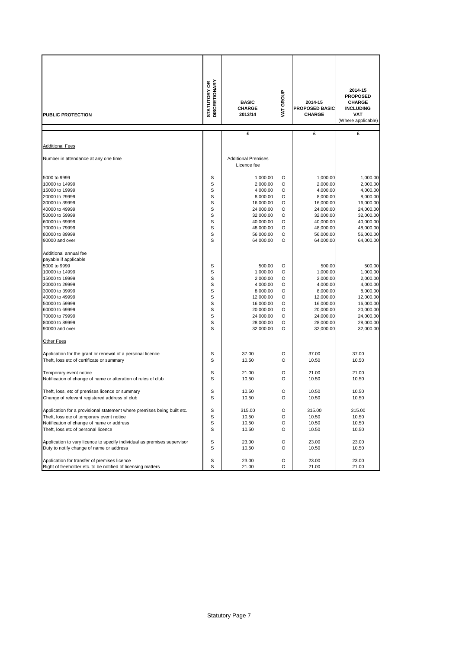| <b>PUBLIC PROTECTION</b>                                                                                                                                                                                                  | <b>STATUTORY OR<br/>DISCRETIONARY</b>               | VAT GROUP<br><b>BASIC</b><br><b>CHARGE</b><br>2013/14                                                                                   |                                                     | 2014-15<br><b>PROPOSED BASIC</b><br><b>CHARGE</b>                                                                                       | 2014-15<br><b>PROPOSED</b><br><b>CHARGE</b><br><b>INCLUDING</b><br>VAT<br>(Where applicable)                                            |
|---------------------------------------------------------------------------------------------------------------------------------------------------------------------------------------------------------------------------|-----------------------------------------------------|-----------------------------------------------------------------------------------------------------------------------------------------|-----------------------------------------------------|-----------------------------------------------------------------------------------------------------------------------------------------|-----------------------------------------------------------------------------------------------------------------------------------------|
|                                                                                                                                                                                                                           |                                                     | £                                                                                                                                       |                                                     | £                                                                                                                                       | £                                                                                                                                       |
| <b>Additional Fees</b>                                                                                                                                                                                                    |                                                     |                                                                                                                                         |                                                     |                                                                                                                                         |                                                                                                                                         |
| Number in attendance at any one time                                                                                                                                                                                      |                                                     | <b>Additional Premises</b><br>Licence fee                                                                                               |                                                     |                                                                                                                                         |                                                                                                                                         |
| 5000 to 9999<br>10000 to 14999<br>15000 to 19999<br>20000 to 29999<br>30000 to 39999<br>40000 to 49999<br>50000 to 59999<br>60000 to 69999<br>70000 to 79999<br>80000 to 89999<br>90000 and over<br>Additional annual fee | S<br>S<br>S<br>S<br>S<br>S<br>S<br>S<br>S<br>S<br>S | 1,000.00<br>2,000.00<br>4,000.00<br>8,000.00<br>16,000.00<br>24,000.00<br>32,000.00<br>40,000.00<br>48,000.00<br>56,000.00<br>64,000.00 | O<br>O<br>O<br>O<br>O<br>O<br>O<br>O<br>O<br>O<br>O | 1,000.00<br>2,000.00<br>4,000.00<br>8,000.00<br>16,000.00<br>24,000.00<br>32,000.00<br>40,000.00<br>48,000.00<br>56,000.00<br>64,000.00 | 1,000.00<br>2,000.00<br>4,000.00<br>8,000.00<br>16,000.00<br>24,000.00<br>32,000.00<br>40,000.00<br>48,000.00<br>56,000.00<br>64,000.00 |
| payable if applicable<br>5000 to 9999<br>10000 to 14999<br>15000 to 19999<br>20000 to 29999<br>30000 to 39999<br>40000 to 49999<br>50000 to 59999<br>60000 to 69999<br>70000 to 79999<br>80000 to 89999<br>90000 and over | S<br>S<br>S<br>S<br>S<br>S<br>S<br>S<br>S<br>S<br>S | 500.00<br>1,000.00<br>2,000.00<br>4,000.00<br>8,000.00<br>12,000.00<br>16,000.00<br>20,000.00<br>24,000.00<br>28,000.00<br>32,000.00    | O<br>O<br>O<br>O<br>O<br>O<br>O<br>O<br>O<br>O<br>O | 500.00<br>1,000.00<br>2,000.00<br>4,000.00<br>8,000.00<br>12,000.00<br>16,000.00<br>20,000.00<br>24,000.00<br>28,000.00<br>32,000.00    | 500.00<br>1,000.00<br>2,000.00<br>4,000.00<br>8,000.00<br>12,000.00<br>16,000.00<br>20,000.00<br>24,000.00<br>28,000.00<br>32,000.00    |
| Other Fees                                                                                                                                                                                                                |                                                     |                                                                                                                                         |                                                     |                                                                                                                                         |                                                                                                                                         |
| Application for the grant or renewal of a personal licence<br>Theft, loss etc of certificate or summary                                                                                                                   | S<br>S                                              | 37.00<br>10.50                                                                                                                          | O<br>O                                              | 37.00<br>10.50                                                                                                                          | 37.00<br>10.50                                                                                                                          |
| Temporary event notice<br>Notification of change of name or alteration of rules of club                                                                                                                                   | s<br>S                                              | 21.00<br>10.50                                                                                                                          | O<br>O                                              | 21.00<br>10.50                                                                                                                          | 21.00<br>10.50                                                                                                                          |
| Theft, loss, etc of premises licence or summary<br>Change of relevant registered address of club                                                                                                                          | s<br>S                                              | 10.50<br>10.50                                                                                                                          | O<br>O                                              | 10.50<br>10.50                                                                                                                          | 10.50<br>10.50                                                                                                                          |
| Application for a provisional statement where premises being built etc.<br>Theft, loss etc of temporary event notice<br>Notification of change of name or address<br>Theft, loss etc of personal licence                  | $\mathbb S$<br>S<br>S<br>S                          | 315.00<br>10.50<br>10.50<br>10.50                                                                                                       | O<br>O<br>O<br>O                                    | 315.00<br>10.50<br>10.50<br>10.50                                                                                                       | 315.00<br>10.50<br>10.50<br>10.50                                                                                                       |
| Application to vary licence to specify individual as premises supervisor<br>Duty to notify change of name or address                                                                                                      | S<br>S                                              | 23.00<br>10.50                                                                                                                          | O<br>O                                              | 23.00<br>10.50                                                                                                                          | 23.00<br>10.50                                                                                                                          |
| Application for transfer of premises licence<br>Right of freeholder etc. to be notified of licensing matters                                                                                                              | S<br>s                                              | 23.00<br>21.00                                                                                                                          | O<br>O                                              | 23.00<br>21.00                                                                                                                          | 23.00<br>21.00                                                                                                                          |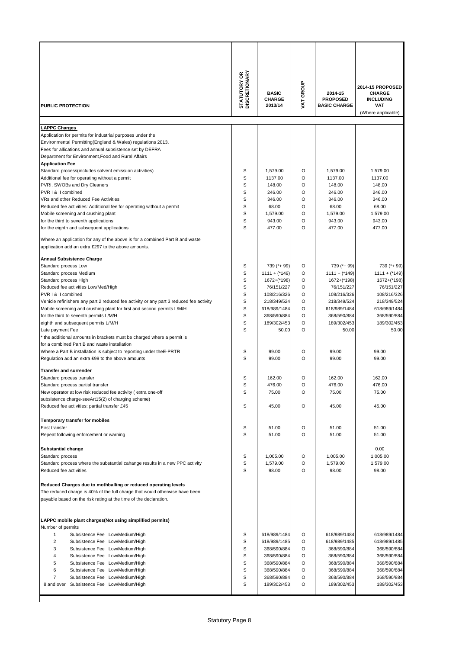| PUBLIC PROTECTION                                                                                                                                                                                                                                                                                                                                                                                                                                                               | <b>STATUTORY OR</b><br>DISCRETIONARY | <b>BASIC</b><br><b>CHARGE</b><br>2013/14          | VAT GROUP             | 2014-15<br><b>PROPOSED</b><br><b>BASIC CHARGE</b> | 2014-15 PROPOSED<br>CHARGE<br><b>INCLUDING</b><br>VAT<br>(Where applicable) |
|---------------------------------------------------------------------------------------------------------------------------------------------------------------------------------------------------------------------------------------------------------------------------------------------------------------------------------------------------------------------------------------------------------------------------------------------------------------------------------|--------------------------------------|---------------------------------------------------|-----------------------|---------------------------------------------------|-----------------------------------------------------------------------------|
| <b>LAPPC Charges</b>                                                                                                                                                                                                                                                                                                                                                                                                                                                            |                                      |                                                   |                       |                                                   |                                                                             |
| Application for permits for industrial purposes under the<br>Environmental Permitting(England & Wales) regulations 2013.<br>Fees for allications and annual subsistence set by DEFRA<br>Department for Environment, Food and Rural Affairs<br><b>Application Fee</b><br>Standard process(includes solvent emissiion activities)<br>Additional fee for operating without a permit<br>PVRI, SWOBs and Dry Cleaners<br>PVR   & II combined<br>VRs and other Reduced Fee Activities | S<br>S<br>S<br>S<br>S                | 1,579.00<br>1137.00<br>148.00<br>246.00<br>346.00 | O<br>O<br>O<br>O<br>O | 1,579.00<br>1137.00<br>148.00<br>246.00<br>346.00 | 1,579.00<br>1137.00<br>148.00<br>246.00<br>346.00                           |
| Reduced fee activities: Additional fee for operating without a permit                                                                                                                                                                                                                                                                                                                                                                                                           | S                                    | 68.00                                             | O                     | 68.00                                             | 68.00                                                                       |
| Mobile screening and crushing plant                                                                                                                                                                                                                                                                                                                                                                                                                                             | S                                    | 1,579.00                                          | O                     | 1,579.00                                          | 1,579.00                                                                    |
| for the third to seventh applications                                                                                                                                                                                                                                                                                                                                                                                                                                           | S                                    | 943.00                                            | O                     | 943.00                                            | 943.00                                                                      |
| for the eighth and subsequent applications                                                                                                                                                                                                                                                                                                                                                                                                                                      | S                                    | 477.00                                            | O                     | 477.00                                            | 477.00                                                                      |
| Where an application for any of the above is for a combined Part B and waste<br>application add an extra £297 to the above amounts.                                                                                                                                                                                                                                                                                                                                             |                                      |                                                   |                       |                                                   |                                                                             |
| <b>Annual Subsistence Charge</b>                                                                                                                                                                                                                                                                                                                                                                                                                                                |                                      |                                                   |                       |                                                   |                                                                             |
| Standard process Low                                                                                                                                                                                                                                                                                                                                                                                                                                                            | S                                    | 739 (*+ 99)                                       | O                     | 739 (*+ 99)                                       | 739 (*+ 99)                                                                 |
| Standard process Medium                                                                                                                                                                                                                                                                                                                                                                                                                                                         | S                                    | $1111 + (*149)$                                   | O                     | $1111 + (*149)$                                   | $1111 +$ (*149)                                                             |
| Standard process High                                                                                                                                                                                                                                                                                                                                                                                                                                                           | S                                    | 1672+(*198)                                       | O                     | 1672+(*198)                                       | 1672+(*198)                                                                 |
| Reduced fee activities Low/Med/High                                                                                                                                                                                                                                                                                                                                                                                                                                             | S                                    | 76/151/227                                        | O                     | 76/151/227                                        | 76/151/227                                                                  |
| PVR I & II combined                                                                                                                                                                                                                                                                                                                                                                                                                                                             | S                                    | 108/216/326                                       | O                     | 108/216/326                                       | 108/216/326                                                                 |
| Vehicle refinishere any part 2 reduced fee activity or any part 3 reduced fee activity                                                                                                                                                                                                                                                                                                                                                                                          | S<br>S                               | 218/349/524<br>618/989/1484                       | O<br>O                | 218/349/524                                       | 218/349/524                                                                 |
| Mobile screening and crushing plant for first and second permits L/M/H<br>for the third to seventh permits L/M/H                                                                                                                                                                                                                                                                                                                                                                | S                                    | 368/590/884                                       | O                     | 618/989/1484<br>368/590/884                       | 618/989/1484<br>368/590/884                                                 |
| eighth and subsequent permits L/M/H                                                                                                                                                                                                                                                                                                                                                                                                                                             | S                                    | 189/302/453                                       | O                     | 189/302/453                                       | 189/302/453                                                                 |
| Late payment Fee                                                                                                                                                                                                                                                                                                                                                                                                                                                                | S                                    | 50.00                                             | O                     | 50.00                                             | 50.00                                                                       |
| the additional amounts in brackets must be charged where a permit is                                                                                                                                                                                                                                                                                                                                                                                                            |                                      |                                                   |                       |                                                   |                                                                             |
| for a combined Part B and waste installation                                                                                                                                                                                                                                                                                                                                                                                                                                    |                                      |                                                   |                       |                                                   |                                                                             |
| Where a Part B installation is subject to reporting under the E-PRTR                                                                                                                                                                                                                                                                                                                                                                                                            | S                                    | 99.00                                             | O                     | 99.00                                             | 99.00                                                                       |
| Regulation add an extra £99 to the above amounts                                                                                                                                                                                                                                                                                                                                                                                                                                | S                                    | 99.00                                             | O                     | 99.00                                             | 99.00                                                                       |
| <b>Transfer and surrender</b>                                                                                                                                                                                                                                                                                                                                                                                                                                                   |                                      |                                                   |                       |                                                   |                                                                             |
| Standard process transfer                                                                                                                                                                                                                                                                                                                                                                                                                                                       | S                                    | 162.00                                            | O                     | 162.00                                            | 162.00                                                                      |
| Standard process partial transfer                                                                                                                                                                                                                                                                                                                                                                                                                                               | S                                    | 476.00                                            | O                     | 476.00                                            | 476.00                                                                      |
| New operator at low risk reduced fee activity (extra one-off                                                                                                                                                                                                                                                                                                                                                                                                                    | S                                    | 75.00                                             | O                     | 75.00                                             | 75.00                                                                       |
| subsistence charge-seeArt15(2) of charging scheme)                                                                                                                                                                                                                                                                                                                                                                                                                              |                                      |                                                   |                       |                                                   |                                                                             |
| Reduced fee activities: partial transfer £45                                                                                                                                                                                                                                                                                                                                                                                                                                    | S                                    | 45.00                                             | O                     | 45.00                                             | 45.00                                                                       |
| Temporary transfer for mobiles<br>First transfer                                                                                                                                                                                                                                                                                                                                                                                                                                | S                                    | 51.00                                             | O                     | 51.00                                             | 51.00                                                                       |
| Repeat following enforcement or warning                                                                                                                                                                                                                                                                                                                                                                                                                                         | S                                    | 51.00                                             | O                     | 51.00                                             | 51.00                                                                       |
|                                                                                                                                                                                                                                                                                                                                                                                                                                                                                 |                                      |                                                   |                       |                                                   |                                                                             |
| <b>Substantial change</b>                                                                                                                                                                                                                                                                                                                                                                                                                                                       |                                      |                                                   |                       |                                                   | 0.00                                                                        |
| Standard process                                                                                                                                                                                                                                                                                                                                                                                                                                                                | S                                    | 1,005.00                                          | O                     | 1,005.00                                          | 1,005.00                                                                    |
| Standard process where the substantial cahange results in a new PPC activity                                                                                                                                                                                                                                                                                                                                                                                                    | S                                    | 1,579.00                                          | O                     | 1,579.00                                          | 1,579.00                                                                    |
| Reduced fee activities                                                                                                                                                                                                                                                                                                                                                                                                                                                          | S                                    | 98.00                                             | O                     | 98.00                                             | 98.00                                                                       |
| Reduced Charges due to mothballing or reduced operating levels                                                                                                                                                                                                                                                                                                                                                                                                                  |                                      |                                                   |                       |                                                   |                                                                             |
| The reduced charge is 40% of the full charge that would otherwise have been                                                                                                                                                                                                                                                                                                                                                                                                     |                                      |                                                   |                       |                                                   |                                                                             |
| payable based on the risk rating at the time of the declaration.                                                                                                                                                                                                                                                                                                                                                                                                                |                                      |                                                   |                       |                                                   |                                                                             |
| LAPPC mobile plant charges(Not using simplified permits)<br>Number of permits                                                                                                                                                                                                                                                                                                                                                                                                   |                                      |                                                   |                       |                                                   |                                                                             |
| 1<br>Subsistence Fee Low/Medium/High                                                                                                                                                                                                                                                                                                                                                                                                                                            | S                                    | 618/989/1484                                      | O                     | 618/989/1484                                      | 618/989/1484                                                                |
| $\overline{\mathbf{c}}$<br>Subsistence Fee Low/Medium/High                                                                                                                                                                                                                                                                                                                                                                                                                      | S                                    | 618/989/1485                                      | O                     | 618/989/1485                                      | 618/989/1485                                                                |
| 3<br>Subsistence Fee Low/Medium/High                                                                                                                                                                                                                                                                                                                                                                                                                                            | S                                    | 368/590/884                                       | O                     | 368/590/884                                       | 368/590/884                                                                 |
| Subsistence Fee Low/Medium/High<br>4                                                                                                                                                                                                                                                                                                                                                                                                                                            | S                                    | 368/590/884                                       | O                     | 368/590/884                                       | 368/590/884                                                                 |
| 5<br>Subsistence Fee Low/Medium/High                                                                                                                                                                                                                                                                                                                                                                                                                                            | S                                    | 368/590/884                                       | O                     | 368/590/884                                       | 368/590/884                                                                 |
| 6<br>Subsistence Fee Low/Medium/High                                                                                                                                                                                                                                                                                                                                                                                                                                            | S                                    | 368/590/884                                       | O                     | 368/590/884                                       | 368/590/884                                                                 |
| 7<br>Subsistence Fee Low/Medium/High                                                                                                                                                                                                                                                                                                                                                                                                                                            | S                                    | 368/590/884                                       | O                     | 368/590/884                                       | 368/590/884                                                                 |
| 8 and over Subsistence Fee Low/Medium/High                                                                                                                                                                                                                                                                                                                                                                                                                                      | S                                    | 189/302/453                                       | O                     | 189/302/453                                       | 189/302/453                                                                 |
|                                                                                                                                                                                                                                                                                                                                                                                                                                                                                 |                                      |                                                   |                       |                                                   |                                                                             |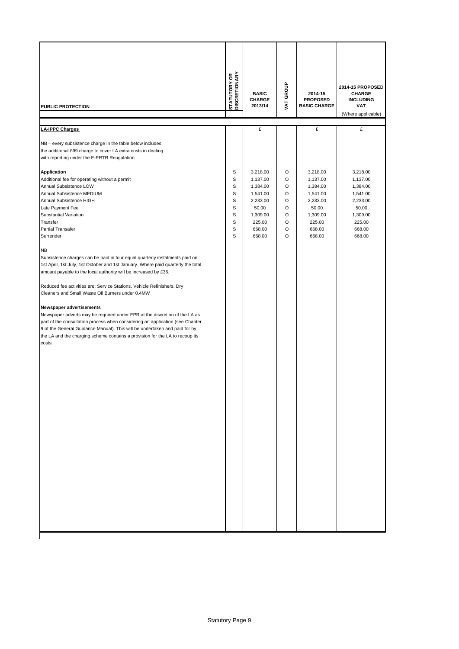| £<br>£<br><b>LA-IPPC Charges</b>                                                                                                                                                                                                                                                                                                                                                                                                                                                                                                                                                                                                                                                                                                                                                                                                                                                                                                                                                                                                                                                                                                                                                                                                                                                                                                                                          |                                                                                                             |
|---------------------------------------------------------------------------------------------------------------------------------------------------------------------------------------------------------------------------------------------------------------------------------------------------------------------------------------------------------------------------------------------------------------------------------------------------------------------------------------------------------------------------------------------------------------------------------------------------------------------------------------------------------------------------------------------------------------------------------------------------------------------------------------------------------------------------------------------------------------------------------------------------------------------------------------------------------------------------------------------------------------------------------------------------------------------------------------------------------------------------------------------------------------------------------------------------------------------------------------------------------------------------------------------------------------------------------------------------------------------------|-------------------------------------------------------------------------------------------------------------|
|                                                                                                                                                                                                                                                                                                                                                                                                                                                                                                                                                                                                                                                                                                                                                                                                                                                                                                                                                                                                                                                                                                                                                                                                                                                                                                                                                                           |                                                                                                             |
| NB - every subsistence charge in the table below includes<br>the additional £99 charge to cover LA extra costs in dealing<br>with reporting under the E-PRTR Reugulation                                                                                                                                                                                                                                                                                                                                                                                                                                                                                                                                                                                                                                                                                                                                                                                                                                                                                                                                                                                                                                                                                                                                                                                                  | £                                                                                                           |
| S<br>3,218.00<br>O<br>3,218.00<br><b>Application</b><br>S<br>$\circ$<br>Additional fee for operating without a permit<br>1,137.00<br>1,137.00<br>S<br>$\circ$<br>Annual Subsistence LOW<br>1,384.00<br>1,384.00<br>S<br>$\circ$<br>Annual Subsistence MEDIUM<br>1,541.00<br>1,541.00<br>S<br>$\circ$<br>Annual Subsistence HIGH<br>2,233.00<br>2,233.00<br>Late Payment Fee<br>S<br>O<br>50.00<br>50.00<br>Substantial Variation<br>S<br>$\circ$<br>1,309.00<br>1,309.00<br>Transfer<br>S<br>225.00<br>O<br>225.00<br>Partial Transafer<br>$\circ$<br>S<br>668.00<br>668.00<br>Surrender<br>S<br>668.00<br>$\circ$<br>668.00<br>NB<br>Subsistence charges can be paid in four equal quarterly instalments paid on<br>1st April, 1st July, 1st October and 1st January. Where paid quarterly the total<br>amount payable to the local authority will be increased by £36.<br>Reduced fee activities are; Service Stations, Vehicle Refinishers, Dry<br>Cleaners and Small Waste Oil Burners under 0.4MW<br>Newspaper advertisements<br>Newspaper adverts may be required under EPR at the discretion of the LA as<br>part of the consultation process when considering an application (see Chapter<br>9 of the General Guidance Manual). This will be undertaken and paid for by<br>the LA and the charging scheme contains a provision for the LA to recoup its<br>costs. | 3,218.00<br>1,137.00<br>1,384.00<br>1,541.00<br>2,233.00<br>50.00<br>1,309.00<br>225.00<br>668.00<br>668.00 |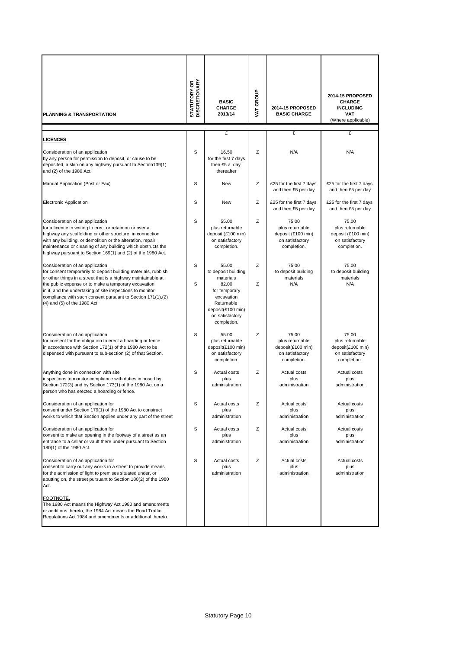| PLANNING & TRANSPORTATION                                                                                                                                                                                                                                                                                                                                                               | <b>STATUTORY OR<br/>DISCRETIONARY</b> | <b>BASIC</b><br><b>CHARGE</b><br>2013/14                                                                                                               | VAT GROUP | 2014-15 PROPOSED<br><b>BASIC CHARGE</b>                                          | 2014-15 PROPOSED<br><b>CHARGE</b><br><b>INCLUDING</b><br><b>VAT</b><br>(Where applicable) |
|-----------------------------------------------------------------------------------------------------------------------------------------------------------------------------------------------------------------------------------------------------------------------------------------------------------------------------------------------------------------------------------------|---------------------------------------|--------------------------------------------------------------------------------------------------------------------------------------------------------|-----------|----------------------------------------------------------------------------------|-------------------------------------------------------------------------------------------|
| <b>LICENCES</b>                                                                                                                                                                                                                                                                                                                                                                         |                                       | £                                                                                                                                                      |           | £                                                                                | £                                                                                         |
| Consideration of an application<br>by any person for permission to deposit, or cause to be<br>deposited, a skip on any highway pursuant to Section139(1)<br>and (2) of the 1980 Act.                                                                                                                                                                                                    | S                                     | 16.50<br>for the first 7 days<br>then £5 a day<br>thereafter                                                                                           | Z         | N/A                                                                              | N/A                                                                                       |
| Manual Application (Post or Fax)                                                                                                                                                                                                                                                                                                                                                        | S                                     | New                                                                                                                                                    | Z         | £25 for the first 7 days<br>and then £5 per day                                  | £25 for the first 7 days<br>and then £5 per day                                           |
| <b>Electronic Application</b>                                                                                                                                                                                                                                                                                                                                                           | S                                     | New                                                                                                                                                    | Z         | £25 for the first 7 days<br>and then £5 per day                                  | £25 for the first 7 days<br>and then £5 per day                                           |
| Consideration of an application<br>for a licence in writing to erect or retain on or over a<br>highway any scaffolding or other structure, in connection<br>with any building, or demolition or the alteration, repair,<br>maintenance or cleaning of any building which obstructs the<br>highway pursuant to Section 169(1) and (2) of the 1980 Act.                                   | S                                     | 55.00<br>plus returnable<br>deposit (£100 min)<br>on satisfactory<br>completion.                                                                       | Z         | 75.00<br>plus returnable<br>deposit (£100 min)<br>on satisfactory<br>completion. | 75.00<br>plus returnable<br>deposit (£100 min)<br>on satisfactory<br>completion.          |
| Consideration of an application<br>for consent temporarily to deposit building materials, rubbish<br>or other things in a street that is a highway maintainable at<br>the public expense or to make a temporary excavation<br>in it, and the undertaking of site inspections to monitor<br>compliance with such consent pursuant to Section 171(1), (2)<br>(4) and (5) of the 1980 Act. | S<br>S                                | 55.00<br>to deposit building<br>materials<br>82.00<br>for temporary<br>excavation<br>Returnable<br>deposit(£100 min)<br>on satisfactory<br>completion. | Z<br>Z    | 75.00<br>to deposit building<br>materials<br>N/A                                 | 75.00<br>to deposit building<br>materials<br>N/A                                          |
| Consideration of an application<br>for consent for the obligation to erect a hoarding or fence<br>in accordance with Section 172(1) of the 1980 Act to be<br>dispensed with pursuant to sub-section (2) of that Section.                                                                                                                                                                | S                                     | 55.00<br>plus returnable<br>deposit(£100 min)<br>on satisfactory<br>completion.                                                                        | Z         | 75.00<br>plus returnable<br>deposit(£100 min)<br>on satisfactory<br>completion.  | 75.00<br>plus returnable<br>deposit(£100 min)<br>on satisfactory<br>completion.           |
| Anything done in connection with site<br>inspections to monitor compliance with duties imposed by<br>Section 172(3) and by Section 173(1) of the 1980 Act on a<br>person who has erected a hoarding or fence.                                                                                                                                                                           | S                                     | Actual costs<br>plus<br>administration                                                                                                                 | Z         | Actual costs<br>plus<br>administration                                           | Actual costs<br>plus<br>administration                                                    |
| Consideration of an application for<br>consent under Section 179(1) of the 1980 Act to construct<br>works to which that Section applies under any part of the street                                                                                                                                                                                                                    | S                                     | Actual costs<br>plus<br>administration                                                                                                                 | z         | Actual costs<br>plus<br>administration                                           | Actual costs<br>plus<br>administration                                                    |
| Consideration of an application for<br>consent to make an opening in the footway of a street as an<br>entrance to a cellar or vault there under pursuant to Section<br>180(1) of the 1980 Act.                                                                                                                                                                                          | S                                     | Actual costs<br>plus<br>administration                                                                                                                 | Ζ         | Actual costs<br>plus<br>administration                                           | Actual costs<br>plus<br>administration                                                    |
| Consideration of an application for<br>consent to carry out any works in a street to provide means<br>for the admission of light to premises situated under, or<br>abutting on, the street pursuant to Section 180(2) of the 1980<br>Act.                                                                                                                                               | S                                     | Actual costs<br>plus<br>administration                                                                                                                 | Ζ         | Actual costs<br>plus<br>administration                                           | Actual costs<br>plus<br>administration                                                    |
| FOOTNOTE.<br>The 1980 Act means the Highway Act 1980 and amendments<br>or additions thereto, the 1984 Act means the Road Traffic<br>Regulations Act 1984 and amendments or additional thereto.                                                                                                                                                                                          |                                       |                                                                                                                                                        |           |                                                                                  |                                                                                           |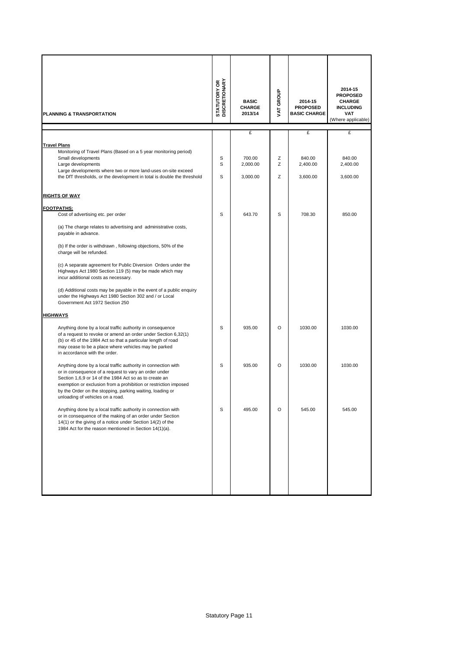| PLANNING & TRANSPORTATION                                                                                                                                                                                                                                                                                                                             | <b>STATUTORY OR<br/>DISCRETIONARY</b> | <b>BASIC</b><br>CHARGE<br>2013/14 | VAT GROUP | 2014-15<br><b>PROPOSED</b><br><b>BASIC CHARGE</b> | 2014-15<br><b>PROPOSED</b><br><b>CHARGE</b><br><b>INCLUDING</b><br>VAT<br>(Where applicable) |
|-------------------------------------------------------------------------------------------------------------------------------------------------------------------------------------------------------------------------------------------------------------------------------------------------------------------------------------------------------|---------------------------------------|-----------------------------------|-----------|---------------------------------------------------|----------------------------------------------------------------------------------------------|
|                                                                                                                                                                                                                                                                                                                                                       |                                       | £                                 |           | £                                                 | £                                                                                            |
| <b>Travel Plans</b><br>Monitoring of Travel Plans (Based on a 5 year monitoring period)                                                                                                                                                                                                                                                               |                                       |                                   |           |                                                   |                                                                                              |
| Small developments                                                                                                                                                                                                                                                                                                                                    | S                                     | 700.00                            | Z         | 840.00                                            | 840.00                                                                                       |
| Large developments<br>Large developments where two or more land-uses on-site exceed                                                                                                                                                                                                                                                                   | S                                     | 2,000.00                          | Ζ         | 2,400.00                                          | 2,400.00                                                                                     |
| the DfT thresholds, or the development in total is double the threshold                                                                                                                                                                                                                                                                               | S                                     | 3,000.00                          | Ζ         | 3,600.00                                          | 3,600.00                                                                                     |
| <u>RIGHTS OF WAY</u>                                                                                                                                                                                                                                                                                                                                  |                                       |                                   |           |                                                   |                                                                                              |
| <b>FOOTPATHS:</b>                                                                                                                                                                                                                                                                                                                                     |                                       |                                   |           |                                                   |                                                                                              |
| Cost of advertising etc. per order                                                                                                                                                                                                                                                                                                                    | S                                     | 643.70                            | S         | 708.30                                            | 850.00                                                                                       |
| (a) The charge relates to advertising and administrative costs,<br>payable in advance.                                                                                                                                                                                                                                                                |                                       |                                   |           |                                                   |                                                                                              |
| (b) If the order is withdrawn, following objections, 50% of the<br>charge will be refunded.                                                                                                                                                                                                                                                           |                                       |                                   |           |                                                   |                                                                                              |
| (c) A separate agreement for Public Diversion Orders under the<br>Highways Act 1980 Section 119 (5) may be made which may<br>incur additional costs as necessary.                                                                                                                                                                                     |                                       |                                   |           |                                                   |                                                                                              |
| (d) Additional costs may be payable in the event of a public enquiry<br>under the Highways Act 1980 Section 302 and / or Local<br>Government Act 1972 Section 250                                                                                                                                                                                     |                                       |                                   |           |                                                   |                                                                                              |
| <b>HIGHWAYS</b>                                                                                                                                                                                                                                                                                                                                       |                                       |                                   |           |                                                   |                                                                                              |
| Anything done by a local traffic authority in consequence<br>of a request to revoke or amend an order under Section 6,32(1)<br>(b) or 45 of the 1984 Act so that a particular length of road<br>may cease to be a place where vehicles may be parked<br>in accordance with the order.                                                                 | S                                     | 935.00                            | O         | 1030.00                                           | 1030.00                                                                                      |
| Anything done by a local traffic authority in connection with<br>or in consequence of a request to vary an order under<br>Section 1,6,9 or 14 of the 1984 Act so as to create an<br>exemption or exclusion from a prohibition or restriction imposed<br>by the Order on the stopping, parking waiting, loading or<br>unloading of vehicles on a road. | S                                     | 935.00                            | O         | 1030.00                                           | 1030.00                                                                                      |
| Anything done by a local traffic authority in connection with<br>or in consequence of the making of an order under Section<br>14(1) or the giving of a notice under Section 14(2) of the<br>1984 Act for the reason mentioned in Section 14(1)(a).                                                                                                    | S                                     | 495.00                            | O         | 545.00                                            | 545.00                                                                                       |
|                                                                                                                                                                                                                                                                                                                                                       |                                       |                                   |           |                                                   |                                                                                              |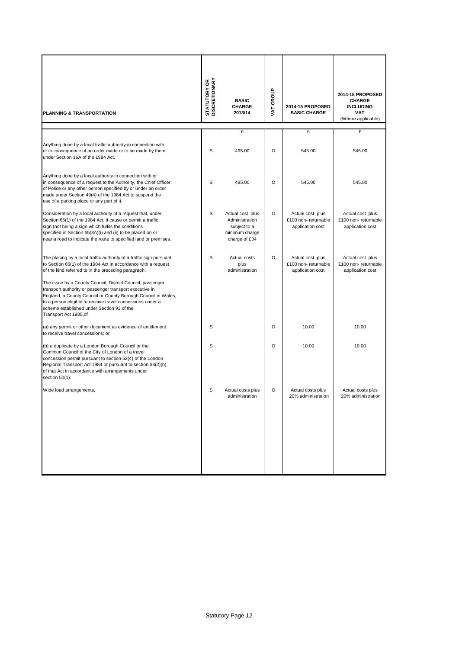| <b>PLANNING &amp; TRANSPORTATION</b>                                                                                                                                                                                                                                                                                                                                                                                                                                                                                        | <b>STATUTORY OR<br/>DISCRETIONARY</b> | <b>BASIC</b><br><b>CHARGE</b><br>2013/14                                              | VAT GROUP | 2014-15 PROPOSED<br><b>BASIC CHARGE</b>                     | 2014-15 PROPOSED<br><b>CHARGE</b><br><b>INCLUDING</b><br><b>VAT</b><br>(Where applicable) |
|-----------------------------------------------------------------------------------------------------------------------------------------------------------------------------------------------------------------------------------------------------------------------------------------------------------------------------------------------------------------------------------------------------------------------------------------------------------------------------------------------------------------------------|---------------------------------------|---------------------------------------------------------------------------------------|-----------|-------------------------------------------------------------|-------------------------------------------------------------------------------------------|
|                                                                                                                                                                                                                                                                                                                                                                                                                                                                                                                             |                                       | £                                                                                     |           | £                                                           | £                                                                                         |
| Anything done by a local traffic authority in connection with<br>or in consequence of an order made or to be made by them<br>under Section 16A of the 1984 Act.                                                                                                                                                                                                                                                                                                                                                             | S                                     | 495.00                                                                                | $\circ$   | 545.00                                                      | 545.00                                                                                    |
| Anything done by a local authority in connection with or<br>in consequence of a request to the Authority, the Chief Officer<br>of Police or any other person specified by or under an order<br>made under Section 49(4) of the 1984 Act to suspend the<br>use of a parking place or any part of it.                                                                                                                                                                                                                         | S                                     | 495.00                                                                                | $\circ$   | 545.00                                                      | 545.00                                                                                    |
| Consideration by a local authority of a request that, under<br>Section 65(1) of the 1984 Act, it cause or permit a traffic<br>sign (not being a sign which fulfils the conditions<br>specified in Section 65(3A)(i) and (ii) to be placed on or<br>near a road to indicate the route to specified land or premises.                                                                                                                                                                                                         | S                                     | Actual cost plus<br>Administration<br>subject to a<br>minimum charge<br>charge of £34 | O         | Actual cost plus<br>£100 non-returnable<br>application cost | Actual cost plus<br>£100 non-returnable<br>application cost                               |
| The placing by a local traffic authority of a traffic sign pursuant<br>to Section 65(1) of the 1984 Act in accordance with a request<br>of the kind referred to in the preceding paragraph.<br>The issue by a County Council, District Council, passenger<br>transport authority or passenger transport executive in<br>England, a County Council or County Borough Council in Wales,<br>to a person eligible to receive travel concessions under a<br>scheme established under Section 93 of the<br>Transport Act 1985, of | S                                     | Actual costs<br>plus<br>administration                                                | O         | Actual cost plus<br>£100 non-returnable<br>application cost | Actual cost plus<br>£100 non-returnable<br>application cost                               |
| (a) any permit or other document as evidence of entitlement<br>to receive travel concessions; or                                                                                                                                                                                                                                                                                                                                                                                                                            | S                                     |                                                                                       | $\circ$   | 10.00                                                       | 10.00                                                                                     |
| (b) a duplicate by a London Borough Council or the<br>Common Council of the City of London of a travel<br>concession permit pursuant to section 52(4) of the London<br>Regional Transport Act 1984 or pursuant to section 53(2)(b)<br>of that Act in accordance with arrangements under<br>section $50(1)$ .                                                                                                                                                                                                                | S                                     |                                                                                       | $\circ$   | 10.00                                                       | 10.00                                                                                     |
| Wide load arrangements.                                                                                                                                                                                                                                                                                                                                                                                                                                                                                                     | S                                     | Actual costs plus<br>administration                                                   | O         | Actual costs plus<br>20% administration                     | Actual costs plus<br>20% administration                                                   |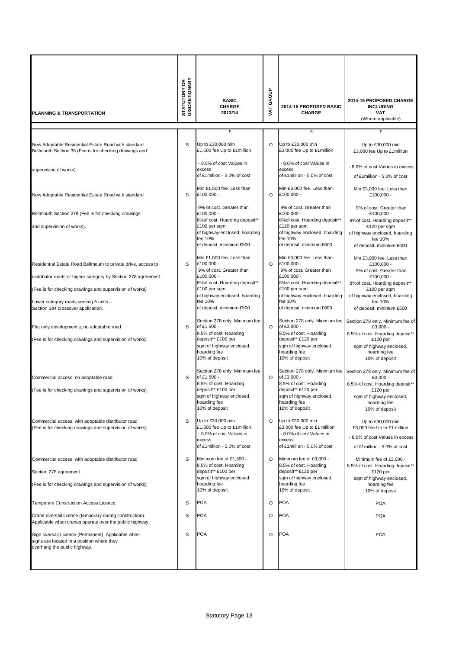| <b>PLANNING &amp; TRANSPORTATION</b>                                                                                                                                                                                                                                      | <b>STATUTORY OR</b><br>DISCRETIONARY | <b>BASIC</b><br><b>CHARGE</b><br>2013/14                                                                                                                                                                    | VAT GROUP | 2014-15 PROPOSED BASIC<br><b>CHARGE</b>                                                                                                                                                                     | 2014-15 PROPOSED CHARGE<br><b>INCLUDING</b><br><b>VAT</b><br>(Where applicable)                                                                                                                             |
|---------------------------------------------------------------------------------------------------------------------------------------------------------------------------------------------------------------------------------------------------------------------------|--------------------------------------|-------------------------------------------------------------------------------------------------------------------------------------------------------------------------------------------------------------|-----------|-------------------------------------------------------------------------------------------------------------------------------------------------------------------------------------------------------------|-------------------------------------------------------------------------------------------------------------------------------------------------------------------------------------------------------------|
|                                                                                                                                                                                                                                                                           |                                      | £                                                                                                                                                                                                           |           | £                                                                                                                                                                                                           | £                                                                                                                                                                                                           |
| New Adoptable Residential Estate Road with standard<br>Bellmouth Section 38 (Fee is for checking drawings and                                                                                                                                                             | S                                    | Up to £30,000 min<br>£1,500 fee Up to £1 million                                                                                                                                                            | $\circ$   | Up to £30,000 min<br>£3,000 fee Up to £1million                                                                                                                                                             | Up to £30,000 min<br>£3,000 fee Up to £1 million                                                                                                                                                            |
| supervision of works)                                                                                                                                                                                                                                                     |                                      | - 8.0% of cost Values in<br>excess<br>of £1million - 5.0% of cost                                                                                                                                           |           | - 8.0% of cost Values in<br>excess<br>of £1million - 5.0% of cost                                                                                                                                           | - 8.0% of cost Values in excess<br>of £1million - 5.0% of cost                                                                                                                                              |
| New Adoptable Residential Estate Road with standard                                                                                                                                                                                                                       | S                                    | Min £1,500 fee. Less than<br>£100,000 -                                                                                                                                                                     | $\circ$   | Min £3,000 fee. Less than<br>£100,000 -                                                                                                                                                                     | Min £3,000 fee. Less than<br>£100,000 -                                                                                                                                                                     |
| Bellmouth Section 278 (Fee is for checking drawings<br>and supervision of works).                                                                                                                                                                                         |                                      | 9% of cost. Greater than<br>£100,000 -<br>8% of cost. Hoarding deposit**<br>£100 per sqm<br>of highway enclosed, hoarding<br>fee 10%<br>of deposit, minimum £500                                            |           | 9% of cost. Greater than<br>£100,000 -<br>8% of cost. Hoarding deposit**<br>£120 per sqm<br>of highway enclosed, hoarding<br>fee 10%<br>of deposit, minimum £600                                            | 9% of cost. Greater than<br>$£100.000 -$<br>8% of cost. Hoarding deposit**<br>£120 per sqm<br>of highway enclosed, hoarding<br>fee 10%<br>of deposit, minimum £600                                          |
| Residential Estate Road Bellmouth to private drive, access to<br>distributor roads or higher category by Section 278 agreement<br>(Fee is for checking drawings and supervision of works)<br>Lower category roads serving 5 units -<br>Section 184 crossover application. | S                                    | Min £1.500 fee. Less than<br>£100,000 -<br>9% of cost. Greater than<br>£100,000 -<br>8% of cost. Hoarding deposit**<br>£100 per sqm<br>of highway enclosed, hoarding<br>fee 10%<br>of deposit, minimum £500 | $\Omega$  | Min £3,000 fee. Less than<br>£100,000 -<br>9% of cost. Greater than<br>£100,000 -<br>8% of cost. Hoarding deposit**<br>£100 per sqm<br>of highway enclosed, hoarding<br>fee 10%<br>of deposit, minimum £600 | Min £3,000 fee. Less than<br>£100,000 -<br>9% of cost. Greater than<br>£100,000 -<br>8% of cost. Hoarding deposit**<br>£100 per sqm<br>of highway enclosed, hoarding<br>fee 10%<br>of deposit, minimum £600 |
| Flat only development's; no adoptable road<br>(Fee is for checking drawings and supervision of works)                                                                                                                                                                     | S                                    | Section 278 only. Minimum fee<br>of £1,500 -<br>8.5% of cost. Hoarding<br>deposit** £100 per<br>sqm of highway enclosed,<br>hoarding fee<br>10% of deposit                                                  | $\circ$   | Section 278 only. Minimum fee<br>of £3,000 -<br>8.5% of cost. Hoarding<br>deposit** £120 per<br>sqm of highway enclosed,<br>hoarding fee<br>10% of deposit                                                  | Section 278 only. Minimum fee of<br>£3,000 -<br>8.5% of cost. Hoarding deposit**<br>£120 per<br>sqm of highway enclosed,<br>hoarding fee<br>10% of deposit                                                  |
| Commercial access; no adoptable road<br>(Fee is for checking drawings and supervision of works)                                                                                                                                                                           | S                                    | Section 278 only. Minimum fee<br>of £1,500 -<br>8.5% of cost. Hoarding<br>deposit** £100 per<br>sqm of highway enclosed,<br>hoarding fee<br>10% of deposit                                                  | $\circ$   | Section 278 only. Minimum fee<br>of £3,000 -<br>8.5% of cost. Hoarding<br>deposit** £120 per<br>sqm of highway enclosed,<br>hoarding fee<br>10% of deposit                                                  | Section 278 only. Minimum fee of<br>£3,000 -<br>8.5% of cost. Hoarding deposit**<br>£120 per<br>sqm of highway enclosed,<br>hoarding fee<br>10% of deposit                                                  |
| Commercial access; with adoptable distributor road<br>(Fee is for checking drawings and supervision of works)                                                                                                                                                             | S                                    | Up to £30,000 min<br>£1,500 fee Up to £1 million<br>- 8.0% of cost Values in<br>excess<br>of £1million - 5.0% of cost                                                                                       | $\circ$   | Up to £30,000 min<br>£3,000 fee Up to £1 million<br>- 8.0% of cost Values in<br>excess<br>of £1 million - 5.0% of cost                                                                                      | Up to £30,000 min<br>£3,000 fee Up to £1 million<br>- 8.0% of cost Values in excess<br>of £1 million - 5.0% of cost                                                                                         |
| Commercial access; with adoptable distributor road<br>Section 278 agreement<br>(Fee is for checking drawings and supervision of works)                                                                                                                                    | S                                    | Minimum fee of £1,500 -<br>8.5% of cost. Hoarding<br>deposit** £100 per<br>sqm of highway enclosed,<br>hoarding fee<br>10% of deposit                                                                       | $\circ$   | Minimum fee of £3,000 -<br>8.5% of cost. Hoarding<br>deposit** £120 per<br>sqm of highway enclosed,<br>hoarding fee<br>10% of deposit                                                                       | Minimum fee of £3,000 -<br>8.5% of cost. Hoarding deposit**<br>£120 per<br>sqm of highway enclosed,<br>hoarding fee<br>10% of deposit                                                                       |
| Temporary Construction Access Licence.                                                                                                                                                                                                                                    | S                                    | POA                                                                                                                                                                                                         | O         | <b>POA</b>                                                                                                                                                                                                  | <b>POA</b>                                                                                                                                                                                                  |
| Crane oversail licence (temporary during construction).<br>Applicable when cranes operate over the public highway.                                                                                                                                                        | S                                    | POA                                                                                                                                                                                                         | O         | <b>POA</b>                                                                                                                                                                                                  | <b>POA</b>                                                                                                                                                                                                  |
| Sign oversail Licence (Permanent). Applicable when<br>signs are located in a position where they<br>overhang the public highway.                                                                                                                                          | S                                    | <b>POA</b>                                                                                                                                                                                                  | $\circ$   | <b>POA</b>                                                                                                                                                                                                  | <b>POA</b>                                                                                                                                                                                                  |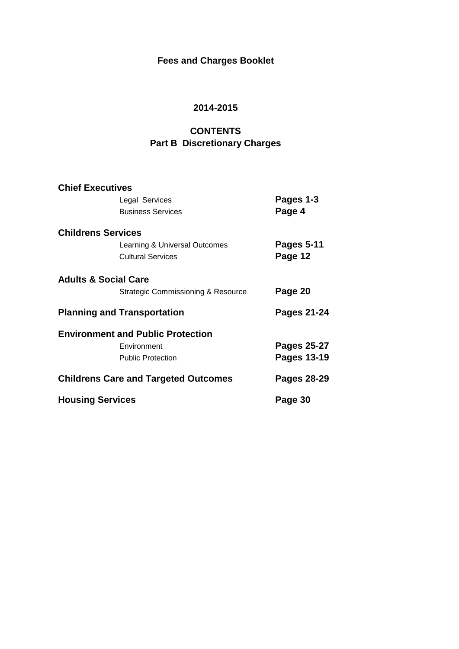# **Fees and Charges Booklet**

# **2014-2015**

# **CONTENTS Part B Discretionary Charges**

| <b>Chief Executives</b>         |                                             |                    |
|---------------------------------|---------------------------------------------|--------------------|
|                                 | Legal Services                              | Pages 1-3          |
|                                 | <b>Business Services</b>                    | Page 4             |
| <b>Childrens Services</b>       |                                             |                    |
|                                 | Learning & Universal Outcomes               | <b>Pages 5-11</b>  |
|                                 | <b>Cultural Services</b>                    | Page 12            |
| <b>Adults &amp; Social Care</b> |                                             |                    |
|                                 | Strategic Commissioning & Resource          | Page 20            |
|                                 | <b>Planning and Transportation</b>          | Pages 21-24        |
|                                 | <b>Environment and Public Protection</b>    |                    |
|                                 | Environment                                 | Pages 25-27        |
|                                 | <b>Public Protection</b>                    | <b>Pages 13-19</b> |
|                                 | <b>Childrens Care and Targeted Outcomes</b> | Pages 28-29        |
| <b>Housing Services</b>         |                                             | Page 30            |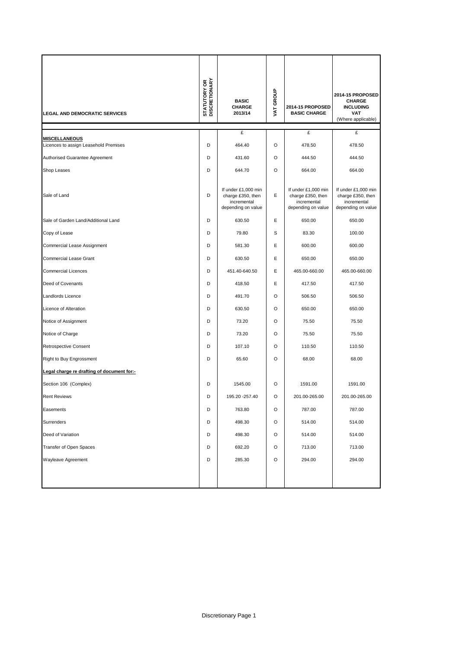| <b>LEGAL AND DEMOCRATIC SERVICES</b>                          | <b>STATUTORY OR</b><br>DISCRETIONARY | <b>BASIC</b><br><b>CHARGE</b><br>2013/14                                      | VAT GROUP | 2014-15 PROPOSED<br><b>BASIC CHARGE</b>                                       | 2014-15 PROPOSED<br><b>CHARGE</b><br><b>INCLUDING</b><br><b>VAT</b><br>(Where applicable) |
|---------------------------------------------------------------|--------------------------------------|-------------------------------------------------------------------------------|-----------|-------------------------------------------------------------------------------|-------------------------------------------------------------------------------------------|
|                                                               |                                      | £                                                                             |           | £                                                                             | £                                                                                         |
| <b>MISCELLANEOUS</b><br>Licences to assign Leasehold Premises | D                                    | 464.40                                                                        | O         | 478.50                                                                        | 478.50                                                                                    |
| Authorised Guarantee Agreement                                | D                                    | 431.60                                                                        | O         | 444.50                                                                        | 444.50                                                                                    |
| Shop Leases                                                   | D                                    | 644.70                                                                        | O         | 664.00                                                                        | 664.00                                                                                    |
| Sale of Land                                                  | D                                    | If under £1,000 min<br>charge £350, then<br>incremental<br>depending on value | Ε         | If under £1,000 min<br>charge £350, then<br>incremental<br>depending on value | If under £1,000 min<br>charge £350, then<br>incremental<br>depending on value             |
| Sale of Garden Land/Additional Land                           | D                                    | 630.50                                                                        | E         | 650.00                                                                        | 650.00                                                                                    |
| Copy of Lease                                                 | D                                    | 79.80                                                                         | S         | 83.30                                                                         | 100.00                                                                                    |
| Commercial Lease Assignment                                   | D                                    | 581.30                                                                        | E         | 600.00                                                                        | 600.00                                                                                    |
| Commercial Lease Grant                                        | D                                    | 630.50                                                                        | Ε         | 650.00                                                                        | 650.00                                                                                    |
| <b>Commercial Licences</b>                                    | D                                    | 451.40-640.50                                                                 | Е         | 465.00-660.00                                                                 | 465.00-660.00                                                                             |
| Deed of Covenants                                             | D                                    | 418.50                                                                        | E         | 417.50                                                                        | 417.50                                                                                    |
| Landlords Licence                                             | D                                    | 491.70                                                                        | O         | 506.50                                                                        | 506.50                                                                                    |
| Licence of Alteration                                         | D                                    | 630.50                                                                        | O         | 650.00                                                                        | 650.00                                                                                    |
| Notice of Assignment                                          | D                                    | 73.20                                                                         | O         | 75.50                                                                         | 75.50                                                                                     |
| Notice of Charge                                              | D                                    | 73.20                                                                         | O         | 75.50                                                                         | 75.50                                                                                     |
| Retrospective Consent                                         | D                                    | 107.10                                                                        | O         | 110.50                                                                        | 110.50                                                                                    |
| Right to Buy Engrossment                                      | D                                    | 65.60                                                                         | O         | 68.00                                                                         | 68.00                                                                                     |
| Legal charge re drafting of document for:-                    |                                      |                                                                               |           |                                                                               |                                                                                           |
| Section 106 (Complex)                                         | D                                    | 1545.00                                                                       | O         | 1591.00                                                                       | 1591.00                                                                                   |
| <b>Rent Reviews</b>                                           | D                                    | 195.20 - 257.40                                                               | O         | 201.00-265.00                                                                 | 201.00-265.00                                                                             |
| Easements                                                     | D                                    | 763.80                                                                        | O         | 787.00                                                                        | 787.00                                                                                    |
| Surrenders                                                    | D                                    | 498.30                                                                        | O         | 514.00                                                                        | 514.00                                                                                    |
| Deed of Variation                                             | D                                    | 498.30                                                                        | O         | 514.00                                                                        | 514.00                                                                                    |
| Transfer of Open Spaces                                       | D                                    | 692.20                                                                        | O         | 713.00                                                                        | 713.00                                                                                    |
| Wayleave Agreement                                            | D                                    | 285.30                                                                        | O         | 294.00                                                                        | 294.00                                                                                    |
|                                                               |                                      |                                                                               |           |                                                                               |                                                                                           |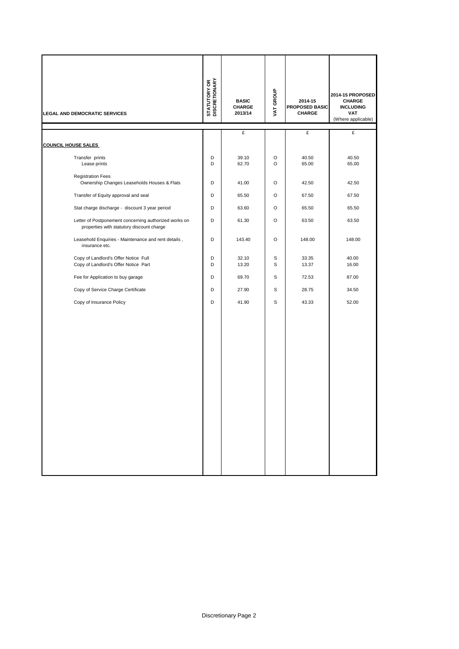| <b>LEGAL AND DEMOCRATIC SERVICES</b>                                                               | <b>STATUTORY OR</b><br>DISCRETIONARY | <b>BASIC</b><br><b>CHARGE</b><br>2013/14 | VAT GROUP | 2014-15<br>PROPOSED BASIC<br>CHARGE | 2014-15 PROPOSED<br>CHARGE<br><b>INCLUDING</b><br><b>VAT</b><br>(Where applicable) |
|----------------------------------------------------------------------------------------------------|--------------------------------------|------------------------------------------|-----------|-------------------------------------|------------------------------------------------------------------------------------|
|                                                                                                    |                                      | £                                        |           | £                                   | £                                                                                  |
| <b>COUNCIL HOUSE SALES</b>                                                                         |                                      |                                          |           |                                     |                                                                                    |
| Transfer prints<br>Lease prints                                                                    | D<br>D                               | 39.10<br>62.70                           | O<br>O    | 40.50<br>65.00                      | 40.50<br>65.00                                                                     |
| <b>Registration Fees</b><br>Ownership Changes Leaseholds Houses & Flats                            | D                                    | 41.00                                    | O         | 42.50                               | 42.50                                                                              |
| Transfer of Equity approval and seal                                                               | D                                    | 65.50                                    | O         | 67.50                               | 67.50                                                                              |
| Stat charge discharge - discount 3 year period                                                     | D                                    | 63.60                                    | $\circ$   | 65.50                               | 65.50                                                                              |
| Letter of Postponement concerning authorized works on<br>properties with statutory discount charge | D                                    | 61.30                                    | $\circ$   | 63.50                               | 63.50                                                                              |
| Leasehold Enquiries - Maintenance and rent details,<br>insurance etc.                              | D                                    | 143.40                                   | O         | 148.00                              | 148.00                                                                             |
| Copy of Landlord's Offer Notice Full<br>Copy of Landlord's Offer Notice Part                       | D<br>D                               | 32.10<br>13.20                           | S<br>S    | 33.35<br>13.37                      | 40.00<br>16.00                                                                     |
| Fee for Application to buy garage                                                                  | D                                    | 69.70                                    | S         | 72.53                               | 87.00                                                                              |
| Copy of Service Charge Certificate                                                                 | D                                    | 27.90                                    | S         | 28.75                               | 34.50                                                                              |
| Copy of Insurance Policy                                                                           | D                                    | 41.90                                    | S         | 43.33                               | 52.00                                                                              |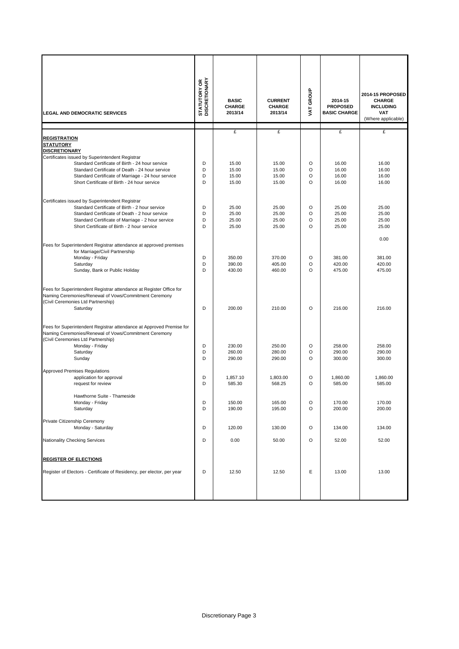| <b>LEGAL AND DEMOCRATIC SERVICES</b>                                                                                                                                                                                                                                           | <b>STATUTORY OR<br/>DISCRETIONARY</b> | <b>BASIC</b><br>CHARGE<br>2013/14 | <b>CURRENT</b><br><b>CHARGE</b><br>2013/14 | VAT GROUP               | 2014-15<br><b>PROPOSED</b><br><b>BASIC CHARGE</b> | 2014-15 PROPOSED<br><b>CHARGE</b><br><b>INCLUDING</b><br><b>VAT</b><br>(Where applicable) |
|--------------------------------------------------------------------------------------------------------------------------------------------------------------------------------------------------------------------------------------------------------------------------------|---------------------------------------|-----------------------------------|--------------------------------------------|-------------------------|---------------------------------------------------|-------------------------------------------------------------------------------------------|
|                                                                                                                                                                                                                                                                                |                                       | £                                 | £                                          |                         | £                                                 | £                                                                                         |
| <b>REGISTRATION</b><br><b>STATUTORY</b><br><b>DISCRETIONARY</b><br>Certificates issued by Superintendent Registrar<br>Standard Certificate of Birth - 24 hour service<br>Standard Certificate of Death - 24 hour service<br>Standard Certificate of Marriage - 24 hour service | D<br>D<br>D<br>D                      | 15.00<br>15.00<br>15.00           | 15.00<br>15.00<br>15.00                    | O<br>O<br>$\circ$       | 16.00<br>16.00<br>16.00                           | 16.00<br>16.00<br>16.00                                                                   |
| Short Certificate of Birth - 24 hour service                                                                                                                                                                                                                                   |                                       | 15.00                             | 15.00                                      | O                       | 16.00                                             | 16.00                                                                                     |
| Certificates issued by Superintendent Registrar<br>Standard Certificate of Birth - 2 hour service<br>Standard Certificate of Death - 2 hour service<br>Standard Certificate of Marriage - 2 hour service<br>Short Certificate of Birth - 2 hour service                        | D<br>D<br>D<br>D                      | 25.00<br>25.00<br>25.00<br>25.00  | 25.00<br>25.00<br>25.00<br>25.00           | O<br>O<br>O<br>$\Omega$ | 25.00<br>25.00<br>25.00<br>25.00                  | 25.00<br>25.00<br>25.00<br>25.00                                                          |
| Fees for Superintendent Registrar attendance at approved premises<br>for Marriage/Civil Partnership<br>Monday - Friday<br>Saturday<br>Sunday, Bank or Public Holiday                                                                                                           | D<br>D<br>D                           | 350.00<br>390.00<br>430.00        | 370.00<br>405.00<br>460.00                 | O<br>O<br>O             | 381.00<br>420.00<br>475.00                        | 0.00<br>381.00<br>420.00<br>475.00                                                        |
| Fees for Superintendent Registrar attendance at Register Office for<br>Naming Ceremonies/Renewal of Vows/Commitment Ceremony<br>(Civil Ceremonies Ltd Partnership)<br>Saturday                                                                                                 | D                                     | 200.00                            | 210.00                                     | O                       | 216.00                                            | 216.00                                                                                    |
| Fees for Superintendent Registrar attendance at Approved Premise for<br>Naming Ceremonies/Renewal of Vows/Commitment Ceremony<br>(Civil Ceremonies Ltd Partnership)<br>Monday - Friday<br>Saturday                                                                             | D<br>D                                | 230.00<br>260.00                  | 250.00<br>280.00                           | O<br>O                  | 258.00<br>290.00                                  | 258.00<br>290.00                                                                          |
| Sunday                                                                                                                                                                                                                                                                         | D                                     | 290.00                            | 290.00                                     | $\circ$                 | 300.00                                            | 300.00                                                                                    |
| Approved Premises Regulations<br>application for approval<br>request for review<br>Hawthorne Suite - Thameside                                                                                                                                                                 | D<br>D                                | 1,857.10<br>585.30                | 1,803.00<br>568.25                         | O<br>O                  | 1,860.00<br>585.00                                | 1,860.00<br>585.00                                                                        |
| Monday - Friday<br>Saturday                                                                                                                                                                                                                                                    | D<br>D                                | 150.00<br>190.00                  | 165.00<br>195.00                           | O<br>O                  | 170.00<br>200.00                                  | 170.00<br>200.00                                                                          |
| Private Citizenship Ceremony<br>Monday - Saturday<br>Nationality Checking Services                                                                                                                                                                                             | D<br>D                                | 120.00<br>0.00                    | 130.00<br>50.00                            | O<br>O                  | 134.00<br>52.00                                   | 134.00<br>52.00                                                                           |
|                                                                                                                                                                                                                                                                                |                                       |                                   |                                            |                         |                                                   |                                                                                           |
| <b>REGISTER OF ELECTIONS</b>                                                                                                                                                                                                                                                   |                                       |                                   |                                            |                         |                                                   |                                                                                           |
| Register of Electors - Certificate of Residency, per elector, per year                                                                                                                                                                                                         | D                                     | 12.50                             | 12.50                                      | Ε                       | 13.00                                             | 13.00                                                                                     |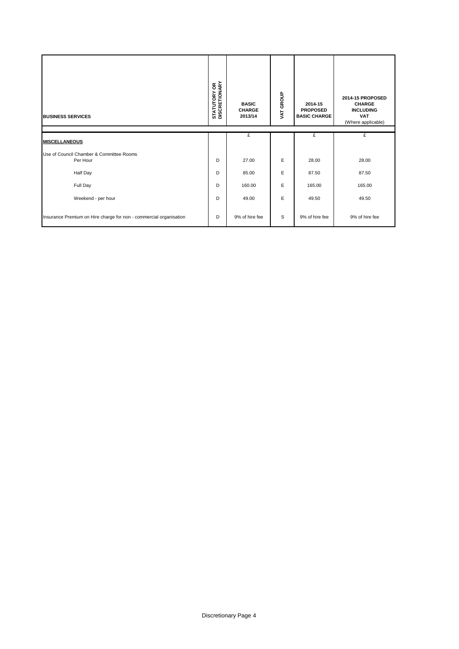| <b>BUSINESS SERVICES</b>                                           | <b>STATUTORY OR<br/>DISCRETIONARY</b> | <b>BASIC</b><br><b>CHARGE</b><br>2013/14 | VAT GROUP | 2014-15<br><b>PROPOSED</b><br><b>BASIC CHARGE</b> | 2014-15 PROPOSED<br><b>CHARGE</b><br><b>INCLUDING</b><br><b>VAT</b><br>(Where applicable) |
|--------------------------------------------------------------------|---------------------------------------|------------------------------------------|-----------|---------------------------------------------------|-------------------------------------------------------------------------------------------|
| <b>MISCELLANEOUS</b>                                               |                                       | £                                        |           | £                                                 | £                                                                                         |
| Use of Council Chamber & Committee Rooms<br>Per Hour               | D                                     | 27.00                                    | E         | 28.00                                             | 28.00                                                                                     |
| Half Day                                                           | D                                     | 85.00                                    | E         | 87.50                                             | 87.50                                                                                     |
| Full Day                                                           | D                                     | 160.00                                   | E         | 165.00                                            | 165.00                                                                                    |
| Weekend - per hour                                                 | D                                     | 49.00                                    | E         | 49.50                                             | 49.50                                                                                     |
| Insurance Premium on Hire charge for non - commercial organisation | D                                     | 9% of hire fee                           | S         | 9% of hire fee                                    | 9% of hire fee                                                                            |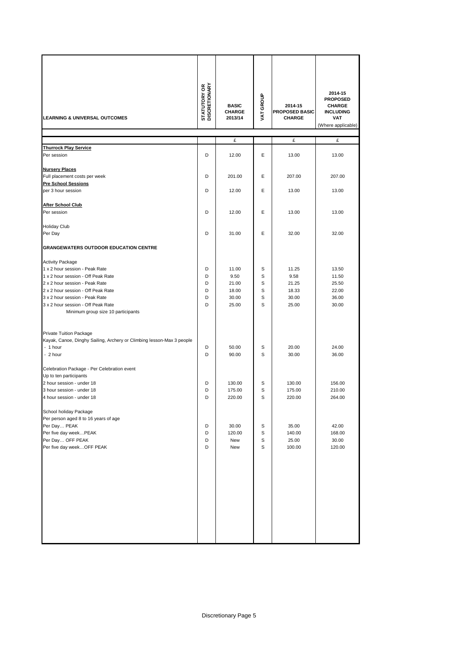| <b>LEARNING &amp; UNIVERSAL OUTCOMES</b>                                                                                                                                                                                                                                              | <b>STATUTORY OR<br/>DISCRETIONARY</b> | <b>BASIC</b><br><b>CHARGE</b><br>2013/14          | VAT GROUP                  | 2014-15<br>PROPOSED BASIC<br><b>CHARGE</b>        | 2014-15<br><b>PROPOSED</b><br><b>CHARGE</b><br><b>INCLUDING</b><br><b>VAT</b><br>(Where applicable) |
|---------------------------------------------------------------------------------------------------------------------------------------------------------------------------------------------------------------------------------------------------------------------------------------|---------------------------------------|---------------------------------------------------|----------------------------|---------------------------------------------------|-----------------------------------------------------------------------------------------------------|
|                                                                                                                                                                                                                                                                                       |                                       | £                                                 |                            | £                                                 | £                                                                                                   |
| <b>Thurrock Play Service</b><br>Per session                                                                                                                                                                                                                                           | D                                     | 12.00                                             | Ε                          | 13.00                                             | 13.00                                                                                               |
| <b>Nursery Places</b><br>Full placement costs per week                                                                                                                                                                                                                                | D                                     | 201.00                                            | Е                          | 207.00                                            | 207.00                                                                                              |
| <b>Pre School Sessions</b><br>per 3 hour session                                                                                                                                                                                                                                      | D                                     | 12.00                                             | Е                          | 13.00                                             | 13.00                                                                                               |
| <b>After School Club</b><br>Per session                                                                                                                                                                                                                                               | D                                     | 12.00                                             | Е                          | 13.00                                             | 13.00                                                                                               |
| <b>Holiday Club</b><br>Per Day                                                                                                                                                                                                                                                        | D                                     | 31.00                                             | Е                          | 32.00                                             | 32.00                                                                                               |
| <b>GRANGEWATERS OUTDOOR EDUCATION CENTRE</b>                                                                                                                                                                                                                                          |                                       |                                                   |                            |                                                   |                                                                                                     |
| <b>Activity Package</b><br>1 x 2 hour session - Peak Rate<br>1 x 2 hour session - Off Peak Rate<br>2 x 2 hour session - Peak Rate<br>2 x 2 hour session - Off Peak Rate<br>3 x 2 hour session - Peak Rate<br>3 x 2 hour session - Off Peak Rate<br>Minimum group size 10 participants | D<br>D<br>D<br>D<br>D<br>D            | 11.00<br>9.50<br>21.00<br>18.00<br>30.00<br>25.00 | S<br>S<br>S<br>S<br>S<br>S | 11.25<br>9.58<br>21.25<br>18.33<br>30.00<br>25.00 | 13.50<br>11.50<br>25.50<br>22.00<br>36.00<br>30.00                                                  |
| Private Tuition Package<br>Kayak, Canoe, Dinghy Sailing, Archery or Climbing lesson-Max 3 people<br>- 1 hour<br>- 2 hour                                                                                                                                                              | D<br>D                                | 50.00<br>90.00                                    | S<br>S                     | 20.00<br>30.00                                    | 24.00<br>36.00                                                                                      |
| Celebration Package - Per Celebration event<br>Up to ten participants<br>2 hour session - under 18<br>3 hour session - under 18<br>4 hour session - under 18                                                                                                                          | D<br>D<br>D                           | 130.00<br>175.00<br>220.00                        | S<br>S<br>S                | 130.00<br>175.00<br>220.00                        | 156.00<br>210.00<br>264.00                                                                          |
| School holiday Package<br>Per person aged 8 to 16 years of age<br>Per Day PEAK<br>Per five day weekPEAK<br>Per Day OFF PEAK<br>Per five day weekOFF PEAK                                                                                                                              | D<br>D<br>D<br>D                      | 30.00<br>120.00<br>New<br>New                     | S<br>s<br>S<br>s           | 35.00<br>140.00<br>25.00<br>100.00                | 42.00<br>168.00<br>30.00<br>120.00                                                                  |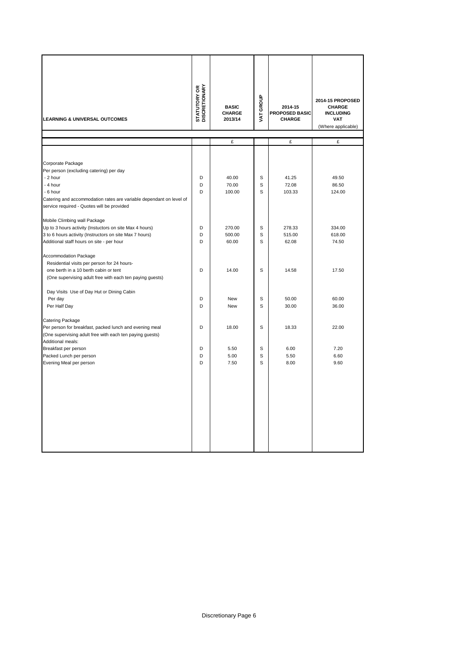| <b>LEARNING &amp; UNIVERSAL OUTCOMES</b>                                                                                                                                                                                                 | <b>STATUTORY OR<br/>DISCRETIONARY</b> | <b>BASIC</b><br>CHARGE<br>2013/14 | VAT GROUP   | 2014-15<br>PROPOSED BASIC<br>CHARGE | 2014-15 PROPOSED<br><b>CHARGE</b><br><b>INCLUDING</b><br><b>VAT</b><br>(Where applicable) |
|------------------------------------------------------------------------------------------------------------------------------------------------------------------------------------------------------------------------------------------|---------------------------------------|-----------------------------------|-------------|-------------------------------------|-------------------------------------------------------------------------------------------|
|                                                                                                                                                                                                                                          |                                       | £                                 |             | £                                   | £                                                                                         |
|                                                                                                                                                                                                                                          |                                       |                                   |             |                                     |                                                                                           |
| Corporate Package<br>Per person (excluding catering) per day<br>- 2 hour<br>- 4 hour<br>- 6 hour<br>Catering and accommodation rates are variable dependant on level of<br>service required - Quotes will be provided                    | D<br>D<br>D                           | 40.00<br>70.00<br>100.00          | S<br>S<br>S | 41.25<br>72.08<br>103.33            | 49.50<br>86.50<br>124.00                                                                  |
| Mobile Climbing wall Package<br>Up to 3 hours activity (Instuctors on site Max 4 hours)<br>3 to 6 hours activity (Instructors on site Max 7 hours)<br>Additional staff hours on site - per hour                                          | D<br>D<br>D                           | 270.00<br>500.00<br>60.00         | S<br>S<br>S | 278.33<br>515.00<br>62.08           | 334.00<br>618.00<br>74.50                                                                 |
| <b>Accommodation Package</b><br>Residential visits per person for 24 hours-<br>one berth in a 10 berth cabin or tent<br>(One supervising adult free with each ten paying guests)<br>Day Visits Use of Day Hut or Dining Cabin<br>Per day | D<br>D                                | 14.00<br>New                      | S<br>S      | 14.58<br>50.00                      | 17.50<br>60.00                                                                            |
| Per Half Day                                                                                                                                                                                                                             | D                                     | New                               | S           | 30.00                               | 36.00                                                                                     |
| Catering Package<br>Per person for breakfast, packed lunch and evening meal<br>(One supervising adult free with each ten paying guests)<br>Additional meals:<br>Breakfast per person<br>Packed Lunch per person                          | D<br>D<br>D                           | 18.00<br>5.50<br>5.00             | S<br>S<br>S | 18.33<br>6.00<br>5.50               | 22.00<br>7.20<br>6.60                                                                     |
| Evening Meal per person                                                                                                                                                                                                                  | D                                     | 7.50                              | S           | 8.00                                | 9.60                                                                                      |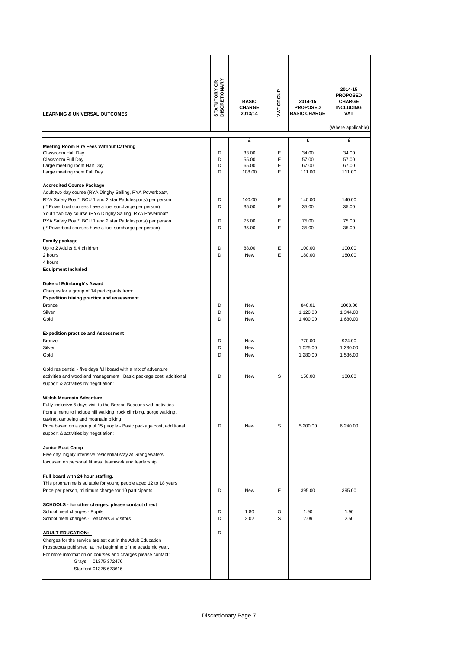| <b>LEARNING &amp; UNIVERSAL OUTCOMES</b>                                                                                   | <b>STATUTORY OR<br/>DISCRETIONARY</b> | <b>BASIC</b><br><b>CHARGE</b><br>2013/14 | VAT GROUP | 2014-15<br><b>PROPOSED</b><br><b>BASIC CHARGE</b> | 2014-15<br><b>PROPOSED</b><br><b>CHARGE</b><br><b>INCLUDING</b><br><b>VAT</b><br>(Where applicable) |
|----------------------------------------------------------------------------------------------------------------------------|---------------------------------------|------------------------------------------|-----------|---------------------------------------------------|-----------------------------------------------------------------------------------------------------|
|                                                                                                                            |                                       | £                                        |           | £                                                 | £                                                                                                   |
| Meeting Room Hire Fees Without Catering                                                                                    |                                       |                                          |           |                                                   |                                                                                                     |
| Classroom Half Day                                                                                                         | D                                     | 33.00                                    | Ε         | 34.00                                             | 34.00                                                                                               |
| Classroom Full Day                                                                                                         | D                                     | 55.00                                    | E         | 57.00                                             | 57.00                                                                                               |
| Large meeting room Half Day                                                                                                | D<br>D                                | 65.00                                    | Ε<br>E    | 67.00                                             | 67.00                                                                                               |
| Large meeting room Full Day                                                                                                |                                       | 108.00                                   |           | 111.00                                            | 111.00                                                                                              |
| <b>Accredited Course Package</b>                                                                                           |                                       |                                          |           |                                                   |                                                                                                     |
| Adult two day course (RYA Dinghy Sailing, RYA Powerboat*,                                                                  |                                       |                                          |           |                                                   |                                                                                                     |
| RYA Safety Boat*, BCU 1 and 2 star Paddlesports) per person                                                                | D                                     | 140.00                                   | Ε         | 140.00                                            | 140.00                                                                                              |
| (* Powerboat courses have a fuel surcharge per person)                                                                     | D                                     | 35.00                                    | E         | 35.00                                             | 35.00                                                                                               |
| Youth two day course (RYA Dinghy Sailing, RYA Powerboat*,                                                                  |                                       |                                          |           |                                                   |                                                                                                     |
| RYA Safety Boat*, BCU 1 and 2 star Paddlesports) per person                                                                | D                                     | 75.00                                    | E         | 75.00                                             | 75.00                                                                                               |
| (* Powerboat courses have a fuel surcharge per person)                                                                     | D                                     | 35.00                                    | E         | 35.00                                             | 35.00                                                                                               |
|                                                                                                                            |                                       |                                          |           |                                                   |                                                                                                     |
| <b>Family package</b>                                                                                                      |                                       |                                          |           |                                                   |                                                                                                     |
| Up to 2 Adults & 4 children                                                                                                | D                                     | 88.00                                    | Ε         | 100.00                                            | 100.00                                                                                              |
| 2 hours                                                                                                                    | D                                     | <b>New</b>                               | E         | 180.00                                            | 180.00                                                                                              |
| 4 hours                                                                                                                    |                                       |                                          |           |                                                   |                                                                                                     |
| <b>Equipment Included</b>                                                                                                  |                                       |                                          |           |                                                   |                                                                                                     |
| Duke of Edinburgh's Award                                                                                                  |                                       |                                          |           |                                                   |                                                                                                     |
| Charges for a group of 14 participants from:                                                                               |                                       |                                          |           |                                                   |                                                                                                     |
| <b>Expedition triaing, practice and assessment</b>                                                                         |                                       |                                          |           |                                                   |                                                                                                     |
| <b>Bronze</b>                                                                                                              | D                                     | New                                      |           | 840.01                                            | 1008.00                                                                                             |
| Silver                                                                                                                     | D                                     | <b>New</b>                               |           | 1,120.00                                          | 1,344.00                                                                                            |
| Gold                                                                                                                       | D                                     | <b>New</b>                               |           | 1,400.00                                          | 1,680.00                                                                                            |
|                                                                                                                            |                                       |                                          |           |                                                   |                                                                                                     |
| <b>Expedition practice and Assessment</b>                                                                                  |                                       |                                          |           |                                                   |                                                                                                     |
| <b>Bronze</b>                                                                                                              | D                                     | New                                      |           | 770.00                                            | 924.00                                                                                              |
| Silver                                                                                                                     | D                                     | New                                      |           | 1,025.00                                          | 1,230.00                                                                                            |
| Gold                                                                                                                       | D                                     | <b>New</b>                               |           | 1,280.00                                          | 1,536.00                                                                                            |
|                                                                                                                            |                                       |                                          |           |                                                   |                                                                                                     |
| Gold residential - five days full board with a mix of adventure                                                            |                                       |                                          |           |                                                   |                                                                                                     |
| activities and woodland management Basic package cost, additional                                                          | D                                     | New                                      | S         | 150.00                                            | 180.00                                                                                              |
| support & activities by negotiation:                                                                                       |                                       |                                          |           |                                                   |                                                                                                     |
|                                                                                                                            |                                       |                                          |           |                                                   |                                                                                                     |
| <b>Welsh Mountain Adventure</b>                                                                                            |                                       |                                          |           |                                                   |                                                                                                     |
| Fully inclusive 5 days visit to the Brecon Beacons with activities                                                         |                                       |                                          |           |                                                   |                                                                                                     |
| from a menu to include hill walking, rock climbing, gorge walking,<br>caving, canoeing and mountain biking                 |                                       |                                          |           |                                                   |                                                                                                     |
| Price based on a group of 15 people - Basic package cost, additional                                                       | D                                     | New                                      | S         | 5,200.00                                          | 6,240.00                                                                                            |
| support & activities by negotiation:                                                                                       |                                       |                                          |           |                                                   |                                                                                                     |
|                                                                                                                            |                                       |                                          |           |                                                   |                                                                                                     |
| <b>Junior Boot Camp</b>                                                                                                    |                                       |                                          |           |                                                   |                                                                                                     |
| Five day, highly intensive residential stay at Grangewaters                                                                |                                       |                                          |           |                                                   |                                                                                                     |
| focussed on personal fitness, teamwork and leadership.                                                                     |                                       |                                          |           |                                                   |                                                                                                     |
|                                                                                                                            |                                       |                                          |           |                                                   |                                                                                                     |
| Full board with 24 hour staffing.                                                                                          |                                       |                                          |           |                                                   |                                                                                                     |
| This programme is suitable for young people aged 12 to 18 years                                                            |                                       |                                          |           |                                                   |                                                                                                     |
| Price per person, minimum charge for 10 participants                                                                       | D                                     | New                                      | Ε         | 395.00                                            | 395.00                                                                                              |
|                                                                                                                            |                                       |                                          |           |                                                   |                                                                                                     |
| SCHOOLS - for other charges, please contact direct                                                                         |                                       |                                          |           |                                                   |                                                                                                     |
| School meal charges - Pupils                                                                                               | D                                     | 1.80                                     | O         | 1.90                                              | 1.90                                                                                                |
| School meal charges - Teachers & Visitors                                                                                  | D                                     | 2.02                                     | S         | 2.09                                              | 2.50                                                                                                |
|                                                                                                                            |                                       |                                          |           |                                                   |                                                                                                     |
| <b>ADULT EDUCATION:</b>                                                                                                    | D                                     |                                          |           |                                                   |                                                                                                     |
| Charges for the service are set out in the Adult Education                                                                 |                                       |                                          |           |                                                   |                                                                                                     |
| Prospectus published at the beginning of the academic year.<br>For more information on courses and charges please contact: |                                       |                                          |           |                                                   |                                                                                                     |
| Grays 01375 372476                                                                                                         |                                       |                                          |           |                                                   |                                                                                                     |
| Stanford 01375 673616                                                                                                      |                                       |                                          |           |                                                   |                                                                                                     |
|                                                                                                                            |                                       |                                          |           |                                                   |                                                                                                     |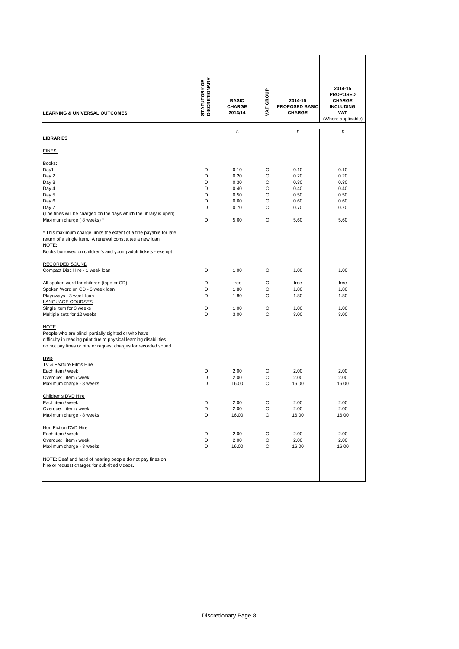| <b>LEARNING &amp; UNIVERSAL OUTCOMES</b>                                                                                                                                                                                | <b>STATUTORY OR<br/>DISCRETIONARY</b> | <b>BASIC</b><br><b>CHARGE</b><br>2013/14 | VAT GROUP        | 2014-15<br>PROPOSED BASIC<br><b>CHARGE</b> | 2014-15<br><b>PROPOSED</b><br><b>CHARGE</b><br><b>INCLUDING</b><br><b>VAT</b><br>(Where applicable) |
|-------------------------------------------------------------------------------------------------------------------------------------------------------------------------------------------------------------------------|---------------------------------------|------------------------------------------|------------------|--------------------------------------------|-----------------------------------------------------------------------------------------------------|
| <u>LIBRARIES</u>                                                                                                                                                                                                        |                                       | £                                        |                  | £                                          | £                                                                                                   |
| <b>FINES</b>                                                                                                                                                                                                            |                                       |                                          |                  |                                            |                                                                                                     |
| Books:<br>Day1<br>Day 2                                                                                                                                                                                                 | D<br>D                                | 0.10<br>0.20                             | O<br>O           | 0.10<br>0.20                               | 0.10<br>0.20                                                                                        |
| Day 3<br>Day 4<br>Day 5<br>Day 6                                                                                                                                                                                        | D<br>D<br>D<br>D                      | 0.30<br>0.40<br>0.50<br>0.60             | O<br>O<br>O<br>O | 0.30<br>0.40<br>0.50<br>0.60               | 0.30<br>0.40<br>0.50<br>0.60                                                                        |
| Day 7<br>(The fines will be charged on the days which the library is open)<br>Maximum charge (8 weeks) *                                                                                                                | D<br>D                                | 0.70<br>5.60                             | O<br>O           | 0.70<br>5.60                               | 0.70<br>5.60                                                                                        |
| * This maximum charge limits the extent of a fine payable for late<br>return of a single item. A renewal constitutes a new loan.<br>NOTE:<br>Books borrowed on children's and young adult tickets - exempt              |                                       |                                          |                  |                                            |                                                                                                     |
| RECORDED SOUND<br>Compact Disc Hire - 1 week loan                                                                                                                                                                       | D                                     | 1.00                                     | O                | 1.00                                       | 1.00                                                                                                |
| All spoken word for children (tape or CD)<br>Spoken Word on CD - 3 week loan<br>Playaways - 3 week loan<br><b>LANGUAGE COURSES</b>                                                                                      | D<br>D<br>D                           | free<br>1.80<br>1.80                     | O<br>O<br>O      | free<br>1.80<br>1.80                       | free<br>1.80<br>1.80                                                                                |
| Single item for 3 weeks<br>Multiple sets for 12 weeks                                                                                                                                                                   | D<br>D                                | 1.00<br>3.00                             | O<br>O           | 1.00<br>3.00                               | 1.00<br>3.00                                                                                        |
| <b>NOTE</b><br>People who are blind, partially sighted or who have<br>difficulty in reading print due to physical learning disabilities<br>do not pay fines or hire or request charges for recorded sound<br><b>DVD</b> |                                       |                                          |                  |                                            |                                                                                                     |
| <b>TV &amp; Feature Films Hire</b><br>Each item / week<br>Overdue: item / week<br>Maximum charge - 8 weeks                                                                                                              | D<br>D<br>D                           | 2.00<br>2.00<br>16.00                    | O<br>O<br>O      | 2.00<br>2.00<br>16.00                      | 2.00<br>2.00<br>16.00                                                                               |
| Children's DVD Hire<br>Each item / week<br>Overdue: item / week<br>Maximum charge - 8 weeks                                                                                                                             | D<br>D<br>D                           | 2.00<br>2.00<br>16.00                    | O<br>O<br>O      | 2.00<br>2.00<br>16.00                      | 2.00<br>2.00<br>16.00                                                                               |
| Non Fiction DVD Hire<br>Each item / week<br>Overdue: item / week<br>Maximum charge - 8 weeks                                                                                                                            | D<br>D<br>D                           | 2.00<br>2.00<br>16.00                    | O<br>O<br>O      | 2.00<br>2.00<br>16.00                      | 2.00<br>2.00<br>16.00                                                                               |
| NOTE: Deaf and hard of hearing people do not pay fines on<br>hire or request charges for sub-titled videos.                                                                                                             |                                       |                                          |                  |                                            |                                                                                                     |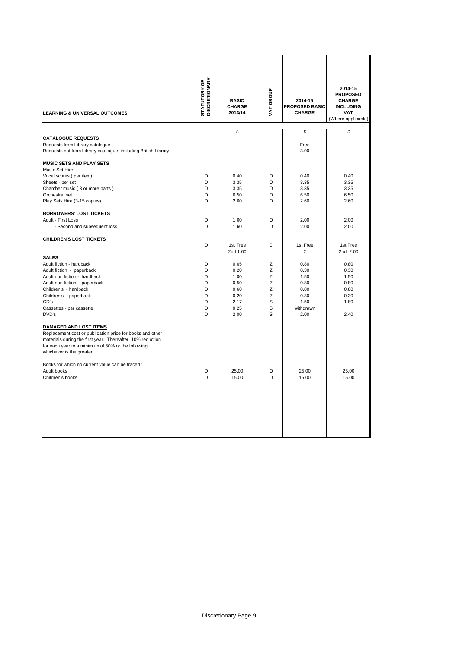| <b>LEARNING &amp; UNIVERSAL OUTCOMES</b>                                                                                                                                                                                                    | <b>STATUTORY OR<br/>DISCRETIONARY</b> | <b>BASIC</b><br><b>CHARGE</b><br>2013/14 | VAT GROUP    | 2014-15<br>PROPOSED BASIC<br><b>CHARGE</b> | 2014-15<br><b>PROPOSED</b><br><b>CHARGE</b><br><b>INCLUDING</b><br><b>VAT</b><br>(Where applicable) |
|---------------------------------------------------------------------------------------------------------------------------------------------------------------------------------------------------------------------------------------------|---------------------------------------|------------------------------------------|--------------|--------------------------------------------|-----------------------------------------------------------------------------------------------------|
|                                                                                                                                                                                                                                             |                                       | £                                        |              | £                                          | £                                                                                                   |
| <b>CATALOGUE REQUESTS</b><br>Requests from Library catalogue<br>Requests not from Library catalogue, including British Library                                                                                                              |                                       |                                          |              | Free<br>3.00                               |                                                                                                     |
| MUSIC SETS AND PLAY SETS                                                                                                                                                                                                                    |                                       |                                          |              |                                            |                                                                                                     |
| Music Set Hire                                                                                                                                                                                                                              |                                       |                                          |              |                                            |                                                                                                     |
| Vocal scores (per item)                                                                                                                                                                                                                     | D                                     | 0.40                                     | O            | 0.40                                       | 0.40                                                                                                |
| Sheets - per set                                                                                                                                                                                                                            | D<br>D                                | 3.35<br>3.35                             | O<br>$\circ$ | 3.35<br>3.35                               | 3.35<br>3.35                                                                                        |
| Chamber music (3 or more parts)<br>Orchestral set                                                                                                                                                                                           | D                                     | 6.50                                     | $\circ$      | 6.50                                       | 6.50                                                                                                |
| Play Sets Hire (3-15 copies)                                                                                                                                                                                                                | D                                     | 2.60                                     | $\circ$      | 2.60                                       | 2.60                                                                                                |
|                                                                                                                                                                                                                                             |                                       |                                          |              |                                            |                                                                                                     |
| <b>BORROWERS' LOST TICKETS</b>                                                                                                                                                                                                              |                                       |                                          |              |                                            |                                                                                                     |
| Adult - First Loss                                                                                                                                                                                                                          | D                                     | 1.60                                     | $\circ$      | 2.00                                       | 2.00                                                                                                |
| - Second and subsequent loss                                                                                                                                                                                                                | D                                     | 1.60                                     | $\circ$      | 2.00                                       | 2.00                                                                                                |
|                                                                                                                                                                                                                                             |                                       |                                          |              |                                            |                                                                                                     |
| <b>CHILDREN'S LOST TICKETS</b>                                                                                                                                                                                                              | D                                     | 1st Free<br>2nd 1.60                     | 0            | 1st Free<br>2                              | 1st Free<br>2nd 2.00                                                                                |
| <b>SALES</b>                                                                                                                                                                                                                                |                                       |                                          |              |                                            |                                                                                                     |
| Adult fiction - hardback                                                                                                                                                                                                                    | D                                     | 0.65                                     | Ζ            | 0.80                                       | 0.80                                                                                                |
| Adult fiction - paperback                                                                                                                                                                                                                   | D                                     | 0.20                                     | Z            | 0.30                                       | 0.30                                                                                                |
| Adult non fiction - hardback                                                                                                                                                                                                                | D                                     | 1.00                                     | Ζ            | 1.50                                       | 1.50                                                                                                |
| Adult non fiction - paperback                                                                                                                                                                                                               | D<br>D                                | 0.50                                     | Z            | 0.80                                       | 0.80                                                                                                |
| Children's - hardback<br>Children's - paperback                                                                                                                                                                                             | D                                     | 0.60<br>0.20                             | Ζ<br>Z       | 0.80<br>0.30                               | 0.80<br>0.30                                                                                        |
| CD's                                                                                                                                                                                                                                        | D                                     | 2.17                                     | S            | 1.50                                       | 1.80                                                                                                |
| Cassettes - per cassette                                                                                                                                                                                                                    | D                                     | 0.25                                     | S            | withdrawn                                  |                                                                                                     |
| DVD's                                                                                                                                                                                                                                       | D                                     | 2.00                                     | S            | 2.00                                       | 2.40                                                                                                |
|                                                                                                                                                                                                                                             |                                       |                                          |              |                                            |                                                                                                     |
| <b>DAMAGED AND LOST ITEMS</b><br>Replacement cost or publication price for books and other<br>materials during the first year. Thereafter, 10% reduction<br>for each year to a minimum of 50% or the following<br>whichever is the greater. |                                       |                                          |              |                                            |                                                                                                     |
| Books for which no current value can be traced :                                                                                                                                                                                            |                                       |                                          |              |                                            |                                                                                                     |
| Adult books                                                                                                                                                                                                                                 | D                                     | 25.00                                    | O            | 25.00                                      | 25.00                                                                                               |
| Children's books                                                                                                                                                                                                                            | D                                     | 15.00                                    | O            | 15.00                                      | 15.00                                                                                               |
|                                                                                                                                                                                                                                             |                                       |                                          |              |                                            |                                                                                                     |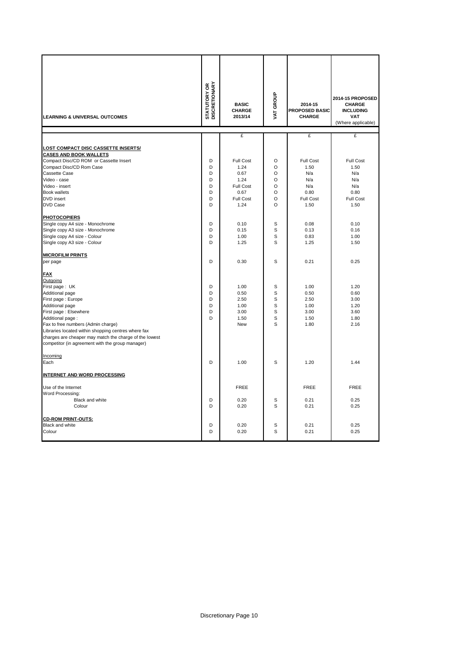| <b>LEARNING &amp; UNIVERSAL OUTCOMES</b>               | <b>STATUTORY OR<br/>DISCRETIONARY</b> | <b>BASIC</b><br>CHARGE<br>2013/14 | VAT GROUP | 2014-15<br>PROPOSED BASIC<br><b>CHARGE</b> | 2014-15 PROPOSED<br><b>CHARGE</b><br><b>INCLUDING</b><br><b>VAT</b><br>(Where applicable) |
|--------------------------------------------------------|---------------------------------------|-----------------------------------|-----------|--------------------------------------------|-------------------------------------------------------------------------------------------|
|                                                        |                                       | £                                 |           | £                                          | £                                                                                         |
| <b>LOST COMPACT DISC CASSETTE INSERTS/</b>             |                                       |                                   |           |                                            |                                                                                           |
| <b>CASES AND BOOK WALLETS</b>                          |                                       |                                   |           |                                            |                                                                                           |
| Compact Disc/CD ROM or Cassette Insert                 | D                                     | Full Cost                         | $\circ$   | Full Cost                                  | Full Cost                                                                                 |
| Compact Disc/CD Rom Case                               | D                                     | 1.24                              | O         | 1.50                                       | 1.50                                                                                      |
| <b>Cassette Case</b>                                   | D                                     | 0.67                              | $\circ$   | N/a                                        | N/a                                                                                       |
| Video - case                                           | D                                     | 1.24                              | $\circ$   | N/a                                        | N/a                                                                                       |
| Video - insert                                         | D                                     | <b>Full Cost</b>                  | O         | N/a                                        | N/a                                                                                       |
| <b>Book wallets</b>                                    | D                                     | 0.67                              | O         | 0.80                                       | 0.80                                                                                      |
| <b>DVD</b> insert                                      | D                                     | Full Cost                         | $\circ$   | Full Cost                                  | <b>Full Cost</b>                                                                          |
| <b>DVD Case</b>                                        | D                                     | 1.24                              | O         | 1.50                                       | 1.50                                                                                      |
| <b>PHOTOCOPIERS</b>                                    |                                       |                                   |           |                                            |                                                                                           |
| Single copy A4 size - Monochrome                       | D                                     | 0.10                              | S         | 0.08                                       | 0.10                                                                                      |
| Single copy A3 size - Monochrome                       | D                                     | 0.15                              | S         | 0.13                                       | 0.16                                                                                      |
| Single copy A4 size - Colour                           | D                                     | 1.00                              | S         | 0.83                                       | 1.00                                                                                      |
| Single copy A3 size - Colour                           | D                                     | 1.25                              | S         | 1.25                                       | 1.50                                                                                      |
|                                                        |                                       |                                   |           |                                            |                                                                                           |
| <b>MICROFILM PRINTS</b>                                |                                       |                                   |           |                                            |                                                                                           |
| per page                                               | D                                     | 0.30                              | S         | 0.21                                       | 0.25                                                                                      |
| <b>FAX</b>                                             |                                       |                                   |           |                                            |                                                                                           |
| Outgoing                                               |                                       |                                   |           |                                            |                                                                                           |
| First page: UK                                         | D                                     | 1.00                              | S         | 1.00                                       | 1.20                                                                                      |
| Additional page                                        | D                                     | 0.50                              | S         | 0.50                                       | 0.60                                                                                      |
| First page: Europe                                     | D                                     | 2.50                              | S         | 2.50                                       | 3.00                                                                                      |
| Additional page                                        | D                                     | 1.00                              | S         | 1.00                                       | 1.20                                                                                      |
| First page : Elsewhere                                 | D                                     | 3.00                              | S         | 3.00                                       | 3.60                                                                                      |
| Additional page:                                       | D                                     | 1.50                              | S         | 1.50                                       | 1.80                                                                                      |
| Fax to free numbers (Admin charge)                     |                                       | New                               | S         | 1.80                                       | 2.16                                                                                      |
| Libraries located within shopping centres where fax    |                                       |                                   |           |                                            |                                                                                           |
| charges are cheaper may match the charge of the lowest |                                       |                                   |           |                                            |                                                                                           |
| competitor (in agreement with the group manager)       |                                       |                                   |           |                                            |                                                                                           |
| Incoming                                               |                                       |                                   |           |                                            |                                                                                           |
| Each                                                   | D                                     | 1.00                              | S         | 1.20                                       | 1.44                                                                                      |
| <b>INTERNET AND WORD PROCESSING</b>                    |                                       |                                   |           |                                            |                                                                                           |
|                                                        |                                       |                                   |           |                                            |                                                                                           |
| Use of the Internet                                    |                                       | <b>FREE</b>                       |           | <b>FREE</b>                                | <b>FREE</b>                                                                               |
| Word Processing:                                       |                                       |                                   |           |                                            |                                                                                           |
| Black and white                                        | D<br>D                                | 0.20                              | S<br>S    | 0.21                                       | 0.25                                                                                      |
| Colour                                                 |                                       | 0.20                              |           | 0.21                                       | 0.25                                                                                      |
| <b>CD-ROM PRINT-OUTS:</b>                              |                                       |                                   |           |                                            |                                                                                           |
| Black and white                                        | D                                     | 0.20                              | S         | 0.21                                       | 0.25                                                                                      |
| Colour                                                 | D                                     | 0.20                              | S         | 0.21                                       | 0.25                                                                                      |
|                                                        |                                       |                                   |           |                                            |                                                                                           |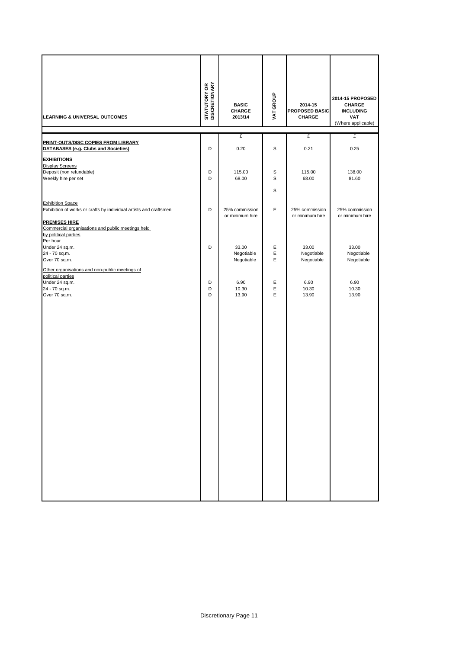| <b>LEARNING &amp; UNIVERSAL OUTCOMES</b>                                                                      | <b>STATUTORY OR<br/>DISCRETIONARY</b> | <b>BASIC</b><br><b>CHARGE</b><br>2013/14 | VAT GROUP | 2014-15<br>PROPOSED BASIC<br>CHARGE | 2014-15 PROPOSED<br><b>CHARGE</b><br><b>INCLUDING</b><br><b>VAT</b><br>(Where applicable) |
|---------------------------------------------------------------------------------------------------------------|---------------------------------------|------------------------------------------|-----------|-------------------------------------|-------------------------------------------------------------------------------------------|
|                                                                                                               |                                       | £                                        |           | £                                   | £                                                                                         |
| <b>PRINT-OUTS/DISC COPIES FROM LIBRARY</b><br>DATABASES (e.g. Clubs and Societies)                            | D                                     | 0.20                                     | S         | 0.21                                | 0.25                                                                                      |
| <b>EXHIBITIONS</b>                                                                                            |                                       |                                          |           |                                     |                                                                                           |
| <b>Display Screens</b>                                                                                        |                                       |                                          |           |                                     |                                                                                           |
| Deposit (non refundable)                                                                                      | D<br>D                                | 115.00<br>68.00                          | S<br>S    | 115.00<br>68.00                     | 138.00<br>81.60                                                                           |
| Weekly hire per set                                                                                           |                                       |                                          |           |                                     |                                                                                           |
|                                                                                                               |                                       |                                          | S         |                                     |                                                                                           |
| <b>Exhibition Space</b>                                                                                       |                                       |                                          |           |                                     |                                                                                           |
| Exhibition of works or crafts by individual artists and craftsmen                                             | D                                     | 25% commission                           | Е         | 25% commission                      | 25% commission                                                                            |
| <b>PREMISES HIRE</b><br>Commercial organisations and public meetings held<br>by political parties<br>Per hour |                                       | or minimum hire                          |           | or minimum hire                     | or minimum hire                                                                           |
| Under 24 sq.m.                                                                                                | D                                     | 33.00                                    | Е         | 33.00                               | 33.00                                                                                     |
| 24 - 70 sq.m.                                                                                                 |                                       | Negotiable                               | Ε<br>Е    | Negotiable                          | Negotiable                                                                                |
| Over 70 sq.m.                                                                                                 |                                       | Negotiable                               |           | Negotiable                          | Negotiable                                                                                |
| Other organisations and non-public meetings of<br>political parties                                           |                                       |                                          |           |                                     |                                                                                           |
| Under 24 sq.m.                                                                                                | D                                     | 6.90                                     | Е         | 6.90                                | 6.90                                                                                      |
| 24 - 70 sq.m.<br>Over 70 sq.m.                                                                                | D<br>D                                | 10.30<br>13.90                           | Е<br>Е    | 10.30<br>13.90                      | 10.30<br>13.90                                                                            |
|                                                                                                               |                                       |                                          |           |                                     |                                                                                           |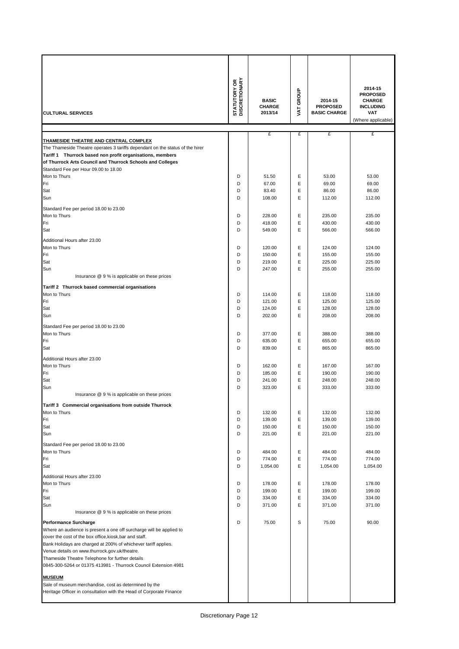| <b>CULTURAL SERVICES</b>                                                                                                                                                                                                                                                                                                                                                                                | <b>STATUTORY OR<br/>DISCRETIONARY</b> | <b>BASIC</b><br><b>CHARGE</b><br>2013/14 | VAT GROUP | 2014-15<br><b>PROPOSED</b><br><b>BASIC CHARGE</b> | 2014-15<br><b>PROPOSED</b><br><b>CHARGE</b><br><b>INCLUDING</b><br><b>VAT</b><br>(Where applicable) |
|---------------------------------------------------------------------------------------------------------------------------------------------------------------------------------------------------------------------------------------------------------------------------------------------------------------------------------------------------------------------------------------------------------|---------------------------------------|------------------------------------------|-----------|---------------------------------------------------|-----------------------------------------------------------------------------------------------------|
|                                                                                                                                                                                                                                                                                                                                                                                                         |                                       | £                                        | £         | £                                                 | £                                                                                                   |
| THAMESIDE THEATRE AND CENTRAL COMPLEX<br>The Thameside Theatre operates 3 tariffs dependant on the status of the hirer<br>Tariff 1 Thurrock based non profit organisations, members<br>of Thurrock Arts Council and Thurrock Schools and Colleges<br>Standard Fee per Hour 09.00 to 18.00                                                                                                               |                                       |                                          |           |                                                   |                                                                                                     |
| Mon to Thurs                                                                                                                                                                                                                                                                                                                                                                                            | D                                     | 51.50                                    | Ε         | 53.00                                             | 53.00                                                                                               |
| Fri<br>Sat                                                                                                                                                                                                                                                                                                                                                                                              | D<br>D                                | 67.00<br>83.40                           | E<br>E    | 69.00<br>86.00                                    | 69.00<br>86.00                                                                                      |
| Sun                                                                                                                                                                                                                                                                                                                                                                                                     | D                                     | 108.00                                   | E         | 112.00                                            | 112.00                                                                                              |
|                                                                                                                                                                                                                                                                                                                                                                                                         |                                       |                                          |           |                                                   |                                                                                                     |
| Standard Fee per period 18.00 to 23.00<br>Mon to Thurs                                                                                                                                                                                                                                                                                                                                                  | D                                     | 228.00                                   | E         | 235.00                                            | 235.00                                                                                              |
| Fri                                                                                                                                                                                                                                                                                                                                                                                                     | D                                     | 418.00                                   | E         | 430.00                                            | 430.00                                                                                              |
| Sat                                                                                                                                                                                                                                                                                                                                                                                                     | D                                     | 549.00                                   | E         | 566.00                                            | 566.00                                                                                              |
| Additional Hours after 23.00                                                                                                                                                                                                                                                                                                                                                                            |                                       |                                          |           |                                                   |                                                                                                     |
| Mon to Thurs                                                                                                                                                                                                                                                                                                                                                                                            | D                                     | 120.00                                   | Ε         | 124.00                                            | 124.00                                                                                              |
| Fri                                                                                                                                                                                                                                                                                                                                                                                                     | D                                     | 150.00                                   | Ε         | 155.00                                            | 155.00                                                                                              |
| Sat                                                                                                                                                                                                                                                                                                                                                                                                     | D                                     | 219.00                                   | Ε         | 225.00                                            | 225.00                                                                                              |
| Sun<br>Insurance @ 9 % is applicable on these prices                                                                                                                                                                                                                                                                                                                                                    | D                                     | 247.00                                   | Ε         | 255.00                                            | 255.00                                                                                              |
|                                                                                                                                                                                                                                                                                                                                                                                                         |                                       |                                          |           |                                                   |                                                                                                     |
| Tariff 2 Thurrock based commercial organisations                                                                                                                                                                                                                                                                                                                                                        |                                       |                                          |           |                                                   |                                                                                                     |
| Mon to Thurs<br>Fri                                                                                                                                                                                                                                                                                                                                                                                     | D<br>D                                | 114.00<br>121.00                         | Ε<br>Ε    | 118.00<br>125.00                                  | 118.00<br>125.00                                                                                    |
| Sat                                                                                                                                                                                                                                                                                                                                                                                                     | D                                     | 124.00                                   | E         | 128.00                                            | 128.00                                                                                              |
| Sun                                                                                                                                                                                                                                                                                                                                                                                                     | D                                     | 202.00                                   | E         | 208.00                                            | 208.00                                                                                              |
| Standard Fee per period 18.00 to 23.00                                                                                                                                                                                                                                                                                                                                                                  |                                       |                                          |           |                                                   |                                                                                                     |
| Mon to Thurs                                                                                                                                                                                                                                                                                                                                                                                            | D                                     | 377.00                                   | Ε         | 388.00                                            | 388.00                                                                                              |
| Fri                                                                                                                                                                                                                                                                                                                                                                                                     | D                                     | 635.00                                   | Ε         | 655.00                                            | 655.00                                                                                              |
| Sat                                                                                                                                                                                                                                                                                                                                                                                                     | D                                     | 839.00                                   | E         | 865.00                                            | 865.00                                                                                              |
| Additional Hours after 23.00                                                                                                                                                                                                                                                                                                                                                                            |                                       |                                          |           |                                                   |                                                                                                     |
| Mon to Thurs                                                                                                                                                                                                                                                                                                                                                                                            | D                                     | 162.00                                   | Ε         | 167.00                                            | 167.00                                                                                              |
| Fri                                                                                                                                                                                                                                                                                                                                                                                                     | D                                     | 185.00                                   | E         | 190.00                                            | 190.00                                                                                              |
| Sat<br>Sun                                                                                                                                                                                                                                                                                                                                                                                              | D<br>D                                | 241.00<br>323.00                         | E<br>E    | 248.00<br>333.00                                  | 248.00<br>333.00                                                                                    |
| Insurance @ 9 % is applicable on these prices                                                                                                                                                                                                                                                                                                                                                           |                                       |                                          |           |                                                   |                                                                                                     |
|                                                                                                                                                                                                                                                                                                                                                                                                         |                                       |                                          |           |                                                   |                                                                                                     |
| Tariff 3 Commercial organisations from outside Thurrock<br>Mon to Thurs                                                                                                                                                                                                                                                                                                                                 | D                                     | 132.00                                   | Е         | 132.00                                            | 132.00                                                                                              |
| Fri                                                                                                                                                                                                                                                                                                                                                                                                     | D                                     | 139.00                                   | Ε         | 139.00                                            | 139.00                                                                                              |
| Sat                                                                                                                                                                                                                                                                                                                                                                                                     | D                                     | 150.00                                   | Е         | 150.00                                            | 150.00                                                                                              |
| Sun                                                                                                                                                                                                                                                                                                                                                                                                     | D                                     | 221.00                                   | Ε         | 221.00                                            | 221.00                                                                                              |
| Standard Fee per period 18.00 to 23.00                                                                                                                                                                                                                                                                                                                                                                  |                                       |                                          |           |                                                   |                                                                                                     |
| Mon to Thurs                                                                                                                                                                                                                                                                                                                                                                                            | D                                     | 484.00                                   | Е         | 484.00                                            | 484.00                                                                                              |
| Fri                                                                                                                                                                                                                                                                                                                                                                                                     | D                                     | 774.00                                   | Е         | 774.00                                            | 774.00                                                                                              |
| Sat                                                                                                                                                                                                                                                                                                                                                                                                     | D                                     | 1,054.00                                 | E         | 1,054.00                                          | 1,054.00                                                                                            |
| Additional Hours after 23.00                                                                                                                                                                                                                                                                                                                                                                            |                                       |                                          |           |                                                   |                                                                                                     |
| Mon to Thurs                                                                                                                                                                                                                                                                                                                                                                                            | D<br>D                                | 178.00                                   | Ε<br>Е    | 178.00                                            | 178.00                                                                                              |
| Fri<br>Sat                                                                                                                                                                                                                                                                                                                                                                                              | D                                     | 199.00<br>334.00                         | Ε         | 199.00<br>334.00                                  | 199.00<br>334.00                                                                                    |
| Sun                                                                                                                                                                                                                                                                                                                                                                                                     | D                                     | 371.00                                   | Ε         | 371.00                                            | 371.00                                                                                              |
| Insurance @ 9 % is applicable on these prices                                                                                                                                                                                                                                                                                                                                                           |                                       |                                          |           |                                                   |                                                                                                     |
| <b>Performance Surcharge</b><br>Where an audience is present a one off surcharge will be applied to<br>cover the cost of the box office, kiosk, bar and staff.<br>Bank Holidays are charged at 200% of whichever tariff applies.<br>Venue details on www.thurrock.gov.uk/theatre.<br>Thameside Theatre Telephone for further details<br>0845-300-5264 or 01375 413981 - Thurrock Council Extension 4981 | D                                     | 75.00                                    | S         | 75.00                                             | 90.00                                                                                               |
| <b>MUSEUM</b>                                                                                                                                                                                                                                                                                                                                                                                           |                                       |                                          |           |                                                   |                                                                                                     |
| Sale of museum merchandise, cost as determined by the<br>Heritage Officer in consultation with the Head of Corporate Finance                                                                                                                                                                                                                                                                            |                                       |                                          |           |                                                   |                                                                                                     |
|                                                                                                                                                                                                                                                                                                                                                                                                         |                                       |                                          |           |                                                   |                                                                                                     |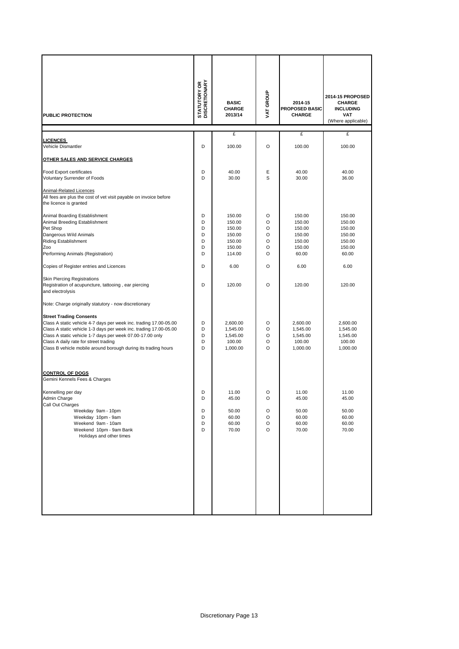| <b>PUBLIC PROTECTION</b>                                                                                                                                                                                                                                                                                                                                                                                  | <b>STATUTORY OR</b><br>DISCRETIONARY | <b>BASIC</b><br><b>CHARGE</b><br>2013/14                           | VAT GROUP                       | 2014-15<br><b>PROPOSED BASIC</b><br><b>CHARGE</b>                 | 2014-15 PROPOSED<br><b>CHARGE</b><br><b>INCLUDING</b><br><b>VAT</b><br>(Where applicable) |
|-----------------------------------------------------------------------------------------------------------------------------------------------------------------------------------------------------------------------------------------------------------------------------------------------------------------------------------------------------------------------------------------------------------|--------------------------------------|--------------------------------------------------------------------|---------------------------------|-------------------------------------------------------------------|-------------------------------------------------------------------------------------------|
|                                                                                                                                                                                                                                                                                                                                                                                                           |                                      | £                                                                  |                                 | £                                                                 | £                                                                                         |
| <b>LICENCES</b><br>Vehicle Dismantler                                                                                                                                                                                                                                                                                                                                                                     | D                                    | 100.00                                                             | O                               | 100.00                                                            | 100.00                                                                                    |
|                                                                                                                                                                                                                                                                                                                                                                                                           |                                      |                                                                    |                                 |                                                                   |                                                                                           |
| OTHER SALES AND SERVICE CHARGES                                                                                                                                                                                                                                                                                                                                                                           |                                      |                                                                    |                                 |                                                                   |                                                                                           |
| Food Export certificates                                                                                                                                                                                                                                                                                                                                                                                  | D                                    | 40.00                                                              | Е                               | 40.00                                                             | 40.00                                                                                     |
| Voluntary Surrender of Foods                                                                                                                                                                                                                                                                                                                                                                              | D                                    | 30.00                                                              | S                               | 30.00                                                             | 36.00                                                                                     |
| <b>Animal-Related Licences</b><br>All fees are plus the cost of vet visit payable on invoice before<br>the licence is granted                                                                                                                                                                                                                                                                             |                                      |                                                                    |                                 |                                                                   |                                                                                           |
| Animal Boarding Establishment<br>Animal Breeding Establishment<br>Pet Shop<br>Dangerous Wild Animals<br><b>Riding Establishment</b><br>Zoo<br>Performing Animals (Registration)                                                                                                                                                                                                                           | D<br>D<br>D<br>D<br>D<br>D<br>D      | 150.00<br>150.00<br>150.00<br>150.00<br>150.00<br>150.00<br>114.00 | O<br>O<br>O<br>O<br>O<br>O<br>O | 150.00<br>150.00<br>150.00<br>150.00<br>150.00<br>150.00<br>60.00 | 150.00<br>150.00<br>150.00<br>150.00<br>150.00<br>150.00<br>60.00                         |
| Copies of Register entries and Licences                                                                                                                                                                                                                                                                                                                                                                   | D                                    | 6.00                                                               | O                               | 6.00                                                              | 6.00                                                                                      |
| <b>Skin Piercing Registrations</b><br>Registration of acupuncture, tattooing, ear piercing<br>and electrolysis                                                                                                                                                                                                                                                                                            | D                                    | 120.00                                                             | O                               | 120.00                                                            | 120.00                                                                                    |
| Note: Charge originally statutory - now discretionary<br><b>Street Trading Consents</b><br>Class A static vehicle 4-7 days per week inc. trading 17.00-05.00<br>Class A static vehicle 1-3 days per week inc. trading 17.00-05.00<br>Class A static vehicle 1-7 days per week 07.00-17.00 only<br>Class A daily rate for street trading<br>Class B vehicle mobile around borough during its trading hours | D<br>D<br>D<br>D<br>D                | 2,600.00<br>1,545.00<br>1,545.00<br>100.00<br>1,000.00             | O<br>O<br>O<br>O<br>O           | 2,600.00<br>1,545.00<br>1,545.00<br>100.00<br>1,000.00            | 2,600.00<br>1,545.00<br>1,545.00<br>100.00<br>1,000.00                                    |
| <b>CONTROL OF DOGS</b><br>Gemini Kennels Fees & Charges                                                                                                                                                                                                                                                                                                                                                   |                                      |                                                                    |                                 |                                                                   |                                                                                           |
| Kennelling per day<br>Admin Charge<br>Call Out Charges<br>Weekday 9am - 10pm<br>Weekday 10pm - 9am<br>Weekend 9am - 10am<br>Weekend 10pm - 9am Bank<br>Holidays and other times                                                                                                                                                                                                                           | D<br>D<br>D<br>D<br>D<br>D           | 11.00<br>45.00<br>50.00<br>60.00<br>60.00<br>70.00                 | O<br>O<br>O<br>O<br>O<br>O      | 11.00<br>45.00<br>50.00<br>60.00<br>60.00<br>70.00                | 11.00<br>45.00<br>50.00<br>60.00<br>60.00<br>70.00                                        |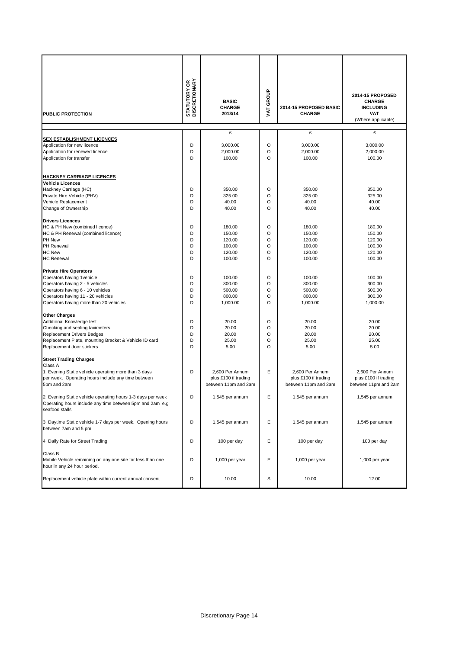| <b>PUBLIC PROTECTION</b>                                                                                                                                                                                          | <b>STATUTORY OR</b><br>DISCRETIONARY | <b>BASIC</b><br><b>CHARGE</b><br>2013/14                        | VAT GROUP                        | 2014-15 PROPOSED BASIC<br><b>CHARGE</b>                         | 2014-15 PROPOSED<br><b>CHARGE</b><br><b>INCLUDING</b><br><b>VAT</b><br>(Where applicable) |
|-------------------------------------------------------------------------------------------------------------------------------------------------------------------------------------------------------------------|--------------------------------------|-----------------------------------------------------------------|----------------------------------|-----------------------------------------------------------------|-------------------------------------------------------------------------------------------|
|                                                                                                                                                                                                                   |                                      | £                                                               |                                  | £                                                               | £                                                                                         |
| <b>SEX ESTABLISHMENT LICENCES</b><br>Application for new licence<br>Application for renewed licence<br>Application for transfer                                                                                   | D<br>D<br>D                          | 3,000.00<br>2,000.00<br>100.00                                  | O<br>O<br>O                      | 3,000.00<br>2,000.00<br>100.00                                  | 3,000.00<br>2,000.00<br>100.00                                                            |
| <b>HACKNEY CARRIAGE LICENCES</b><br><b>Vehicle Licences</b><br>Hackney Carriage (HC)<br>Private Hire Vehicle (PHV)<br>Vehicle Replacement<br>Change of Ownership                                                  | D<br>D<br>D<br>D                     | 350.00<br>325.00<br>40.00<br>40.00                              | O<br>O<br>O<br>O                 | 350.00<br>325.00<br>40.00<br>40.00                              | 350.00<br>325.00<br>40.00<br>40.00                                                        |
| <b>Drivers Licences</b><br>HC & PH New (combined licence)<br>HC & PH Renewal (combined licence)<br>PH New<br><b>PH Renewal</b><br><b>HC New</b><br><b>HC Renewal</b>                                              | D<br>D<br>D<br>D<br>D<br>D           | 180.00<br>150.00<br>120.00<br>100.00<br>120.00<br>100.00        | O<br>O<br>O<br>O<br>O<br>$\circ$ | 180.00<br>150.00<br>120.00<br>100.00<br>120.00<br>100.00        | 180.00<br>150.00<br>120.00<br>100.00<br>120.00<br>100.00                                  |
| <b>Private Hire Operators</b><br>Operators having 1 vehicle<br>Operators having 2 - 5 vehicles<br>Operators having 6 - 10 vehicles<br>Operators having 11 - 20 vehicles<br>Operators having more than 20 vehicles | D<br>D<br>D<br>D<br>D                | 100.00<br>300.00<br>500.00<br>800.00<br>1,000.00                | O<br>O<br>O<br>O<br>O            | 100.00<br>300.00<br>500.00<br>800.00<br>1,000.00                | 100.00<br>300.00<br>500.00<br>800.00<br>1,000.00                                          |
| <b>Other Charges</b><br>Additional Knowledge test<br>Checking and sealing taximeters<br>Replacement Drivers Badges<br>Replacement Plate, mounting Bracket & Vehicle ID card<br>Replacement door stickers          | D<br>D<br>D<br>D<br>D                | 20.00<br>20.00<br>20.00<br>25.00<br>5.00                        | O<br>O<br>O<br>O<br>$\circ$      | 20.00<br>20.00<br>20.00<br>25.00<br>5.00                        | 20.00<br>20.00<br>20.00<br>25.00<br>5.00                                                  |
| <b>Street Trading Charges</b><br>Class A<br>1 Evening Static vehicle operating more than 3 days<br>per week. Operating hours include any time between<br>5pm and 2am                                              | D                                    | 2,600 Per Annum<br>plus £100 if trading<br>between 11pm and 2am | Е                                | 2,600 Per Annum<br>plus £100 if trading<br>between 11pm and 2am | 2.600 Per Annum<br>plus £100 if trading<br>between 11pm and 2am                           |
| 2 Evening Static vehicle operating hours 1-3 days per week<br>Operating hours include any time between 5pm and 2am e.g<br>seafood stalls                                                                          | D                                    | 1,545 per annum                                                 | Ε                                | 1,545 per annum                                                 | 1,545 per annum                                                                           |
| 3 Daytime Static vehicle 1-7 days per week. Opening hours<br>between 7am and 5 pm                                                                                                                                 | D                                    | 1,545 per annum                                                 | Ε                                | 1,545 per annum                                                 | 1,545 per annum                                                                           |
| 4 Daily Rate for Street Trading                                                                                                                                                                                   | D                                    | 100 per day                                                     | Ε                                | 100 per day                                                     | 100 per day                                                                               |
| Class B<br>Mobile Vehicle remaining on any one site for less than one<br>hour in any 24 hour period.                                                                                                              | D                                    | 1,000 per year                                                  | Е                                | 1,000 per year                                                  | 1,000 per year                                                                            |
| Replacement vehicle plate within current annual consent                                                                                                                                                           | D                                    | 10.00                                                           | S                                | 10.00                                                           | 12.00                                                                                     |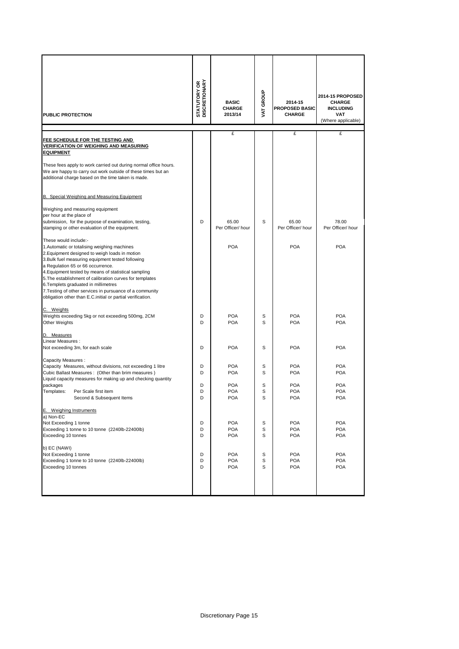| <b>PUBLIC PROTECTION</b>                                                                                                                                                                                                                         | <b>STATUTORY OR</b><br>DISCRETIONARY | <b>BASIC</b><br><b>CHARGE</b><br>2013/14 | VAT GROUP | 2014-15<br><b>PROPOSED BASIC</b><br><b>CHARGE</b> | 2014-15 PROPOSED<br><b>CHARGE</b><br><b>INCLUDING</b><br><b>VAT</b><br>(Where applicable) |
|--------------------------------------------------------------------------------------------------------------------------------------------------------------------------------------------------------------------------------------------------|--------------------------------------|------------------------------------------|-----------|---------------------------------------------------|-------------------------------------------------------------------------------------------|
|                                                                                                                                                                                                                                                  |                                      | £                                        |           | £                                                 | £                                                                                         |
| <b>FEE SCHEDULE FOR THE TESTING AND</b><br><u>VERIFICATION OF WEIGHING AND MEASURING</u><br><b>EQUIPMENT</b>                                                                                                                                     |                                      |                                          |           |                                                   |                                                                                           |
| These fees apply to work carried out during normal office hours.<br>We are happy to carry out work outside of these times but an<br>additional charge based on the time taken is made.                                                           |                                      |                                          |           |                                                   |                                                                                           |
| B. Special Weighing and Measuring Equipment                                                                                                                                                                                                      |                                      |                                          |           |                                                   |                                                                                           |
| Weighing and measuring equipment                                                                                                                                                                                                                 |                                      |                                          |           |                                                   |                                                                                           |
| per hour at the place of<br>submission, for the purpose of examination, testing,<br>stamping or other evaluation of the equipment.                                                                                                               | D                                    | 65.00<br>Per Officer/ hour               | S         | 65.00<br>Per Officer/hour                         | 78.00<br>Per Officer/ hour                                                                |
| These would include:-                                                                                                                                                                                                                            |                                      |                                          |           |                                                   |                                                                                           |
| 1. Automatic or totalising weighing machines<br>2. Equipment designed to weigh loads in motion<br>3. Bulk fuel measuring equipment tested following<br>a Regulation 65 or 66 occurrence.<br>4. Equipment tested by means of statistical sampling |                                      | <b>POA</b>                               |           | <b>POA</b>                                        | <b>POA</b>                                                                                |
| 5. The establishment of calibration curves for templates<br>6. Templets graduated in millimetres<br>7. Testing of other services in pursuance of a community<br>obligation other than E.C.initial or partial verification.                       |                                      |                                          |           |                                                   |                                                                                           |
|                                                                                                                                                                                                                                                  |                                      |                                          |           |                                                   |                                                                                           |
| C. Weights<br>Weights exceeding 5kg or not exceeding 500mg, 2CM                                                                                                                                                                                  | D                                    | <b>POA</b>                               | S         | <b>POA</b>                                        | <b>POA</b>                                                                                |
| Other Weights                                                                                                                                                                                                                                    | D                                    | <b>POA</b>                               | S         | <b>POA</b>                                        | <b>POA</b>                                                                                |
| D. Measures                                                                                                                                                                                                                                      |                                      |                                          |           |                                                   |                                                                                           |
| Linear Measures:<br>Not exceeding 3m, for each scale                                                                                                                                                                                             | D                                    | <b>POA</b>                               | S         | <b>POA</b>                                        | <b>POA</b>                                                                                |
|                                                                                                                                                                                                                                                  |                                      |                                          |           |                                                   |                                                                                           |
| Capacity Measures:<br>Capacity Measures, without divisions, not exceeding 1 litre                                                                                                                                                                | D                                    | <b>POA</b>                               | S         | <b>POA</b>                                        | <b>POA</b>                                                                                |
| Cubic Ballast Measures: (Other than brim measures)<br>Liquid capacity measures for making up and checking quantity                                                                                                                               | D                                    | <b>POA</b>                               | S         | <b>POA</b>                                        | <b>POA</b>                                                                                |
| packages                                                                                                                                                                                                                                         | D                                    | <b>POA</b>                               | S         | <b>POA</b>                                        | <b>POA</b>                                                                                |
| Templates:<br>Per Scale first item<br>Second & Subsequent Items                                                                                                                                                                                  | D<br>D                               | <b>POA</b><br><b>POA</b>                 | S<br>S    | <b>POA</b><br><b>POA</b>                          | <b>POA</b><br><b>POA</b>                                                                  |
| E. Weighing Instruments                                                                                                                                                                                                                          |                                      |                                          |           |                                                   |                                                                                           |
| a) Non-EC                                                                                                                                                                                                                                        |                                      | <b>POA</b>                               |           | <b>POA</b>                                        | <b>POA</b>                                                                                |
| Not Exceeding 1 tonne<br>Exceeding 1 tonne to 10 tonne (2240lb-22400lb)                                                                                                                                                                          | D<br>D                               | <b>POA</b>                               | S<br>S    | <b>POA</b>                                        | <b>POA</b>                                                                                |
| Exceeding 10 tonnes                                                                                                                                                                                                                              | D                                    | <b>POA</b>                               | S         | <b>POA</b>                                        | <b>POA</b>                                                                                |
| b) EC (NAWI)                                                                                                                                                                                                                                     |                                      |                                          |           |                                                   |                                                                                           |
| Not Exceeding 1 tonne<br>Exceeding 1 tonne to 10 tonne (2240lb-22400lb)                                                                                                                                                                          | D<br>D                               | <b>POA</b><br><b>POA</b>                 | S<br>S    | <b>POA</b><br><b>POA</b>                          | <b>POA</b><br><b>POA</b>                                                                  |
| Exceeding 10 tonnes                                                                                                                                                                                                                              | D                                    | <b>POA</b>                               | S         | <b>POA</b>                                        | <b>POA</b>                                                                                |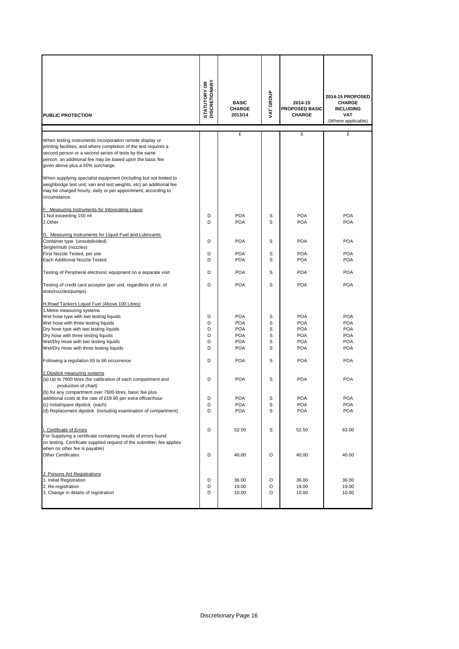| <b>PUBLIC PROTECTION</b>                                                                                                                                                                                                                                                                                                                                                                                                                                                                                                                                                                                                                                                                                                                        | <b>STATUTORY OR<br/>DISCRETIONARY</b>               | <b>BASIC</b><br><b>CHARGE</b><br>2013/14                                                                                                               | VAT GROUP                                           | 2014-15<br>PROPOSED BASIC<br><b>CHARGE</b>                                                                                                             | 2014-15 PROPOSED<br><b>CHARGE</b><br><b>INCLUDING</b><br><b>VAT</b><br>(Where applicable)                                                              |
|-------------------------------------------------------------------------------------------------------------------------------------------------------------------------------------------------------------------------------------------------------------------------------------------------------------------------------------------------------------------------------------------------------------------------------------------------------------------------------------------------------------------------------------------------------------------------------------------------------------------------------------------------------------------------------------------------------------------------------------------------|-----------------------------------------------------|--------------------------------------------------------------------------------------------------------------------------------------------------------|-----------------------------------------------------|--------------------------------------------------------------------------------------------------------------------------------------------------------|--------------------------------------------------------------------------------------------------------------------------------------------------------|
| When testing instruments incorporation remote display or<br>printing facilities, and where completion of the test requires a<br>second person or a second series of tests by the same<br>person, an additional fee may be based upon the basic fee<br>given above plus a 50% surcharge.<br>When supplying specialist equipment (including but not limited to<br>weighbridge test unit, van and test weights, etc) an additional fee                                                                                                                                                                                                                                                                                                             |                                                     | £                                                                                                                                                      |                                                     | £                                                                                                                                                      | £                                                                                                                                                      |
| may be charged hourly, daily or per appointment, according to<br>circumstance.<br>F. Measuring Instruments for Intoxicating Liquor<br>1.Not exceeding 150 ml<br>2.Other                                                                                                                                                                                                                                                                                                                                                                                                                                                                                                                                                                         | D<br>D                                              | <b>POA</b><br><b>POA</b>                                                                                                                               | S<br>s                                              | <b>POA</b><br><b>POA</b>                                                                                                                               | <b>POA</b><br><b>POA</b>                                                                                                                               |
| G. Measuring Instruments for Liquid Fuel and Lubricants<br>Container type (unsubdivided)<br>Single/multi (nozzles)                                                                                                                                                                                                                                                                                                                                                                                                                                                                                                                                                                                                                              | D                                                   | <b>POA</b>                                                                                                                                             | S                                                   | <b>POA</b>                                                                                                                                             | <b>POA</b>                                                                                                                                             |
| First Nozzle Tested, per site<br>Each Additional Nozzle Tested                                                                                                                                                                                                                                                                                                                                                                                                                                                                                                                                                                                                                                                                                  | D<br>D                                              | <b>POA</b><br><b>POA</b>                                                                                                                               | S<br>S                                              | <b>POA</b><br><b>POA</b>                                                                                                                               | <b>POA</b><br><b>POA</b>                                                                                                                               |
| Testing of Peripheral electronic equipment on a separate visit                                                                                                                                                                                                                                                                                                                                                                                                                                                                                                                                                                                                                                                                                  | D                                                   | <b>POA</b>                                                                                                                                             | S                                                   | <b>POA</b>                                                                                                                                             | <b>POA</b>                                                                                                                                             |
| Testing of credit card acceptor (per unit, regardless of no. of<br>slots/nozzles/pumps)                                                                                                                                                                                                                                                                                                                                                                                                                                                                                                                                                                                                                                                         | D                                                   | <b>POA</b>                                                                                                                                             | S                                                   | POA                                                                                                                                                    | <b>POA</b>                                                                                                                                             |
| H.Road Tankers Liquid Fuel (Above 100 Litres)<br>1. Metre measuring systems<br>Wet hose type with two testing liquids<br>Wet hose with three testing liquids<br>Dry hose type with two testing liquids<br>Dry hose with three testing liquids<br>Wet/Dry Hose with two testing liquids<br>Wet/Dry Hose with three testing liquids<br>Following a regulation 65 to 66 occurrence<br>2. Dipstick measuring systems<br>(a) Up to 7600 litres (for calibration of each compartment and<br>production of chart)<br>(b) for any compartment over 7600 litres, basic fee plus<br>additional costs at the rate of £59.90 per extra officer/hour<br>(c) Initial/spare dipstick (each)<br>(d) Replacement dipstick (including examination of compartment) | D<br>D<br>D<br>D<br>D<br>D<br>D<br>D<br>D<br>D<br>D | <b>POA</b><br><b>POA</b><br><b>POA</b><br><b>POA</b><br><b>POA</b><br><b>POA</b><br><b>POA</b><br><b>POA</b><br><b>POA</b><br><b>POA</b><br><b>POA</b> | S<br>S<br>S<br>S<br>S<br>S<br>S<br>S<br>S<br>S<br>S | <b>POA</b><br><b>POA</b><br><b>POA</b><br><b>POA</b><br><b>POA</b><br><b>POA</b><br><b>POA</b><br><b>POA</b><br><b>POA</b><br><b>POA</b><br><b>POA</b> | <b>POA</b><br><b>POA</b><br><b>POA</b><br><b>POA</b><br><b>POA</b><br><b>POA</b><br><b>POA</b><br><b>POA</b><br><b>POA</b><br><b>POA</b><br><b>POA</b> |
| I. Certificate of Errors<br>For Supplying a certificate containing results of errors found<br>on testing. Certificate supplied request of the submitter; fee applies<br>when no other fee is payable)<br><b>Other Certificates</b>                                                                                                                                                                                                                                                                                                                                                                                                                                                                                                              | D<br>D                                              | 52.50<br>40.00                                                                                                                                         | S<br>O                                              | 52.50<br>40.00                                                                                                                                         | 63.00<br>40.00                                                                                                                                         |
| J. Poisons Act Registrations<br>1. Initial Registration<br>2. Re-registration<br>3. Change in details of registration                                                                                                                                                                                                                                                                                                                                                                                                                                                                                                                                                                                                                           | D<br>D<br>D                                         | 36.00<br>19.00<br>10.00                                                                                                                                | O<br>O<br>O                                         | 36.00<br>19.00<br>10.00                                                                                                                                | 36.00<br>19.00<br>10.00                                                                                                                                |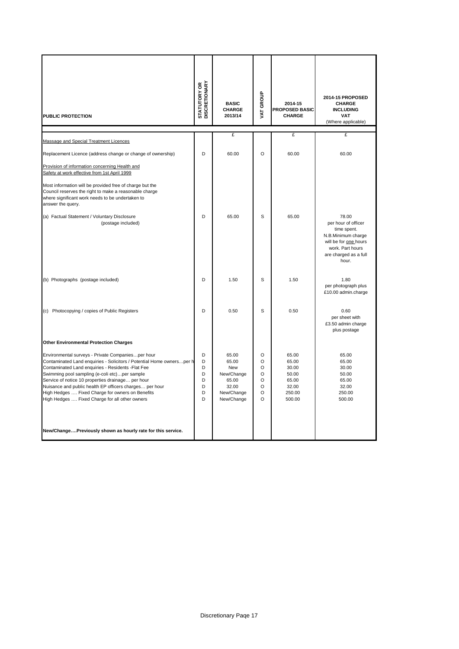| <b>PUBLIC PROTECTION</b>                                                                                                                                                                                                                                                                                                                                                                                                                                | <b>STATUTORY OR<br/>DISCRETIONARY</b> | <b>BASIC</b><br><b>CHARGE</b><br>2013/14                                          | VAT GROUP                                                     | 2014-15<br><b>PROPOSED BASIC</b><br><b>CHARGE</b>                      | 2014-15 PROPOSED<br><b>CHARGE</b><br><b>INCLUDING</b><br><b>VAT</b><br>(Where applicable)                                                        |
|---------------------------------------------------------------------------------------------------------------------------------------------------------------------------------------------------------------------------------------------------------------------------------------------------------------------------------------------------------------------------------------------------------------------------------------------------------|---------------------------------------|-----------------------------------------------------------------------------------|---------------------------------------------------------------|------------------------------------------------------------------------|--------------------------------------------------------------------------------------------------------------------------------------------------|
| Massage and Special Treatment Licences                                                                                                                                                                                                                                                                                                                                                                                                                  |                                       | $\mathbf{f}$                                                                      |                                                               | $\mathbf{f}$                                                           | £                                                                                                                                                |
| Replacement Licence (address change or change of ownership)                                                                                                                                                                                                                                                                                                                                                                                             | D                                     | 60.00                                                                             | O                                                             | 60.00                                                                  | 60.00                                                                                                                                            |
| Provision of information concerning Health and<br>Safety at work effective from 1st April 1999                                                                                                                                                                                                                                                                                                                                                          |                                       |                                                                                   |                                                               |                                                                        |                                                                                                                                                  |
| Most information will be provided free of charge but the<br>Council reserves the right to make a reasonable charge<br>where significant work needs to be undertaken to<br>answer the query.                                                                                                                                                                                                                                                             |                                       |                                                                                   |                                                               |                                                                        |                                                                                                                                                  |
| (a) Factual Statement / Voluntary Disclosure<br>(postage included)                                                                                                                                                                                                                                                                                                                                                                                      | D                                     | 65.00                                                                             | S                                                             | 65.00                                                                  | 78.00<br>per hour of officer<br>time spent.<br>N.B.Minimum charge<br>will be for one hours<br>work. Part hours<br>are charged as a full<br>hour. |
| (b) Photographs (postage included)                                                                                                                                                                                                                                                                                                                                                                                                                      | D                                     | 1.50                                                                              | S                                                             | 1.50                                                                   | 1.80<br>per photograph plus<br>£10.00 admin.charge                                                                                               |
| (c) Photocopying / copies of Public Registers                                                                                                                                                                                                                                                                                                                                                                                                           | D                                     | 0.50                                                                              | S                                                             | 0.50                                                                   | 0.60<br>per sheet with<br>£3.50 admin charge<br>plus postage                                                                                     |
| <b>Other Environmental Protection Charges</b>                                                                                                                                                                                                                                                                                                                                                                                                           |                                       |                                                                                   |                                                               |                                                                        |                                                                                                                                                  |
| Environmental surveys - Private Companiesper hour<br>Contaminated Land enquiries - Solicitors / Potential Home ownersper h<br>Contaminated Land enquiries - Residents - Flat Fee<br>Swimming pool sampling (e-coli etc)per sample<br>Service of notice 10 properties drainage per hour<br>Nuisance and public health EP officers charges per hour<br>High Hedges  Fixed Charge for owners on Benefits<br>High Hedges  Fixed Charge for all other owners | D<br>D<br>D<br>D<br>D<br>D<br>D<br>D  | 65.00<br>65.00<br>New<br>New/Change<br>65.00<br>32.00<br>New/Change<br>New/Change | $\circ$<br>O<br>O<br>O<br>O<br>$\circ$<br>$\circ$<br>$\Omega$ | 65.00<br>65.00<br>30.00<br>50.00<br>65.00<br>32.00<br>250.00<br>500.00 | 65.00<br>65.00<br>30.00<br>50.00<br>65.00<br>32.00<br>250.00<br>500.00                                                                           |
| New/ChangePreviously shown as hourly rate for this service.                                                                                                                                                                                                                                                                                                                                                                                             |                                       |                                                                                   |                                                               |                                                                        |                                                                                                                                                  |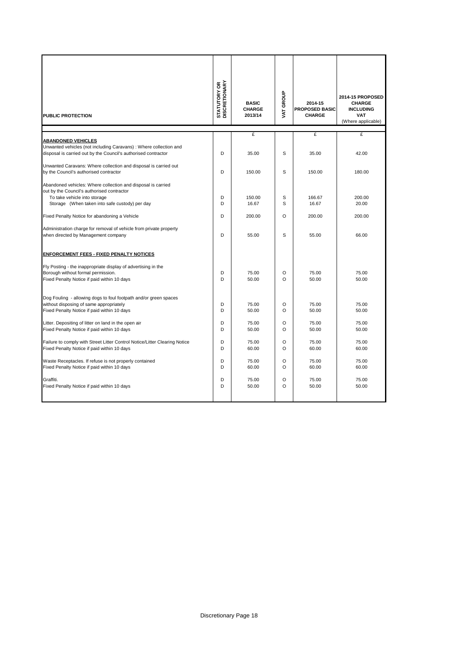| <b>PUBLIC PROTECTION</b>                                                                                  | <b>STATUTORY OR<br/>DISCRETIONARY</b> | <b>BASIC</b><br><b>CHARGE</b><br>2013/14 | VAT GROUP    | 2014-15<br><b>PROPOSED BASIC</b><br><b>CHARGE</b> | 2014-15 PROPOSED<br><b>CHARGE</b><br><b>INCLUDING</b><br><b>VAT</b><br>(Where applicable) |
|-----------------------------------------------------------------------------------------------------------|---------------------------------------|------------------------------------------|--------------|---------------------------------------------------|-------------------------------------------------------------------------------------------|
|                                                                                                           |                                       | £                                        |              | £                                                 | £                                                                                         |
| <b>ABANDONED VEHICLES</b>                                                                                 |                                       |                                          |              |                                                   |                                                                                           |
| Unwanted vehicles (not including Caravans) : Where collection and                                         |                                       |                                          |              |                                                   |                                                                                           |
| disposal is carried out by the Council's authorised contractor                                            | D                                     | 35.00                                    | S            | 35.00                                             | 42.00                                                                                     |
|                                                                                                           |                                       |                                          |              |                                                   |                                                                                           |
| Unwanted Caravans: Where collection and disposal is carried out<br>by the Council's authorised contractor | D                                     | 150.00                                   | S            | 150.00                                            | 180.00                                                                                    |
|                                                                                                           |                                       |                                          |              |                                                   |                                                                                           |
| Abandoned vehicles: Where collection and disposal is carried                                              |                                       |                                          |              |                                                   |                                                                                           |
| out by the Council's authorised contractor                                                                |                                       |                                          |              |                                                   |                                                                                           |
| To take vehicle into storage                                                                              | D                                     | 150.00                                   | S            | 166.67                                            | 200.00                                                                                    |
| Storage (When taken into safe custody) per day                                                            | D                                     | 16.67                                    | S            | 16.67                                             | 20.00                                                                                     |
| Fixed Penalty Notice for abandoning a Vehicle                                                             | D                                     | 200.00                                   | O            | 200.00                                            | 200.00                                                                                    |
| Administration charge for removal of vehicle from private property                                        |                                       |                                          |              |                                                   |                                                                                           |
| when directed by Management company                                                                       | D                                     | 55.00                                    | S            | 55.00                                             | 66.00                                                                                     |
|                                                                                                           |                                       |                                          |              |                                                   |                                                                                           |
| <b>ENFORCEMENT FEES - FIXED PENALTY NOTICES</b>                                                           |                                       |                                          |              |                                                   |                                                                                           |
| Fly Posting - the inappropriate display of advertising in the                                             |                                       |                                          |              |                                                   |                                                                                           |
| Borough without formal permission.                                                                        | D                                     | 75.00                                    | O            | 75.00                                             | 75.00                                                                                     |
| Fixed Penalty Notice if paid within 10 days                                                               | D                                     | 50.00                                    | $\Omega$     | 50.00                                             | 50.00                                                                                     |
|                                                                                                           |                                       |                                          |              |                                                   |                                                                                           |
| Dog Fouling - allowing dogs to foul footpath and/or green spaces                                          |                                       |                                          |              |                                                   |                                                                                           |
| without disposing of same appropriately                                                                   | D                                     | 75.00                                    | O            | 75.00                                             | 75.00                                                                                     |
| Fixed Penalty Notice if paid within 10 days                                                               | D                                     | 50.00                                    | $\Omega$     | 50.00                                             | 50.00                                                                                     |
| Litter. Depositing of litter on land in the open air                                                      | D                                     | 75.00                                    | O            | 75.00                                             | 75.00                                                                                     |
| Fixed Penalty Notice if paid within 10 days                                                               | D                                     | 50.00                                    | O            | 50.00                                             | 50.00                                                                                     |
|                                                                                                           |                                       |                                          |              |                                                   |                                                                                           |
| Failure to comply with Street Litter Control Notice/Litter Clearing Notice                                | D                                     | 75.00                                    | $\Omega$     | 75.00                                             | 75.00                                                                                     |
| Fixed Penalty Notice if paid within 10 days                                                               | D                                     | 60.00                                    | O            | 60.00                                             | 60.00                                                                                     |
|                                                                                                           |                                       |                                          |              |                                                   |                                                                                           |
| Waste Receptacles. If refuse is not properly contained<br>Fixed Penalty Notice if paid within 10 days     | D<br>D                                | 75.00<br>60.00                           | O<br>$\circ$ | 75.00<br>60.00                                    | 75.00<br>60.00                                                                            |
|                                                                                                           |                                       |                                          |              |                                                   |                                                                                           |
| Graffiti.                                                                                                 | D                                     | 75.00                                    | O            | 75.00                                             | 75.00                                                                                     |
| Fixed Penalty Notice if paid within 10 days                                                               | D                                     | 50.00                                    | O            | 50.00                                             | 50.00                                                                                     |
|                                                                                                           |                                       |                                          |              |                                                   |                                                                                           |
|                                                                                                           |                                       |                                          |              |                                                   |                                                                                           |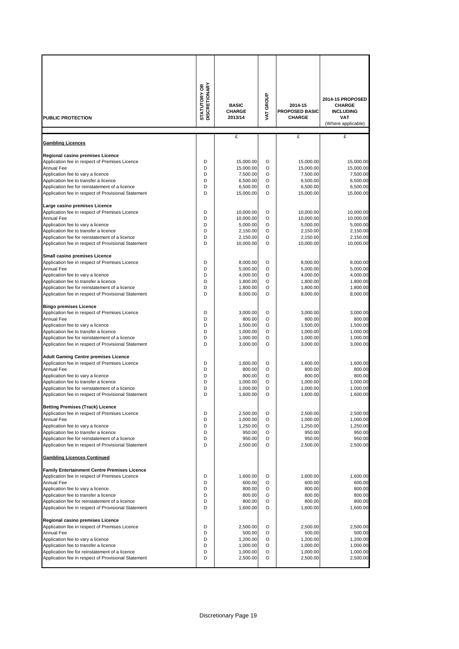|                                                                                                       | <b>STATUTORY OR</b><br>DISCRETIONARY |                       |              |                                  |                                   |
|-------------------------------------------------------------------------------------------------------|--------------------------------------|-----------------------|--------------|----------------------------------|-----------------------------------|
|                                                                                                       |                                      | <b>BASIC</b>          | VAT GROUP    |                                  | 2014-15 PROPOSED                  |
|                                                                                                       |                                      | <b>CHARGE</b>         |              | 2014-15<br><b>PROPOSED BASIC</b> | <b>CHARGE</b><br><b>INCLUDING</b> |
| <b>PUBLIC PROTECTION</b>                                                                              |                                      | 2013/14               |              | <b>CHARGE</b>                    | <b>VAT</b>                        |
|                                                                                                       |                                      |                       |              |                                  | (Where applicable)                |
|                                                                                                       |                                      |                       |              |                                  |                                   |
| <b>Gambling Licences</b>                                                                              |                                      | £                     |              | £                                | £                                 |
|                                                                                                       |                                      |                       |              |                                  |                                   |
| Regional casino premises Licence                                                                      |                                      |                       |              |                                  |                                   |
| Application fee in respect of Premises Licence                                                        | D                                    | 15.000.00             | O            | 15,000.00                        | 15,000.00                         |
| <b>Annual Fee</b>                                                                                     | D                                    | 15,000.00             | O            | 15,000.00                        | 15,000.00                         |
| Application fee to vary a licence                                                                     | D<br>D                               | 7,500.00              | O            | 7,500.00                         | 7,500.00                          |
| Application fee to transfer a licence<br>Application fee for reinstatement of a licence               | D                                    | 6,500.00<br>6,500.00  | O<br>O       | 6,500.00<br>6,500.00             | 6,500.00<br>6,500.00              |
| Application fee in respect of Provisional Statement                                                   | D                                    | 15,000.00             | O            | 15,000.00                        | 15,000.00                         |
|                                                                                                       |                                      |                       |              |                                  |                                   |
| Large casino premises Licence                                                                         |                                      |                       |              |                                  |                                   |
| Application fee in respect of Premises Licence                                                        | D                                    | 10,000.00             | O            | 10,000.00                        | 10,000.00                         |
| <b>Annual Fee</b>                                                                                     | D                                    | 10,000.00             | O            | 10,000.00                        | 10,000.00                         |
| Application fee to vary a licence                                                                     | D                                    | 5,000.00              | O            | 5,000.00                         | 5,000.00                          |
| Application fee to transfer a licence                                                                 | D                                    | 2,150.00              | O            | 2,150.00                         | 2,150.00                          |
| Application fee for reinstatement of a licence<br>Application fee in respect of Provisional Statement | D<br>D                               | 2,150.00<br>10,000.00 | O<br>$\circ$ | 2,150.00<br>10,000.00            | 2,150.00<br>10,000.00             |
|                                                                                                       |                                      |                       |              |                                  |                                   |
| Small casino premises Licence                                                                         |                                      |                       |              |                                  |                                   |
| Application fee in respect of Premises Licence                                                        | D                                    | 8,000.00              | O            | 8.000.00                         | 8,000.00                          |
| <b>Annual Fee</b>                                                                                     | D                                    | 5,000.00              | O            | 5,000.00                         | 5,000.00                          |
| Application fee to vary a licence                                                                     | D                                    | 4,000.00              | O            | 4,000.00                         | 4,000.00                          |
| Application fee to transfer a licence                                                                 | D                                    | 1,800.00              | O            | 1,800.00                         | 1,800.00                          |
| Application fee for reinstatement of a licence                                                        | D                                    | 1,800.00              | O            | 1,800.00                         | 1,800.00                          |
| Application fee in respect of Provisional Statement                                                   | D                                    | 8,000.00              | O            | 8,000.00                         | 8,000.00                          |
| <b>Bingo premises Licence</b>                                                                         |                                      |                       |              |                                  |                                   |
| Application fee in respect of Premises Licence                                                        | D                                    | 3,000.00              | O            | 3,000.00                         | 3,000.00                          |
| Annual Fee                                                                                            | D                                    | 800.00                | O            | 800.00                           | 800.00                            |
| Application fee to vary a licence                                                                     | D                                    | 1,500.00              | O            | 1,500.00                         | 1,500.00                          |
| Application fee to transfer a licence                                                                 | D                                    | 1,000.00              | O            | 1,000.00                         | 1,000.00                          |
| Application fee for reinstatement of a licence                                                        | D                                    | 1,000.00              | O            | 1,000.00                         | 1,000.00                          |
| Application fee in respect of Provisional Statement                                                   | D                                    | 3,000.00              | O            | 3,000.00                         | 3,000.00                          |
|                                                                                                       |                                      |                       |              |                                  |                                   |
| <b>Adult Gaming Centre premises Licence</b><br>Application fee in respect of Premises Licence         | D                                    | 1,600.00              | O            | 1,600.00                         | 1,600.00                          |
| Annual Fee                                                                                            | D                                    | 800.00                | O            | 800.00                           | 800.00                            |
| Application fee to vary a licence                                                                     | D                                    | 800.00                | O            | 800.00                           | 800.00                            |
| Application fee to transfer a licence                                                                 | D                                    | 1,000.00              | O            | 1,000.00                         | 1,000.00                          |
| Application fee for reinstatement of a licence                                                        | D                                    | 1,000.00              | O            | 1,000.00                         | 1,000.00                          |
| Application fee in respect of Provisional Statement                                                   | D                                    | 1,600.00              | $\circ$      | 1,600.00                         | 1,600.00                          |
|                                                                                                       |                                      |                       |              |                                  |                                   |
| <b>Betting Premises (Track) Licence</b>                                                               | D                                    | 2,500.00              | O            | 2,500.00                         | 2,500.00                          |
| Application fee in respect of Premises Licence<br><b>Annual Fee</b>                                   | D                                    | 1,000.00              | O            | 1,000.00                         | 1,000.00                          |
| Application fee to vary a licence                                                                     | D                                    | 1,250.00              | O            | 1,250.00                         | 1,250.00                          |
| Application fee to transfer a licence                                                                 | D                                    | 950.00                | O            | 950.00                           | 950.00                            |
| Application fee for reinstatement of a licence                                                        | D                                    | 950.00                | O            | 950.00                           | 950.00                            |
| Application fee in respect of Provisional Statement                                                   | D                                    | 2,500.00              | O            | 2,500.00                         | 2,500.00                          |
| <b>Gambling Licences Continued</b>                                                                    |                                      |                       |              |                                  |                                   |
| <b>Family Entertainment Centre Premises Licence</b>                                                   |                                      |                       |              |                                  |                                   |
| Application fee in respect of Premises Licence                                                        | D                                    | 1,600.00              | O            | 1,600.00                         | 1,600.00                          |
| <b>Annual Fee</b>                                                                                     | D                                    | 600.00                | O            | 600.00                           | 600.00                            |
| Application fee to vary a licence                                                                     | D                                    | 800.00                | O            | 800.00                           | 800.00                            |
| Application fee to transfer a licence                                                                 | D                                    | 800.00                | O            | 800.00                           | 800.00                            |
| Application fee for reinstatement of a licence<br>Application fee in respect of Provisional Statement | D<br>D                               | 800.00<br>1,600.00    | O<br>O       | 800.00<br>1,600.00               | 800.00<br>1,600.00                |
|                                                                                                       |                                      |                       |              |                                  |                                   |
| Regional casino premises Licence                                                                      |                                      |                       |              |                                  |                                   |
| Application fee in respect of Premises Licence                                                        | D                                    | 2,500.00              | O            | 2,500.00                         | 2,500.00                          |
| <b>Annual Fee</b>                                                                                     | D                                    | 500.00                | O            | 500.00                           | 500.00                            |
| Application fee to vary a licence                                                                     | D                                    | 1,200.00              | O            | 1,200.00                         | 1,200.00                          |
| Application fee to transfer a licence                                                                 | D                                    | 1,000.00              | O            | 1,000.00                         | 1,000.00                          |
|                                                                                                       | D                                    | 1,000.00              | O            | 1,000.00                         | 1,000.00                          |
| Application fee for reinstatement of a licence<br>Application fee in respect of Provisional Statement | D                                    | 2,500.00              | O            | 2,500.00                         | 2,500.00                          |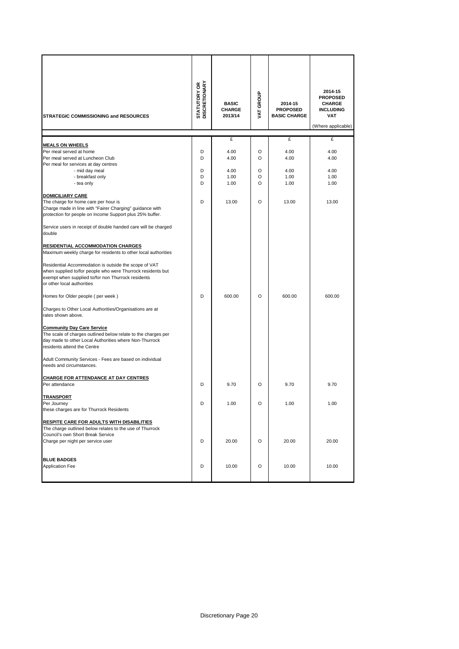| STRATEGIC COMMISSIONING and RESOURCES                                                                                                                                                                                                                                                                                                                                                                                                                                                                                                                                                                                                                                                                                                                                                                                                                                                                                                                                                                     | <b>STATUTORY OR<br/>DISCRETIONARY</b> | <b>BASIC</b><br><b>CHARGE</b><br>2013/14 | VAT GROUP             | 2014-15<br><b>PROPOSED</b><br><b>BASIC CHARGE</b> | 2014-15<br><b>PROPOSED</b><br><b>CHARGE</b><br><b>INCLUDING</b><br><b>VAT</b><br>(Where applicable) |
|-----------------------------------------------------------------------------------------------------------------------------------------------------------------------------------------------------------------------------------------------------------------------------------------------------------------------------------------------------------------------------------------------------------------------------------------------------------------------------------------------------------------------------------------------------------------------------------------------------------------------------------------------------------------------------------------------------------------------------------------------------------------------------------------------------------------------------------------------------------------------------------------------------------------------------------------------------------------------------------------------------------|---------------------------------------|------------------------------------------|-----------------------|---------------------------------------------------|-----------------------------------------------------------------------------------------------------|
|                                                                                                                                                                                                                                                                                                                                                                                                                                                                                                                                                                                                                                                                                                                                                                                                                                                                                                                                                                                                           |                                       | £                                        |                       | £                                                 | £                                                                                                   |
| <b>MEALS ON WHEELS</b><br>Per meal served at home<br>Per meal served at Luncheon Club<br>Per meal for services at day centres<br>- mid day meal<br>- breakfast only<br>- tea only                                                                                                                                                                                                                                                                                                                                                                                                                                                                                                                                                                                                                                                                                                                                                                                                                         | D<br>D<br>D<br>D<br>D                 | 4.00<br>4.00<br>4.00<br>1.00<br>1.00     | O<br>O<br>O<br>O<br>O | 4.00<br>4.00<br>4.00<br>1.00<br>1.00              | 4.00<br>4.00<br>4.00<br>1.00<br>1.00                                                                |
| <b>DOMICILIARY CARE</b><br>The charge for home care per hour is<br>Charge made in line with "Fairer Charging" guidance with<br>protection for people on Income Support plus 25% buffer.<br>Service users in receipt of double handed care will be charged<br>double<br><b>RESIDENTIAL ACCOMMODATION CHARGES</b><br>Maximum weekly charge for residents to other local authorities<br>Residential Accommodation is outside the scope of VAT<br>when supplied to/for people who were Thurrock residents but<br>exempt when supplied to/for non Thurrock residents<br>or other local authorities<br>Homes for Older people (per week)<br>Charges to Other Local Authorities/Organisations are at<br>rates shown above.<br><b>Community Day Care Service</b><br>The scale of charges outlined below relate to the charges per<br>day made to other Local Authorities where Non-Thurrock<br>residents attend the Centre<br>Adult Community Services - Fees are based on individual<br>needs and circumstances. | D<br>D                                | 13.00<br>600.00                          | O<br>O                | 13.00<br>600.00                                   | 13.00<br>600.00                                                                                     |
| <b>CHARGE FOR ATTENDANCE AT DAY CENTRES</b><br>Per attendance                                                                                                                                                                                                                                                                                                                                                                                                                                                                                                                                                                                                                                                                                                                                                                                                                                                                                                                                             | D                                     | 9.70                                     | O                     | 9.70                                              | 9.70                                                                                                |
| <b>TRANSPORT</b><br>Per Journey<br>these charges are for Thurrock Residents<br><b>RESPITE CARE FOR ADULTS WITH DISABILITIES</b>                                                                                                                                                                                                                                                                                                                                                                                                                                                                                                                                                                                                                                                                                                                                                                                                                                                                           | D                                     | 1.00                                     | O                     | 1.00                                              | 1.00                                                                                                |
| The charge outlined below relates to the use of Thurrock<br>Council's own Short Break Service<br>Charge per night per service user                                                                                                                                                                                                                                                                                                                                                                                                                                                                                                                                                                                                                                                                                                                                                                                                                                                                        | D                                     | 20.00                                    | O                     | 20.00                                             | 20.00                                                                                               |
| <b>BLUE BADGES</b><br><b>Application Fee</b>                                                                                                                                                                                                                                                                                                                                                                                                                                                                                                                                                                                                                                                                                                                                                                                                                                                                                                                                                              | D                                     | 10.00                                    | O                     | 10.00                                             | 10.00                                                                                               |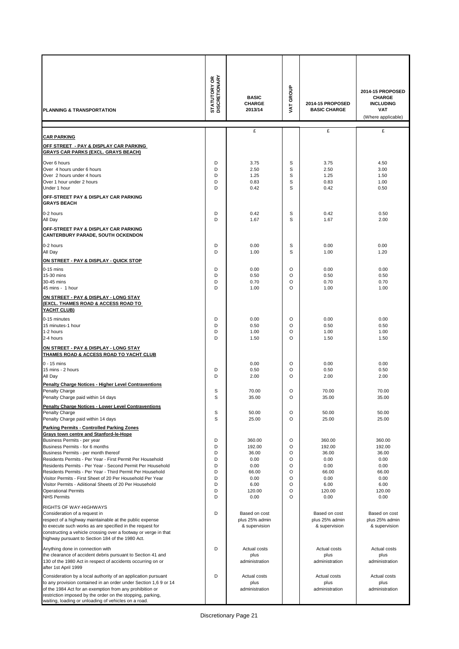| PLANNING & TRANSPORTATION                                                                                                                                                                                                                          | <b>STATUTORY OR<br/>DISCRETIONARY</b> | <b>BASIC</b><br><b>CHARGE</b><br>2013/14 | VAT GROUP             | 2014-15 PROPOSED<br><b>BASIC CHARGE</b> | 2014-15 PROPOSED<br><b>CHARGE</b><br><b>INCLUDING</b><br>VAT<br>(Where applicable) |
|----------------------------------------------------------------------------------------------------------------------------------------------------------------------------------------------------------------------------------------------------|---------------------------------------|------------------------------------------|-----------------------|-----------------------------------------|------------------------------------------------------------------------------------|
|                                                                                                                                                                                                                                                    |                                       | £                                        |                       | £                                       | £                                                                                  |
| <b>CAR PARKING</b><br>OFF STREET - PAY & DISPLAY CAR PARKING                                                                                                                                                                                       |                                       |                                          |                       |                                         |                                                                                    |
| GRAYS CAR PARKS (EXCL. GRAYS BEACH)                                                                                                                                                                                                                |                                       |                                          |                       |                                         |                                                                                    |
| Over 6 hours<br>Over 4 hours under 6 hours<br>Over 2 hours under 4 hours<br>Over 1 hour under 2 hours<br>Under 1 hour<br>OFF-STREET PAY & DISPLAY CAR PARKING                                                                                      | D<br>D<br>D<br>D<br>D                 | 3.75<br>2.50<br>1.25<br>0.83<br>0.42     | s<br>S<br>S<br>S<br>S | 3.75<br>2.50<br>1.25<br>0.83<br>0.42    | 4.50<br>3.00<br>1.50<br>1.00<br>0.50                                               |
| <b>GRAYS BEACH</b>                                                                                                                                                                                                                                 |                                       |                                          |                       |                                         |                                                                                    |
| 0-2 hours<br>All Day                                                                                                                                                                                                                               | D<br>D                                | 0.42<br>1.67                             | s<br>S                | 0.42<br>1.67                            | 0.50<br>2.00                                                                       |
| OFF-STREET PAY & DISPLAY CAR PARKING<br><b>CANTERBURY PARADE, SOUTH OCKENDON</b>                                                                                                                                                                   |                                       |                                          |                       |                                         |                                                                                    |
| 0-2 hours<br>All Day                                                                                                                                                                                                                               | D<br>D                                | 0.00<br>1.00                             | S<br>S                | 0.00<br>1.00                            | 0.00<br>1.20                                                                       |
| ON STREET - PAY & DISPLAY - QUICK STOP<br>$0-15$ mins                                                                                                                                                                                              | D                                     | 0.00                                     | O                     | 0.00                                    | 0.00                                                                               |
| 15-30 mins<br>30-45 mins<br>45 mins - 1 hour                                                                                                                                                                                                       | D<br>D<br>D                           | 0.50<br>0.70<br>1.00                     | O<br>O<br>O           | 0.50<br>0.70<br>1.00                    | 0.50<br>0.70<br>1.00                                                               |
| ON STREET - PAY & DISPLAY - LONG STAY<br>(EXCL. THAMES ROAD & ACCESS ROAD TO<br>YACHT CLUB)                                                                                                                                                        |                                       |                                          |                       |                                         |                                                                                    |
| 0-15 minutes                                                                                                                                                                                                                                       | D                                     | 0.00                                     | O                     | 0.00                                    | 0.00                                                                               |
| 15 minutes-1 hour<br>1-2 hours                                                                                                                                                                                                                     | D<br>D                                | 0.50<br>1.00                             | O<br>O                | 0.50<br>1.00                            | 0.50<br>1.00                                                                       |
| 2-4 hours                                                                                                                                                                                                                                          | D                                     | 1.50                                     | O                     | 1.50                                    | 1.50                                                                               |
| ON STREET - PAY & DISPLAY - LONG STAY<br>THAMES ROAD & ACCESS ROAD TO YACHT CLUB                                                                                                                                                                   |                                       |                                          |                       |                                         |                                                                                    |
| $0 - 15$ mins<br>15 mins - 2 hours                                                                                                                                                                                                                 | D                                     | 0.00<br>0.50                             | O<br>O                | 0.00<br>0.50                            | 0.00<br>0.50                                                                       |
| All Day                                                                                                                                                                                                                                            | D                                     | 2.00                                     | O                     | 2.00                                    | 2.00                                                                               |
| Penalty Charge Notices - Higher Level Contraventions<br>Penalty Charge                                                                                                                                                                             | S                                     | 70.00                                    | O                     | 70.00                                   | 70.00                                                                              |
| Penalty Charge paid within 14 days                                                                                                                                                                                                                 | S                                     | 35.00                                    | O                     | 35.00                                   | 35.00                                                                              |
| <b>Penalty Charge Notices - Lower Level Contraventions</b><br>Penalty Charge                                                                                                                                                                       | S                                     | 50.00                                    | O                     | 50.00                                   | 50.00                                                                              |
| Penalty Charge paid within 14 days                                                                                                                                                                                                                 | S                                     | 25.00                                    | O                     | 25.00                                   | 25.00                                                                              |
| <b>Parking Permits - Controlled Parking Zones</b><br>Grays town centre and Stanford-le-Hope                                                                                                                                                        |                                       |                                          |                       |                                         |                                                                                    |
| Business Permits - per year<br>Business Permits - for 6 months                                                                                                                                                                                     | D<br>D                                | 360.00<br>192.00                         | O<br>O                | 360.00<br>192.00                        | 360.00<br>192.00                                                                   |
| Business Permits - per month thereof                                                                                                                                                                                                               | D                                     | 36.00                                    | O                     | 36.00                                   | 36.00                                                                              |
| Residents Permits - Per Year - First Permit Per Household<br>Residents Permits - Per Year - Second Permit Per Household                                                                                                                            | D<br>D                                | 0.00<br>0.00                             | O<br>O                | 0.00<br>0.00                            | 0.00<br>0.00                                                                       |
| Residents Permits - Per Year - Third Permit Per Household                                                                                                                                                                                          | D                                     | 66.00                                    | O                     | 66.00                                   | 66.00                                                                              |
| Visitor Permits - First Sheet of 20 Per Household Per Year<br>Visitor Permits - Adiitional Sheets of 20 Per Household                                                                                                                              | D<br>D                                | 0.00<br>6.00                             | O<br>O                | 0.00<br>6.00                            | 0.00<br>6.00                                                                       |
| <b>Operational Permits</b><br><b>NHS Permits</b>                                                                                                                                                                                                   | D<br>D                                | 120.00<br>0.00                           | O<br>O                | 120.00<br>0.00                          | 120.00<br>0.00                                                                     |
| RIGHTS OF WAY-HIGHWAYS                                                                                                                                                                                                                             |                                       |                                          |                       |                                         |                                                                                    |
| Consideration of a request in                                                                                                                                                                                                                      | D                                     | Based on cost                            |                       | Based on cost                           | Based on cost                                                                      |
| respect of a highway maintainable at the public expense<br>to execute such works as are specified in the request for<br>constructing a vehicle crossing over a footway or verge in that<br>highway pursuant to Section 184 of the 1980 Act.        |                                       | plus 25% admin<br>& supervision          |                       | plus 25% admin<br>& supervision         | plus 25% admin<br>& supervision                                                    |
| Anything done in connection with<br>the clearance of accident debris pursuant to Section 41 and<br>130 of the 1980 Act in respect of accidents occurring on or<br>after 1st April 1999                                                             | D                                     | Actual costs<br>plus<br>administration   |                       | Actual costs<br>plus<br>administration  | Actual costs<br>plus<br>administration                                             |
| Consideration by a local authority of an application pursuant                                                                                                                                                                                      | D                                     | Actual costs                             |                       | Actual costs                            | Actual costs                                                                       |
| to any provision contained in an order under Section 1,6 9 or 14<br>of the 1984 Act for an exemption from any prohibition or<br>restriction imposed by the order on the stopping, parking,<br>waiting, loading or unloading of vehicles on a road. |                                       | plus<br>administration                   |                       | plus<br>administration                  | plus<br>administration                                                             |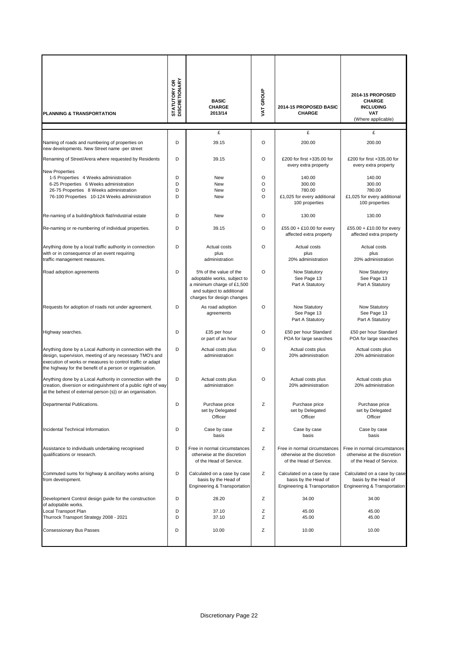| PLANNING & TRANSPORTATION                                                                                                                                                                                                                      | <b>STATUTORY OR</b><br>DISCRETIONARY | <b>BASIC</b><br><b>CHARGE</b><br>2013/14                                                                                                       | VAT GROUP                          | 2014-15 PROPOSED BASIC<br><b>CHARGE</b>                                                | 2014-15 PROPOSED<br><b>CHARGE</b><br><b>INCLUDING</b><br><b>VAT</b><br>(Where applicable) |
|------------------------------------------------------------------------------------------------------------------------------------------------------------------------------------------------------------------------------------------------|--------------------------------------|------------------------------------------------------------------------------------------------------------------------------------------------|------------------------------------|----------------------------------------------------------------------------------------|-------------------------------------------------------------------------------------------|
|                                                                                                                                                                                                                                                |                                      | £                                                                                                                                              |                                    | £                                                                                      | £                                                                                         |
| Naming of roads and numbering of properties on<br>new developments. New Street name -per street                                                                                                                                                | D                                    | 39.15                                                                                                                                          | $\circ$                            | 200.00                                                                                 | 200.00                                                                                    |
| Renaming of Street/Arera where requested by Residents                                                                                                                                                                                          | D                                    | 39.15                                                                                                                                          | $\circ$                            | £200 for first +335.00 for<br>every extra property                                     | £200 for first +335.00 for<br>every extra property                                        |
| <b>New Properties</b><br>1-5 Properties 4 Weeks administration<br>6-25 Properties 6 Weeks administration<br>26-75 Properties 8 Weeks administration<br>76-100 Properties 10-124 Weeks administration                                           | D<br>D<br>D<br>D                     | New<br>New<br>New<br><b>New</b>                                                                                                                | $\circ$<br>$\circ$<br>O<br>$\circ$ | 140.00<br>300.00<br>780.00<br>£1,025 for every additional<br>100 properties            | 140.00<br>300.00<br>780.00<br>£1,025 for every additional<br>100 properties               |
| Re-naming of a building/block flat/industrial estate                                                                                                                                                                                           | D                                    | New                                                                                                                                            | $\circ$                            | 130.00                                                                                 | 130.00                                                                                    |
| Re-naming or re-numbering of individual properties.                                                                                                                                                                                            | D                                    | 39.15                                                                                                                                          | $\circ$                            | £55.00 + £10.00 for every<br>affected extra property                                   | £55.00 + £10.00 for every<br>affected extra property                                      |
| Anything done by a local traffic authority in connection<br>with or in consequence of an event requiring<br>traffic management measures.                                                                                                       | D                                    | Actual costs<br>plus<br>administration                                                                                                         | $\circ$                            | Actual costs<br>plus<br>20% administration                                             | Actual costs<br>plus<br>20% administration                                                |
| Road adoption agreements                                                                                                                                                                                                                       | D                                    | 5% of the value of the<br>adoptable works, subject to<br>a minimum charge of £1,500<br>and subject to additional<br>charges for design changes | $\circ$                            | Now Statutory<br>See Page 13<br>Part A Statutory                                       | Now Statutory<br>See Page 13<br>Part A Statutory                                          |
| Requests for adoption of roads not under agreement.                                                                                                                                                                                            | D                                    | As road adoption<br>agreements                                                                                                                 | $\circ$                            | Now Statutory<br>See Page 13<br>Part A Statutory                                       | Now Statutory<br>See Page 13<br>Part A Statutory                                          |
| Highway searches.                                                                                                                                                                                                                              | D                                    | £35 per hour<br>or part of an hour                                                                                                             | $\circ$                            | £50 per hour Standard<br>POA for large searches                                        | £50 per hour Standard<br>POA for large searches                                           |
| Anything done by a Local Authority in connection with the<br>design, supervision, meeting of any necessary TMO's and<br>execution of works or measures to control traffic or adapt<br>the highway for the benefit of a person or organisation. | D                                    | Actual costs plus<br>administration                                                                                                            | $\circ$                            | Actual costs plus<br>20% administration                                                | Actual costs plus<br>20% administration                                                   |
| Anything done by a Local Authority in connection with the<br>creation, diversion or extinguishment of a public right of way<br>at the behest of external person (s)) or an organisation.                                                       | D                                    | Actual costs plus<br>administration                                                                                                            | $\circ$                            | Actual costs plus<br>20% administration                                                | Actual costs plus<br>20% administration                                                   |
| Departmental Publications.                                                                                                                                                                                                                     | D                                    | Purchase price<br>set by Delegated<br>Officer                                                                                                  | Ζ                                  | Purchase price<br>set by Delegated<br>Officer                                          | Purchase price<br>set by Delegated<br>Officer                                             |
| Incidental Technical Information.                                                                                                                                                                                                              | D                                    | Case by case<br>basis                                                                                                                          | Ζ                                  | Case by case<br>basis                                                                  | Case by case<br>basis                                                                     |
| Assistance to individuals undertaking recognised<br>qualifications or research.                                                                                                                                                                | D                                    | Free in normal circumstances<br>otherwise at the discretion<br>of the Head of Service.                                                         | Ζ                                  | Free in normal circumstances<br>otherwise at the discretion<br>of the Head of Service. | Free in normal circumstances<br>otherwise at the discretion<br>of the Head of Service.    |
| Commuted sums for highway & ancillary works arising<br>from development.                                                                                                                                                                       | D                                    | Calculated on a case by case<br>basis by the Head of<br>Engineering & Transportation                                                           | Ζ                                  | Calculated on a case by case<br>basis by the Head of<br>Engineering & Transportation   | Calculated on a case by case<br>basis by the Head of<br>Engineering & Transportation      |
| Development Control design guide for the construction<br>of adoptable works.                                                                                                                                                                   | D                                    | 28.20                                                                                                                                          | Ζ                                  | 34.00                                                                                  | 34.00                                                                                     |
| Local Transport Plan<br>Thurrock Transport Strategy 2008 - 2021                                                                                                                                                                                | D<br>D                               | 37.10<br>37.10                                                                                                                                 | Z<br>Ζ                             | 45.00<br>45.00                                                                         | 45.00<br>45.00                                                                            |
| Consessionary Bus Passes                                                                                                                                                                                                                       | D                                    | 10.00                                                                                                                                          | Ζ                                  | 10.00                                                                                  | 10.00                                                                                     |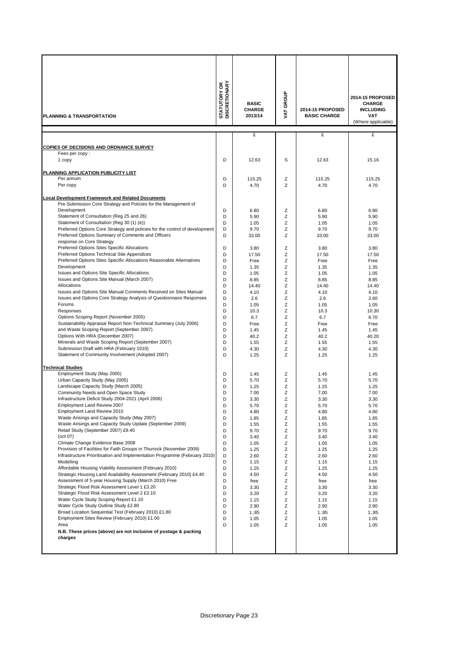| PLANNING & TRANSPORTATION                                                                                                                          | <b>STATUTORY OR<br/>DISCRETIONARY</b> | <b>BASIC</b><br><b>CHARGE</b><br>2013/14 | VAT GROUP | 2014-15 PROPOSED<br><b>BASIC CHARGE</b> | 2014-15 PROPOSED<br><b>CHARGE</b><br><b>INCLUDING</b><br><b>VAT</b><br>(Where applicable) |
|----------------------------------------------------------------------------------------------------------------------------------------------------|---------------------------------------|------------------------------------------|-----------|-----------------------------------------|-------------------------------------------------------------------------------------------|
|                                                                                                                                                    |                                       | £                                        |           | £                                       | £                                                                                         |
| COPIES OF DECISIONS AND ORDNANCE SURVEY                                                                                                            |                                       |                                          |           |                                         |                                                                                           |
| Fees per copy:                                                                                                                                     |                                       |                                          |           |                                         |                                                                                           |
| 1 copy                                                                                                                                             | D                                     | 12.63                                    | S         | 12.63                                   | 15.16                                                                                     |
| PLANNING APPLICATION PUBLICITY LIST                                                                                                                |                                       |                                          |           |                                         |                                                                                           |
| Per annum                                                                                                                                          | D                                     | 115.25                                   | Ζ         | 115.25                                  | 115.25                                                                                    |
| Per copy                                                                                                                                           | D                                     | 4.70                                     | Z         | 4.70                                    | 4.70                                                                                      |
| <b>Local Development Framework and Related Documents</b>                                                                                           |                                       |                                          |           |                                         |                                                                                           |
| Pre-Submission Core Strategy and Policies for the Management of                                                                                    |                                       |                                          |           |                                         |                                                                                           |
| Development<br>Statement of Consultation (Reg 25 and 26)                                                                                           | D<br>D                                | 6.80<br>5.90                             | Ζ<br>Z    | 6.80<br>5.90                            | 6.80<br>5.90                                                                              |
| Statement of Consultation (Reg 30 (1) (e))                                                                                                         | D                                     | 1.05                                     | Ζ         | 1.05                                    | 1.05                                                                                      |
| Preferred Options Core Strategy and policies for the control of development                                                                        | D                                     | 9.70                                     | Ζ         | 9.70                                    | 9.70                                                                                      |
| Preferred Options Summary of Comments and Officers                                                                                                 | D                                     | 33.00                                    | Ζ         | 33.00                                   | 33.00                                                                                     |
| response on Core Strategy<br>Preferred Options Sites Specific Allocations                                                                          | D                                     |                                          | Ζ         |                                         | 3.80                                                                                      |
| Preferred Options Technical Site Appendices                                                                                                        | D                                     | 3.80<br>17.50                            | Ζ         | 3.80<br>17.50                           | 17.50                                                                                     |
| Preferred Options Sites Specific Allocations Reasonable Alternatives                                                                               | D                                     | Free                                     | Ζ         | Free                                    | Free                                                                                      |
| Development                                                                                                                                        | D                                     | 1.35                                     | Ζ         | 1.35                                    | 1.35                                                                                      |
| Issues and Options Site Specific Allocations                                                                                                       | D                                     | 1.05                                     | Ζ         | 1.05                                    | 1.05                                                                                      |
| Issues and Options Site Manual (March 2007)                                                                                                        | D                                     | 8.85                                     | Ζ         | 8.85                                    | 8.85                                                                                      |
| Allocations<br>Issues and Options Site Manual Comments Received on Sites Manual                                                                    | D<br>D                                | 14.40<br>4.10                            | Ζ<br>Ζ    | 14.40<br>4.10                           | 14.40<br>4.10                                                                             |
| Issues and Options Core Strategy Analysis of Questionnaire Responses                                                                               | D                                     | 2.6                                      | Ζ         | 2.6                                     | 2.60                                                                                      |
| Forums                                                                                                                                             | D                                     | 1.05                                     | Ζ         | 1.05                                    | 1.05                                                                                      |
| Responses                                                                                                                                          | D                                     | 10.3                                     | Ζ         | 10.3                                    | 10.30                                                                                     |
| Options Scoping Report (November 2005)                                                                                                             | D                                     | 6.7                                      | Ζ         | 6.7                                     | 6.70                                                                                      |
| Sustainability Appraisal Report Non-Technical Summary (July 2006)<br>and Waste Scoping Report (September 2007)                                     | D<br>D                                | Free<br>1.45                             | Ζ<br>Ζ    | Free<br>1.45                            | Free<br>1.45                                                                              |
| Options With HRA (December 2007)                                                                                                                   | D                                     | 40.2                                     | Ζ         | 40.2                                    | 40.20                                                                                     |
| Minerals and Waste Scoping Report (September 2007)                                                                                                 | D                                     | 1.55                                     | Z         | 1.55                                    | 1.55                                                                                      |
| Submission Draft with HRA (February 1010)                                                                                                          | D                                     | 4.30                                     | Ζ         | 4.30                                    | 4.30                                                                                      |
| Statement of Community Involvement (Adopted 2007)                                                                                                  | D                                     | 1.25                                     | Z         | 1.25                                    | 1.25                                                                                      |
| <b>Technical Studies</b>                                                                                                                           |                                       |                                          |           |                                         |                                                                                           |
| Employment Study (May 2005)                                                                                                                        | D                                     | 1.45                                     | Ζ         | 1.45                                    | 1.45                                                                                      |
| Urban Capacity Study (May 2005)<br>Landscape Capacity Study (March 2005)                                                                           | D<br>D                                | 5.70<br>1.25                             | Ζ<br>Ζ    | 5.70<br>1.25                            | 5.70<br>1.25                                                                              |
| Community Needs and Open Space Study                                                                                                               | D                                     | 7.00                                     | Z         | 7.00                                    | 7.00                                                                                      |
| Infrastructure Deficit Study 2004-2021 (April 2006)                                                                                                | υ                                     | 3.30                                     | Ζ         | 3.30                                    | 3.30                                                                                      |
| Employment Land Review 2007                                                                                                                        | D                                     | 5.70                                     | Ζ         | 5.70                                    | 5.70                                                                                      |
| Employment Land Review 2010<br>Waste Arisings and Capacity Study (May 2007)                                                                        | D                                     | 4.80                                     | Z         | 4.80                                    | 4.80                                                                                      |
| Waste Arisings and Capacity Study Update (September 2009)                                                                                          | D<br>D                                | 1.85<br>1.55                             | Ζ<br>Ζ    | 1.85<br>1.55                            | 1.85<br>1.55                                                                              |
| Retail Study (September 2007) £9.40                                                                                                                | D                                     | 9.70                                     | Z         | 9.70                                    | 9.70                                                                                      |
| (oct 07)                                                                                                                                           | D                                     | 3.40                                     | Ζ         | 3.40                                    | 3.40                                                                                      |
| Climate Change Evidence Base 2008                                                                                                                  | D                                     | 1.05                                     | Ζ         | 1.05                                    | 1.05                                                                                      |
| Provision of Facilities for Faith Groups in Thurrock (November 2009)<br>Infrastructure Prioritisation and Implementation Programme (February 2010) | D<br>D                                | 1.25<br>2.60                             | Z<br>Z    | 1.25<br>2.60                            | 1.25<br>2.60                                                                              |
| Modelling                                                                                                                                          | D                                     | 1.15                                     | Ζ         | 1.15                                    | 1.15                                                                                      |
| Affordable Housing Viability Assessment (February 2010)                                                                                            | D                                     | 1.25                                     | Ζ         | 1.25                                    | 1.25                                                                                      |
| Strategic Housing Land Availability Assessment (February 2010) £4.40                                                                               | D                                     | 4.50                                     | Z         | 4.50                                    | 4.50                                                                                      |
| Assessment of 5-year Housing Supply (March 2010) Free                                                                                              | D                                     | free                                     | Z         | free                                    | free                                                                                      |
| Strategic Flood Risk Assessment Level 1 £3.20<br>Strategic Flood Risk Assessment Level 2 £3.10                                                     | D<br>D                                | 3.30<br>3.20                             | Ζ<br>Ζ    | 3.30<br>3.20                            | 3.30<br>3.20                                                                              |
| Water Cycle Study Scoping Report £1.10                                                                                                             | D                                     | 1.15                                     | Z         | 1.15                                    | 1.15                                                                                      |
| Water Cycle Study Outline Study £2.80                                                                                                              | D                                     | 2.90                                     | Ζ         | 2.90                                    | 2.90                                                                                      |
| Broad Location Sequential Test (February 2010) £1.80                                                                                               | D                                     | 1.;85                                    | Z         | 1:35                                    | 1.;85                                                                                     |
| Employment Sites Review (February 2010) £1.00<br>Area                                                                                              | D<br>D                                | 1.05<br>1.05                             | Z<br>Z    | 1.05<br>1.05                            | 1.05<br>1.05                                                                              |
| N.B. These prices (above) are not inclusive of postage & packing                                                                                   |                                       |                                          |           |                                         |                                                                                           |
| charges                                                                                                                                            |                                       |                                          |           |                                         |                                                                                           |
|                                                                                                                                                    |                                       |                                          |           |                                         |                                                                                           |
|                                                                                                                                                    |                                       |                                          |           |                                         |                                                                                           |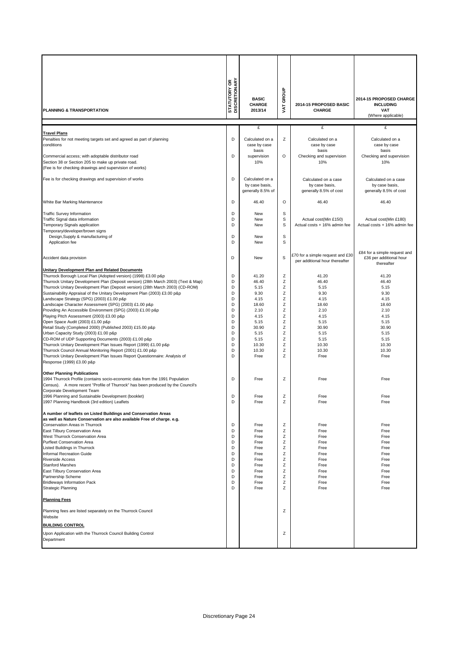|                                                                                                                                                                      | <b>STATUTORY OR<br/>DISCRETIONARY</b> | <b>BASIC</b>                      | VAT GROUP |                                                                    | 2014-15 PROPOSED CHARGE                |
|----------------------------------------------------------------------------------------------------------------------------------------------------------------------|---------------------------------------|-----------------------------------|-----------|--------------------------------------------------------------------|----------------------------------------|
| PLANNING & TRANSPORTATION                                                                                                                                            |                                       | CHARGE<br>2013/14                 |           | 2014-15 PROPOSED BASIC<br><b>CHARGE</b>                            | <b>INCLUDING</b><br><b>VAT</b>         |
|                                                                                                                                                                      |                                       |                                   |           |                                                                    | (Where applicable)                     |
|                                                                                                                                                                      |                                       | £                                 |           | £                                                                  | £                                      |
| <b>Travel Plans</b>                                                                                                                                                  |                                       |                                   |           |                                                                    |                                        |
| Penalties for not meeting targets set and agreed as part of planning<br>conditions                                                                                   | D                                     | Calculated on a<br>case by case   | Ζ         | Calculated on a<br>case by case                                    | Calculated on a<br>case by case        |
|                                                                                                                                                                      |                                       | basis                             |           | basis                                                              | basis                                  |
| Commercial access; with adoptable distributor road<br>Section 38 or Section 205 to make up private road.                                                             | D                                     | supervision<br>10%                | $\circ$   | Checking and supervision<br>10%                                    | Checking and supervision<br>10%        |
| (Fee is for checking drawings and supervision of works)                                                                                                              |                                       |                                   |           |                                                                    |                                        |
|                                                                                                                                                                      | D                                     |                                   |           |                                                                    |                                        |
| Fee is for checking drawings and supervision of works                                                                                                                |                                       | Calculated on a<br>by case basis, |           | Calculated on a case<br>by case basis,                             | Calculated on a case<br>by case basis, |
|                                                                                                                                                                      |                                       | generally 8.5% of                 |           | generally 8.5% of cost                                             | generally 8.5% of cost                 |
| White Bar Marking Maintenance                                                                                                                                        | D                                     | 46.40                             | O         | 46.40                                                              | 46.40                                  |
|                                                                                                                                                                      |                                       |                                   |           |                                                                    |                                        |
| <b>Traffic Survey Information</b><br>Traffic Signal data information                                                                                                 | D<br>D                                | New<br>New                        | S<br>S    | Actual cost(Min £150)                                              | Actual cost(Min £180)                  |
| Temporary Signals application                                                                                                                                        | D                                     | New                               | S         | Actual costs + 16% admin fee                                       | Actual costs + 16% admin fee           |
| Temporary/developer/brown signs<br>Design, Supply & manufacturing of                                                                                                 | D                                     | New                               | S         |                                                                    |                                        |
| Application fee                                                                                                                                                      | D                                     | New                               | S         |                                                                    |                                        |
|                                                                                                                                                                      |                                       |                                   |           |                                                                    | £84 for a simple request and           |
| Accident data provision                                                                                                                                              | D                                     | New                               | S         | £70 for a simple request and £30<br>per additional hour thereafter | £36 per additional hour                |
| <b>Unitary Development Plan and Related Documents</b>                                                                                                                |                                       |                                   |           |                                                                    | thereafter                             |
| Thurrock Borough Local Plan (Adopted version) (1998) £3.00 p&p                                                                                                       | D                                     | 41.20                             | Z         | 41.20                                                              | 41.20                                  |
| Thurrock Unitary Development Plan (Deposit version) (28th March 2003) (Text & Map)<br>Thurrock Unitary Development Plan (Deposit version) (28th March 2003) (CD-ROM) | D<br>D                                | 46.40<br>5.15                     | Z<br>Z    | 46.40<br>5.15                                                      | 46.40<br>5.15                          |
| Sustainability Appraisal of the Unitary Development Plan (2003) £3.00 p&p                                                                                            | D                                     | 9.30                              | Z         | 9.30                                                               | 9.30                                   |
| Landscape Strategy (SPG) (2003) £1.00 p&p                                                                                                                            | D                                     | 4.15                              | Z         | 4.15                                                               | 4.15                                   |
| Landscape Character Assessment (SPG) (2003) £1.00 p&p<br>Providing An Accessible Environment (SPG) (2003) £1.00 p&p                                                  | D<br>D                                | 18.60<br>2.10                     | Z<br>Z    | 18.60<br>2.10                                                      | 18.60<br>2.10                          |
| Playing Pitch Assessment (2003) £3.00 p&p                                                                                                                            | D                                     | 4.15                              | Z         | 4.15                                                               | 4.15                                   |
| Open Space Audit (2003) £1.00 p&p<br>Retail Study (Completed 2000) (Published 2003) £15.00 p&p                                                                       | D<br>D                                | 5.15<br>30.90                     | Z<br>Ζ    | 5.15<br>30.90                                                      | 5.15<br>30.90                          |
| Urban Capacity Study (2003) £1.00 p&p                                                                                                                                | D                                     | 5.15                              | Z         | 5.15                                                               | 5.15                                   |
| CD-ROM of UDP Supporting Documents (2003) £1.00 p&p                                                                                                                  | D                                     | 5.15                              | Ζ         | 5.15                                                               | 5.15                                   |
| Thurrock Unitary Development Plan Issues Report (1999) £1.00 p&p<br>Thurrock Council Annual Monitoring Report (2001) £1.00 p&p                                       | D<br>D                                | 10.30<br>10.30                    | Ζ<br>Ζ    | 10.30<br>10.30                                                     | 10.30<br>10.30                         |
| Thurrock Unitary Development Plan Issues Report Questionnaire: Analysis of                                                                                           | D                                     | Free                              | Ζ         | Free                                                               | Free                                   |
| Response (1999) £3.00 p&p                                                                                                                                            |                                       |                                   |           |                                                                    |                                        |
| <b>Other Planning Publications</b>                                                                                                                                   |                                       |                                   |           |                                                                    |                                        |
| 1994 Thurrock Profile (contains socio-economic data from the 1991 Population<br>Census). A more recent "Profile of Thurrock" has been produced by the Council's      | D                                     | Free                              | Ζ         | Free                                                               | Free                                   |
| Corporate Development Team                                                                                                                                           |                                       |                                   |           |                                                                    |                                        |
| 1996 Planning and Sustainable Development (booklet)<br>1997 Planning Handbook (3rd edition) Leaflets                                                                 | D<br>D                                | Free<br>Free                      | Z<br>Z    | Free<br>Free                                                       | Free<br>Free                           |
|                                                                                                                                                                      |                                       |                                   |           |                                                                    |                                        |
| A number of leaflets on Listed Buildings and Conservation Areas<br>as well as Nature Conservation are also available Free of charge. e.g.                            |                                       |                                   |           |                                                                    |                                        |
| Conservation Areas in Thurrock                                                                                                                                       | D                                     | Free                              | Ζ         | Free                                                               | Free                                   |
| East Tilbury Conservation Area                                                                                                                                       | D<br>D                                | Free<br>Free                      | Ζ<br>Z    | Free<br>Free                                                       | Free                                   |
| West Thurrock Conservation Area<br><b>Purfleet Conservation Area</b>                                                                                                 | D                                     | Free                              | Z         | Free                                                               | Free<br>Free                           |
| Listed Buildings in Thurrock                                                                                                                                         | D                                     | Free                              | Z         | Free                                                               | Free                                   |
| Informal Recreation Guide<br><b>Riverside Access</b>                                                                                                                 | D<br>D                                | Free<br>Free                      | Z<br>Z    | Free<br>Free                                                       | Free<br>Free                           |
| <b>Stanford Marshes</b>                                                                                                                                              | D                                     | Free                              | Z         | Free                                                               | Free                                   |
| East Tilbury Conservation Area                                                                                                                                       | D                                     | Free                              | Ζ         | Free                                                               | Free                                   |
| Partnership Scheme<br><b>Bridleways Information Pack</b>                                                                                                             | D<br>D                                | Free<br>Free                      | Ζ<br>Ζ    | Free<br>Free                                                       | Free<br>Free                           |
| <b>Strategic Planning</b>                                                                                                                                            | D                                     | Free                              | Ζ         | Free                                                               | Free                                   |
| <b>Planning Fees</b>                                                                                                                                                 |                                       |                                   |           |                                                                    |                                        |
| Planning fees are listed separately on the Thurrock Council<br>Website                                                                                               |                                       |                                   | Ζ         |                                                                    |                                        |
| <b>BUILDING CONTROL</b>                                                                                                                                              |                                       |                                   |           |                                                                    |                                        |
| Upon Application with the Thurrock Council Building Control                                                                                                          |                                       |                                   | Ζ         |                                                                    |                                        |
| Department                                                                                                                                                           |                                       |                                   |           |                                                                    |                                        |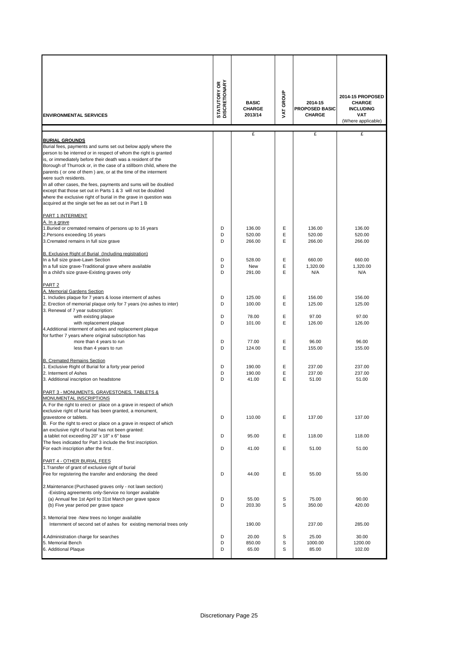|                                                                                                                                                                                                                                                                                                                                                                                                                                                                                                                                                                                                                                                          | <b>STATUTORY OR<br/>DISCRETIONARY</b> | <b>BASIC</b>               | GROUP       | 2014-15                                | 2014-15 PROPOSED<br><b>CHARGE</b>                    |
|----------------------------------------------------------------------------------------------------------------------------------------------------------------------------------------------------------------------------------------------------------------------------------------------------------------------------------------------------------------------------------------------------------------------------------------------------------------------------------------------------------------------------------------------------------------------------------------------------------------------------------------------------------|---------------------------------------|----------------------------|-------------|----------------------------------------|------------------------------------------------------|
| <b>ENVIRONMENTAL SERVICES</b>                                                                                                                                                                                                                                                                                                                                                                                                                                                                                                                                                                                                                            |                                       | <b>CHARGE</b><br>2013/14   | <b>TAT</b>  | <b>PROPOSED BASIC</b><br><b>CHARGE</b> | <b>INCLUDING</b><br><b>VAT</b><br>(Where applicable) |
|                                                                                                                                                                                                                                                                                                                                                                                                                                                                                                                                                                                                                                                          |                                       |                            |             |                                        |                                                      |
| <b>BURIAL GROUNDS</b><br>Burial fees, payments and sums set out below apply where the<br>person to be interred or in respect of whom the right is granted<br>is, or immediately before their death was a resident of the<br>Borough of Thurrock or, in the case of a stillborn child, where the<br>parents (or one of them) are, or at the time of the interment<br>were such residents.<br>In all other cases, the fees, payments and sums will be doubled<br>except that those set out in Parts 1 & 3 will not be doubled<br>where the exclusive right of burial in the grave in question was<br>acquired at the single set fee as set out in Part 1 B |                                       | £                          |             | £                                      | £                                                    |
| PART 1 INTERMENT                                                                                                                                                                                                                                                                                                                                                                                                                                                                                                                                                                                                                                         |                                       |                            |             |                                        |                                                      |
| A. In a grave<br>1. Buried or cremated remains of persons up to 16 years<br>2. Persons exceeding 16 years<br>3. Cremated remains in full size grave                                                                                                                                                                                                                                                                                                                                                                                                                                                                                                      | D<br>D<br>D                           | 136.00<br>520.00<br>266.00 | Е<br>Ε<br>E | 136.00<br>520.00<br>266.00             | 136.00<br>520.00<br>266.00                           |
| B. Exclusive Right of Burial (Including registration)<br>In a full size grave-Lawn Section<br>In a full size grave-Traditional grave where available                                                                                                                                                                                                                                                                                                                                                                                                                                                                                                     | D<br>D                                | 528.00<br>New              | Е<br>E      | 660.00<br>1.320.00                     | 660.00<br>1,320.00                                   |
| In a child's size grave-Existing graves only<br>PART <sub>2</sub>                                                                                                                                                                                                                                                                                                                                                                                                                                                                                                                                                                                        | D                                     | 291.00                     | E           | N/A                                    | N/A                                                  |
| A. Memorial Gardens Section<br>1. Includes plaque for 7 years & loose interment of ashes<br>2. Erection of memorial plaque only for 7 years (no ashes to inter)<br>3. Renewal of 7 year subscription:                                                                                                                                                                                                                                                                                                                                                                                                                                                    | D<br>D                                | 125.00<br>100.00           | Е<br>E      | 156.00<br>125.00                       | 156.00<br>125.00                                     |
| with existing plaque<br>with replacement plaque<br>4. Additional interment of ashes and replacement plaque<br>for further 7 years where original subscription has                                                                                                                                                                                                                                                                                                                                                                                                                                                                                        | D<br>D                                | 78.00<br>101.00            | Ε<br>E      | 97.00<br>126.00                        | 97.00<br>126.00                                      |
| more than 4 years to run<br>less than 4 years to run                                                                                                                                                                                                                                                                                                                                                                                                                                                                                                                                                                                                     | D<br>D                                | 77.00<br>124.00            | Е<br>E      | 96.00<br>155.00                        | 96.00<br>155.00                                      |
| <b>B. Cremated Remains Section</b><br>1. Exclusive Right of Burial for a forty year period<br>2. Interment of Ashes<br>3. Additional inscription on headstone                                                                                                                                                                                                                                                                                                                                                                                                                                                                                            | D<br>D<br>D                           | 190.00<br>190.00<br>41.00  | Ε<br>Е<br>E | 237.00<br>237.00<br>51.00              | 237.00<br>237.00<br>51.00                            |
| PART 3 - MONUMENTS, GRAVESTONES, TABLETS &<br><b><i>IONUMENTAL INSCRIPTIONS</i></b><br>A. For the right to erect or place on a grave in respect of which<br>exclusive right of burial has been granted, a monument,                                                                                                                                                                                                                                                                                                                                                                                                                                      |                                       |                            |             |                                        |                                                      |
| gravestone or tablets.<br>B. For the right to erect or place on a grave in respect of which<br>an exclusive right of burial has not been granted:                                                                                                                                                                                                                                                                                                                                                                                                                                                                                                        | D                                     | 110.00                     | Ε           | 137.00                                 | 137.00                                               |
| a tablet not exceeding 20" x 18" x 6" base<br>The fees indicated for Part 3 include the first inscription.<br>For each inscription after the first.                                                                                                                                                                                                                                                                                                                                                                                                                                                                                                      | D<br>D                                | 95.00<br>41.00             | Ε<br>Е      | 118.00<br>51.00                        | 118.00<br>51.00                                      |
| PART 4 - OTHER BURIAL FEES<br>1. Transfer of grant of exclusive right of burial<br>Fee for registering the transfer and endorsing the deed                                                                                                                                                                                                                                                                                                                                                                                                                                                                                                               | D                                     | 44.00                      | Е           | 55.00                                  | 55.00                                                |
| 2. Maintenance: (Purchased graves only - not lawn section)<br>-Existing agreements only-Service no longer available<br>(a) Annual fee 1st April to 31st March per grave space<br>(b) Five year period per grave space                                                                                                                                                                                                                                                                                                                                                                                                                                    | D<br>D                                | 55.00<br>203.30            | S<br>S      | 75.00<br>350.00                        | 90.00<br>420.00                                      |
| 3. Memorial tree -New trees no longer available<br>Internment of second set of ashes for existing memorial trees only                                                                                                                                                                                                                                                                                                                                                                                                                                                                                                                                    |                                       | 190.00                     |             | 237.00                                 | 285.00                                               |
| 4. Administration charge for searches<br>5. Memorial Bench<br>6. Additional Plaque                                                                                                                                                                                                                                                                                                                                                                                                                                                                                                                                                                       | D<br>D<br>D                           | 20.00<br>850.00<br>65.00   | S<br>S<br>S | 25.00<br>1000.00<br>85.00              | 30.00<br>1200.00<br>102.00                           |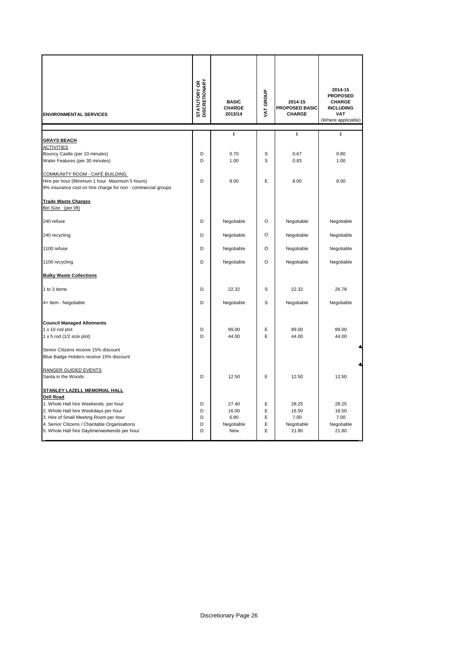| <b>ENVIRONMENTAL SERVICES</b>                                                                                                                                                                                                                                               | <b>STATUTORY OR<br/>DISCRETIONARY</b> | <b>BASIC</b><br>CHARGE<br>2013/14           | VAT GROUP             | 2014-15<br><b>PROPOSED BASIC</b><br>CHARGE    | 2014-15<br><b>PROPOSED</b><br><b>CHARGE</b><br><b>INCLUDING</b><br><b>VAT</b><br>(Where applicable) |
|-----------------------------------------------------------------------------------------------------------------------------------------------------------------------------------------------------------------------------------------------------------------------------|---------------------------------------|---------------------------------------------|-----------------------|-----------------------------------------------|-----------------------------------------------------------------------------------------------------|
|                                                                                                                                                                                                                                                                             |                                       | £                                           |                       | £                                             | £                                                                                                   |
| <b>GRAYS BEACH</b><br><u>ACTIVITIES</u><br>Bouncy Castle (per 10 minutes)<br>Water Features (per 30 minutes)                                                                                                                                                                | D<br>D                                | 0.70<br>1.00                                | S<br>S                | 0.67<br>0.83                                  | 0.80<br>1.00                                                                                        |
| <u> COMMUNITY ROOM - CAFÉ BUILDING</u><br>Hire per hour (Minimum 1 hour Maximum 5 hours)<br>9% insurance cost on hire charge for non - commercial groups                                                                                                                    | D                                     | 8.00                                        | E                     | 8.00                                          | 8.00                                                                                                |
| <b>Trade Waste Charges</b><br>Bin Size (per lift)                                                                                                                                                                                                                           |                                       |                                             |                       |                                               |                                                                                                     |
| 240 refuse                                                                                                                                                                                                                                                                  | D                                     | Negotiable                                  | O                     | Negotiable                                    | Negotiable                                                                                          |
| 240 recycling                                                                                                                                                                                                                                                               | D                                     | Negotiable                                  | O                     | Negotiable                                    | Negotiable                                                                                          |
| 1100 refuse                                                                                                                                                                                                                                                                 | D                                     | Negotiable                                  | O                     | Negotiable                                    | Negotiable                                                                                          |
| 1100 recycling                                                                                                                                                                                                                                                              | D                                     | Negotiable                                  | O                     | Negotiable                                    | Negotiable                                                                                          |
| <b>Bulky Waste Collections</b>                                                                                                                                                                                                                                              |                                       |                                             |                       |                                               |                                                                                                     |
| 1 to 3 items                                                                                                                                                                                                                                                                | D                                     | 22.32                                       | S                     | 22.32                                         | 26.78                                                                                               |
| 4+ Item - Negotiable                                                                                                                                                                                                                                                        | D                                     | Negotiable                                  | S                     | Negotiable                                    | Negotiable                                                                                          |
| <b>Council Managed Allotments</b><br>1 x 10 rod plot<br>$1 \times 5$ rod ( $1/2$ size plot)                                                                                                                                                                                 | D<br>D                                | 89.00<br>44.00                              | Ε<br>E                | 89.00<br>44.00                                | 89.00<br>44.00                                                                                      |
| Senior Citizens receive 15% discount<br>Blue Badge Holders receive 15% discount                                                                                                                                                                                             |                                       |                                             |                       |                                               |                                                                                                     |
| RANGER GUIDED EVENTS<br>Santa in the Woods                                                                                                                                                                                                                                  | D                                     | 12.50                                       | E                     | 12.50                                         | 12.50                                                                                               |
| STANLEY LAZELL MEMORIAL HALL<br><b>Dell Road</b><br>1. Whole Hall hire Weekends per hour<br>2. Whole Hall hire Weekdays per hour<br>3. Hire of Small Meeting Room per hour<br>4. Senior Citizens / Charitable Organisations<br>5. Whole Hall hire Daytime/weekends per hour | D<br>D<br>D<br>D<br>D                 | 27.40<br>16.00<br>6.80<br>Negotiable<br>New | Ε<br>Ε<br>E<br>E<br>E | 28.25<br>16.50<br>7.00<br>Negotiable<br>21.80 | 28.25<br>16.50<br>7.00<br>Negotiable<br>21.80                                                       |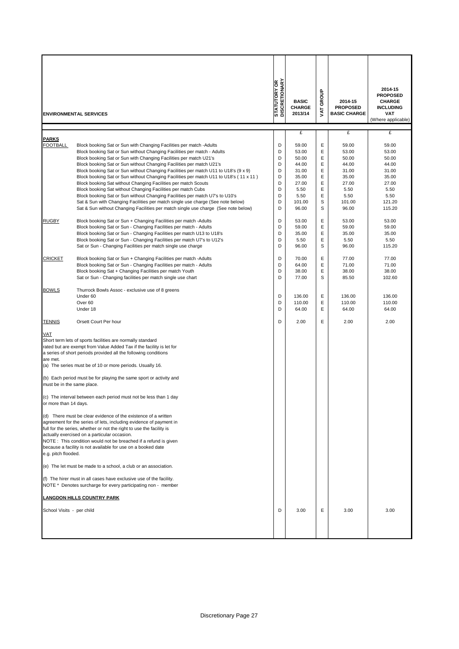|                                                      | <b>ENVIRONMENTAL SERVICES</b>                                                                                                                                                                                                                                                                                                                                                                                                                                                                                                                                                                                                                                                                                                                                                                                                                                          | <b>STATUTORY OR</b><br>DISCRETIONARY                | <b>BASIC</b><br><b>CHARGE</b><br>2013/14                                                       | GROUP<br>š                                          | 2014-15<br><b>PROPOSED</b><br><b>BASIC CHARGE</b>                                              | 2014-15<br><b>PROPOSED</b><br><b>CHARGE</b><br><b>INCLUDING</b><br>VAT<br>(Where applicable)    |
|------------------------------------------------------|------------------------------------------------------------------------------------------------------------------------------------------------------------------------------------------------------------------------------------------------------------------------------------------------------------------------------------------------------------------------------------------------------------------------------------------------------------------------------------------------------------------------------------------------------------------------------------------------------------------------------------------------------------------------------------------------------------------------------------------------------------------------------------------------------------------------------------------------------------------------|-----------------------------------------------------|------------------------------------------------------------------------------------------------|-----------------------------------------------------|------------------------------------------------------------------------------------------------|-------------------------------------------------------------------------------------------------|
| <b>PARKS</b>                                         |                                                                                                                                                                                                                                                                                                                                                                                                                                                                                                                                                                                                                                                                                                                                                                                                                                                                        |                                                     | £                                                                                              |                                                     | £                                                                                              | £                                                                                               |
| FOOTBALL                                             | Block booking Sat or Sun with Changing Facilities per match -Adults<br>Block booking Sat or Sun without Changing Facilities per match - Adults<br>Block booking Sat or Sun with Changing Facilities per match U21's<br>Block booking Sat or Sun without Changing Facilities per match U21's<br>Block booking Sat or Sun without Changing Facilities per match U11 to U18's (9 x 9)<br>Block booking Sat or Sun without Changing Facilities per match U11 to U18's (11 x 11)<br>Block booking Sat without Changing Facilities per match Scouts<br>Block booking Sat without Changing Facilities per match Cubs<br>Block booking Sat or Sun without Changing Facilities per match U7's to U10's<br>Sat & Sun with Changing Facilities per match single use charge (See note below)<br>Sat & Sun without Changing Facilities per match single use charge (See note below) | D<br>D<br>D<br>D<br>D<br>D<br>D<br>D<br>D<br>D<br>D | 59.00<br>53.00<br>50.00<br>44.00<br>31.00<br>35.00<br>27.00<br>5.50<br>5.50<br>101.00<br>96.00 | Ε<br>Ε<br>Ε<br>Ε<br>Ε<br>Ε<br>Ε<br>Е<br>Е<br>S<br>S | 59.00<br>53.00<br>50.00<br>44.00<br>31.00<br>35.00<br>27.00<br>5.50<br>5.50<br>101.00<br>96.00 | 59.00<br>53.00<br>50.00<br>44.00<br>31.00<br>35.00<br>27.00<br>5.50<br>5.50<br>121.20<br>115.20 |
| <b>RUGBY</b>                                         | Block booking Sat or Sun + Changing Facilities per match - Adults<br>Block booking Sat or Sun - Changing Facilities per match - Adults<br>Block booking Sat or Sun - Changing Facilities per match U13 to U18's<br>Block booking Sat or Sun - Changing Facilities per match U7's to U12's<br>Sat or Sun - Changing Facilities per match single use charge                                                                                                                                                                                                                                                                                                                                                                                                                                                                                                              | D<br>D<br>D<br>D<br>D                               | 53.00<br>59.00<br>35.00<br>5.50<br>96.00                                                       | Ε<br>Ε<br>Ε<br>Ε<br>S                               | 53.00<br>59.00<br>35.00<br>5.50<br>96.00                                                       | 53.00<br>59.00<br>35.00<br>5.50<br>115.20                                                       |
| <b>CRICKET</b>                                       | Block booking Sat or Sun + Changing Facilities per match - Adults<br>Block booking Sat or Sun - Changing Facilities per match - Adults<br>Block booking Sat + Changing Facilities per match Youth<br>Sat or Sun - Changing facilities per match single use chart                                                                                                                                                                                                                                                                                                                                                                                                                                                                                                                                                                                                       | D<br>D<br>D<br>D                                    | 70.00<br>64.00<br>38.00<br>77.00                                                               | Е<br>Ε<br>Ε<br>S                                    | 77.00<br>71.00<br>38.00<br>85.50                                                               | 77.00<br>71.00<br>38.00<br>102.60                                                               |
| <b>BOWLS</b>                                         | Thurrock Bowls Assoc - exclusive use of 8 greens<br>Under 60<br>Over <sub>60</sub><br>Under 18                                                                                                                                                                                                                                                                                                                                                                                                                                                                                                                                                                                                                                                                                                                                                                         | D<br>D<br>D                                         | 136.00<br>110.00<br>64.00                                                                      | Ε<br>Ε<br>E                                         | 136.00<br>110.00<br>64.00                                                                      | 136.00<br>110.00<br>64.00                                                                       |
| <b>TENNIS</b>                                        | Orsett Court Per hour                                                                                                                                                                                                                                                                                                                                                                                                                                                                                                                                                                                                                                                                                                                                                                                                                                                  | D                                                   | 2.00                                                                                           | E                                                   | 2.00                                                                                           | 2.00                                                                                            |
| <b>VAT</b><br>are met.<br>must be in the same place. | Short term lets of sports facilities are normally standard<br>rated but are exempt from Value Added Tax if the facility is let for<br>a series of short periods provided all the following conditions<br>(a) The series must be of 10 or more periods. Usually 16.<br>(b) Each period must be for playing the same sport or activity and<br>(c) The interval between each period must not be less than 1 day                                                                                                                                                                                                                                                                                                                                                                                                                                                           |                                                     |                                                                                                |                                                     |                                                                                                |                                                                                                 |
| or more than 14 days.<br>e.g. pitch flooded.         | (d) There must be clear evidence of the existence of a written<br>agreement for the series of lets, including evidence of payment in<br>full for the series, whether or not the right to use the facility is<br>actually exercised on a particular occasion.<br>NOTE: This condition would not be breached if a refund is given<br>because a facility is not available for use on a booked date                                                                                                                                                                                                                                                                                                                                                                                                                                                                        |                                                     |                                                                                                |                                                     |                                                                                                |                                                                                                 |
|                                                      | (e) The let must be made to a school, a club or an association.                                                                                                                                                                                                                                                                                                                                                                                                                                                                                                                                                                                                                                                                                                                                                                                                        |                                                     |                                                                                                |                                                     |                                                                                                |                                                                                                 |
|                                                      | (f) The hirer must in all cases have exclusive use of the facility.<br>NOTE * Denotes surcharge for every participating non - member                                                                                                                                                                                                                                                                                                                                                                                                                                                                                                                                                                                                                                                                                                                                   |                                                     |                                                                                                |                                                     |                                                                                                |                                                                                                 |
|                                                      | <u>LANGDON HILLS COUNTRY PARK</u>                                                                                                                                                                                                                                                                                                                                                                                                                                                                                                                                                                                                                                                                                                                                                                                                                                      |                                                     |                                                                                                |                                                     |                                                                                                |                                                                                                 |
| School Visits - per child                            |                                                                                                                                                                                                                                                                                                                                                                                                                                                                                                                                                                                                                                                                                                                                                                                                                                                                        | D                                                   | 3.00                                                                                           | Е                                                   | 3.00                                                                                           | 3.00                                                                                            |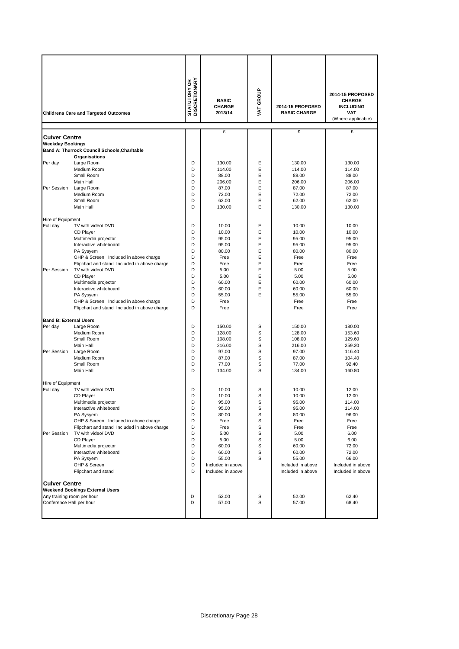|                                          | <b>Childrens Care and Targeted Outcomes</b>    | <b>STATUTORY OR<br/>DISCRETIONARY</b> | <b>BASIC</b><br><b>CHARGE</b><br>2013/14 | VAT GROUP | 2014-15 PROPOSED<br><b>BASIC CHARGE</b> | 2014-15 PROPOSED<br><b>CHARGE</b><br><b>INCLUDING</b><br><b>VAT</b><br>(Where applicable) |
|------------------------------------------|------------------------------------------------|---------------------------------------|------------------------------------------|-----------|-----------------------------------------|-------------------------------------------------------------------------------------------|
| Culver Centre                            |                                                |                                       | £                                        |           | £                                       | £                                                                                         |
| <b>Weekday Bookings</b>                  |                                                |                                       |                                          |           |                                         |                                                                                           |
|                                          | Band A: Thurrock Council Schools, Charitable   |                                       |                                          |           |                                         |                                                                                           |
|                                          | Organisations                                  |                                       |                                          |           |                                         |                                                                                           |
| Per day                                  | Large Room<br>Medium Room                      | D<br>D                                | 130.00<br>114.00                         | E<br>E    | 130.00<br>114.00                        | 130.00<br>114.00                                                                          |
|                                          | Small Room                                     | D                                     | 88.00                                    | E         | 88.00                                   | 88.00                                                                                     |
|                                          | Main Hall                                      | D                                     | 206.00                                   | E         | 206.00                                  | 206.00                                                                                    |
| Per Session                              | Large Room                                     | D                                     | 87.00                                    | Ε         | 87.00                                   | 87.00                                                                                     |
|                                          | Medium Room                                    | D                                     | 72.00                                    | E         | 72.00                                   | 72.00                                                                                     |
|                                          | Small Room                                     | D                                     | 62.00                                    | Ε         | 62.00                                   | 62.00                                                                                     |
|                                          | Main Hall                                      | D                                     | 130.00                                   | E         | 130.00                                  | 130.00                                                                                    |
| Hire of Equipment                        |                                                |                                       |                                          |           |                                         |                                                                                           |
| Full day                                 | TV with video/ DVD                             | D                                     | 10.00                                    | E         | 10.00                                   | 10.00                                                                                     |
|                                          | CD Player                                      | D                                     | 10.00                                    | E         | 10.00                                   | 10.00                                                                                     |
|                                          | Multimedia projector                           | D                                     | 95.00                                    | E         | 95.00                                   | 95.00                                                                                     |
|                                          | Interactive whiteboard<br>PA Sysyem            | D<br>D                                | 95.00<br>80.00                           | Ε<br>E    | 95.00<br>80.00                          | 95.00<br>80.00                                                                            |
|                                          | OHP & Screen Included in above charge          | D                                     | Free                                     | Ε         | Free                                    | Free                                                                                      |
|                                          | Flipchart and stand Included in above charge   | D                                     | Free                                     | E         | Free                                    | Free                                                                                      |
| Per Session                              | TV with video/ DVD                             | D                                     | 5.00                                     | Ε         | 5.00                                    | 5.00                                                                                      |
|                                          | CD Player                                      | D                                     | 5.00                                     | Ε         | 5.00                                    | 5.00                                                                                      |
|                                          | Multimedia projector                           | D                                     | 60.00                                    | E         | 60.00                                   | 60.00                                                                                     |
|                                          | Interactive whiteboard<br>PA Sysyem            | D<br>D                                | 60.00<br>55.00                           | Ε<br>E    | 60.00<br>55.00                          | 60.00<br>55.00                                                                            |
|                                          | OHP & Screen Included in above charge          | D                                     | Free                                     |           | Free                                    | Free                                                                                      |
|                                          | Flipchart and stand Included in above charge   | D                                     | Free                                     |           | Free                                    | Free                                                                                      |
|                                          |                                                |                                       |                                          |           |                                         |                                                                                           |
| <b>Band B: External Users</b><br>Per day |                                                | D                                     | 150.00                                   | S         | 150.00                                  | 180.00                                                                                    |
|                                          | Large Room<br>Medium Room                      | D                                     | 128.00                                   | S         | 128.00                                  | 153.60                                                                                    |
|                                          | Small Room                                     | D                                     | 108.00                                   | S         | 108.00                                  | 129.60                                                                                    |
|                                          | Main Hall                                      | D                                     | 216.00                                   | S         | 216.00                                  | 259.20                                                                                    |
| Per Session                              | Large Room                                     | D                                     | 97.00                                    | S         | 97.00                                   | 116.40                                                                                    |
|                                          | Medium Room                                    | D                                     | 87.00                                    | S         | 87.00                                   | 104.40                                                                                    |
|                                          | Small Room<br>Main Hall                        | D<br>D                                | 77.00<br>134.00                          | S<br>S    | 77.00<br>134.00                         | 92.40<br>160.80                                                                           |
|                                          |                                                |                                       |                                          |           |                                         |                                                                                           |
| Hire of Equipment                        |                                                |                                       |                                          |           |                                         |                                                                                           |
| Full dav                                 | TV with video/ DVD                             | D                                     | 10.00                                    | S         | 10.00                                   | 12.00                                                                                     |
|                                          | CD Player                                      | D                                     | 10.00                                    | S         | 10.00                                   | 12.00                                                                                     |
|                                          | Multimedia projector<br>Interactive whiteboard | D<br>D                                | 95.00<br>95.00                           | S<br>S    | 95.00<br>95.00                          | 114.00<br>114.00                                                                          |
|                                          | PA Sysyem                                      | D                                     | 80.00                                    | S         | 80.00                                   | 96.00                                                                                     |
|                                          | OHP & Screen Included in above charge          | D                                     | Free                                     | S         | Free                                    | Free                                                                                      |
|                                          | Flipchart and stand Included in above charge   | D                                     | Free                                     | S         | Free                                    | Free                                                                                      |
| Per Session                              | TV with video/ DVD                             | D                                     | 5.00                                     | S         | 5.00                                    | 6.00                                                                                      |
|                                          | CD Player                                      | D                                     | 5.00                                     | S         | 5.00                                    | 6.00                                                                                      |
|                                          | Multimedia projector<br>Interactive whiteboard | D<br>D                                | 60.00<br>60.00                           | S<br>S    | 60.00<br>60.00                          | 72.00<br>72.00                                                                            |
|                                          | PA Sysyem                                      | D                                     | 55.00                                    | S         | 55.00                                   | 66.00                                                                                     |
|                                          | OHP & Screen                                   | D                                     | Included in above                        |           | Included in above                       | Included in above                                                                         |
|                                          | Flipchart and stand                            | D                                     | Included in above                        |           | Included in above                       | Included in above                                                                         |
| <b>Culver Centre</b>                     |                                                |                                       |                                          |           |                                         |                                                                                           |
|                                          | <b>Weekend Bookings External Users</b>         |                                       |                                          |           |                                         |                                                                                           |
|                                          | Any training room per hour                     | D                                     | 52.00                                    | S         | 52.00                                   | 62.40                                                                                     |
| Conference Hall per hour                 |                                                | D                                     | 57.00                                    | S         | 57.00                                   | 68.40                                                                                     |
|                                          |                                                |                                       |                                          |           |                                         |                                                                                           |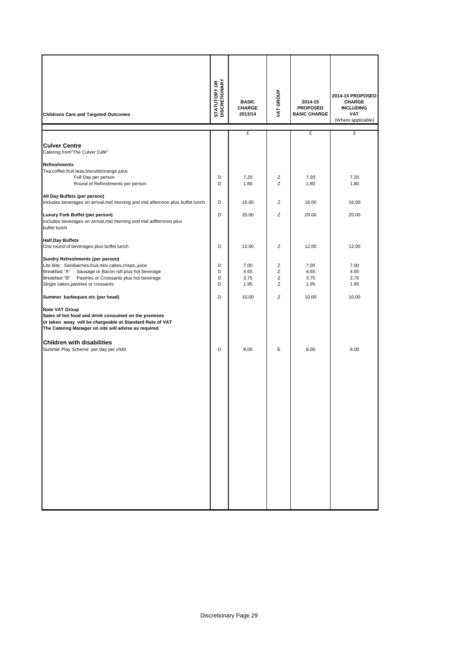| <b>Childrens Care and Targeted Outcomes</b>                                                                                                                                                                                                                    | <b>STATUTORY OR<br/>DISCRETIONARY</b> | <b>BASIC</b><br><b>CHARGE</b><br>2013/14 | VAT GROUP        | 2014-15<br><b>PROPOSED</b><br><b>BASIC CHARGE</b> | 2014-15 PROPOSED<br><b>CHARGE</b><br><b>INCLUDING</b><br><b>VAT</b><br>(Where applicable) |
|----------------------------------------------------------------------------------------------------------------------------------------------------------------------------------------------------------------------------------------------------------------|---------------------------------------|------------------------------------------|------------------|---------------------------------------------------|-------------------------------------------------------------------------------------------|
|                                                                                                                                                                                                                                                                |                                       | £                                        |                  | £                                                 | £                                                                                         |
| <b>Culver Centre</b><br>Catering from"The Culver Café"                                                                                                                                                                                                         |                                       |                                          |                  |                                                   |                                                                                           |
| <b>Refreshments</b><br>Tea, coffee, fruit teas, biscuits/orange juice                                                                                                                                                                                          |                                       |                                          |                  |                                                   |                                                                                           |
| Full Day per person<br>Round of Refreshments per person                                                                                                                                                                                                        | D<br>D                                | 7.20<br>1.80                             | Ζ<br>Z           | 7.20<br>1.80                                      | 7.20<br>1.80                                                                              |
| All Day Buffets (per person)<br>Includes beverages on arrival, mid morning and mid afternoon plus buffet lunch                                                                                                                                                 | D                                     | 16.00                                    | Z                | 16.00                                             | 16.00                                                                                     |
| Luxury Fork Buffet (per person)<br>Includes beverages on arrival, mid morning and mid adfternoon plus<br>buffet lunch                                                                                                                                          | D                                     | 20.00                                    | Z                | 20.00                                             | 20.00                                                                                     |
| <b>Half Day Buffets</b><br>One round of beverages plus buffet lunch                                                                                                                                                                                            | D                                     | 12.00                                    | Ζ                | 12.00                                             | 12.00                                                                                     |
| Sundry Refreshments (per person)<br>Lite Bite - Sandwiches, fruit, mini cakes, crisps, , juice<br>Breakfast "A"<br>Sausage or Bacon roll plus hot beverage<br>Breakfast "B"<br>Pastries or Croissants plus hot beverage<br>Single cakes, pastries or crossants | D<br>D<br>D<br>D                      | 7.00<br>4.65<br>3.75<br>1.95             | Ζ<br>Z<br>Z<br>Z | 7.00<br>4.65<br>3.75<br>1.95                      | 7.00<br>4.65<br>3.75<br>1.95                                                              |
| Summer barbeques etc (per head)                                                                                                                                                                                                                                | D                                     | 10.00                                    | Z                | 10.00                                             | 10.00                                                                                     |
| <b>Note VAT Group</b><br>Sales of hot food and drink consumed on the premises<br>or taken away will be chargeable at Standard Rate of VAT<br>The Catering Manager on site will advise as required                                                              |                                       |                                          |                  |                                                   |                                                                                           |
| <b>Children with disabilities</b><br>Summer Play Scheme per day per child                                                                                                                                                                                      | D                                     | 8.00                                     | E                | 8.00                                              | 8.00                                                                                      |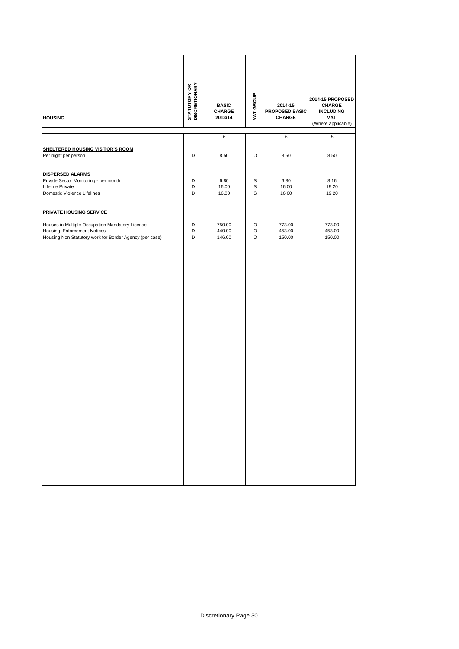| <b>HOUSING</b>                                                                                                                                   | <b>STATUTORY OR<br/>DISCRETIONARY</b> | <b>BASIC</b><br>CHARGE<br>2013/14 | VAT GROUP                       | 2014-15<br><b>PROPOSED BASIC</b><br>CHARGE | 2014-15 PROPOSED<br>CHARGE<br><b>INCLUDING</b><br>VAT<br>(Where applicable) |
|--------------------------------------------------------------------------------------------------------------------------------------------------|---------------------------------------|-----------------------------------|---------------------------------|--------------------------------------------|-----------------------------------------------------------------------------|
|                                                                                                                                                  |                                       | £                                 |                                 | £                                          | £                                                                           |
| <b>SHELTERED HOUSING VISITOR'S ROOM</b><br>Per night per person                                                                                  | D                                     | 8.50                              | $\circ$                         | 8.50                                       | 8.50                                                                        |
| <b>DISPERSED ALARMS</b><br>Private Sector Monitoring - per month<br>Lifeline Private<br>Domestic Violence Lifelines                              | D<br>D<br>D                           | 6.80<br>16.00<br>16.00            | $\mathbb S$<br>$\mathsf S$<br>S | 6.80<br>16.00<br>16.00                     | 8.16<br>19.20<br>19.20                                                      |
| PRIVATE HOUSING SERVICE                                                                                                                          |                                       |                                   |                                 |                                            |                                                                             |
| Houses in Multiple Occupation Mandatory License<br><b>Housing Enforcement Notices</b><br>Housing Non Statutory work for Border Agency (per case) | D<br>D<br>D                           | 750.00<br>440.00<br>146.00        | $\circ$<br>O<br>$\circ$         | 773.00<br>453.00<br>150.00                 | 773.00<br>453.00<br>150.00                                                  |
|                                                                                                                                                  |                                       |                                   |                                 |                                            |                                                                             |
|                                                                                                                                                  |                                       |                                   |                                 |                                            |                                                                             |
|                                                                                                                                                  |                                       |                                   |                                 |                                            |                                                                             |
|                                                                                                                                                  |                                       |                                   |                                 |                                            |                                                                             |
|                                                                                                                                                  |                                       |                                   |                                 |                                            |                                                                             |